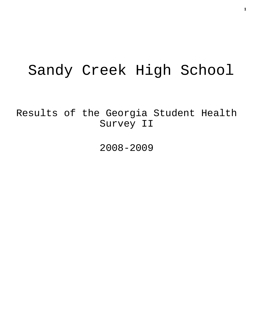# Sandy Creek High School

Results of the Georgia Student Health Survey II

2008-2009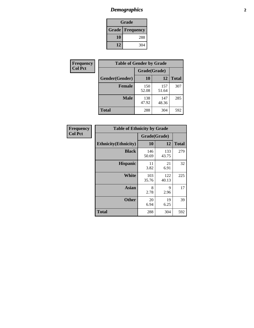# *Demographics* **2**

| Grade                    |     |  |  |
|--------------------------|-----|--|--|
| <b>Grade   Frequency</b> |     |  |  |
| 10                       | 288 |  |  |
| 12                       | 304 |  |  |

| Frequency      | <b>Table of Gender by Grade</b> |              |              |              |  |
|----------------|---------------------------------|--------------|--------------|--------------|--|
| <b>Col Pct</b> |                                 | Grade(Grade) |              |              |  |
|                | Gender(Gender)                  | 10           | 12           | <b>Total</b> |  |
|                | <b>Female</b>                   | 150<br>52.08 | 157<br>51.64 | 307          |  |
|                | <b>Male</b>                     | 138<br>47.92 | 147<br>48.36 | 285          |  |
|                | <b>Total</b>                    | 288          | 304          | 592          |  |

| <b>Frequency</b> |
|------------------|
| <b>Col Pct</b>   |

| <b>Table of Ethnicity by Grade</b> |              |              |              |  |  |  |
|------------------------------------|--------------|--------------|--------------|--|--|--|
|                                    | Grade(Grade) |              |              |  |  |  |
| <b>Ethnicity</b> (Ethnicity)       | 10           | 12           | <b>Total</b> |  |  |  |
| <b>Black</b>                       | 146<br>50.69 | 133<br>43.75 | 279          |  |  |  |
| <b>Hispanic</b>                    | 11<br>3.82   | 21<br>6.91   | 32           |  |  |  |
| White                              | 103<br>35.76 | 122<br>40.13 | 225          |  |  |  |
| <b>Asian</b>                       | 8<br>2.78    | 9<br>2.96    | 17           |  |  |  |
| <b>Other</b>                       | 20<br>6.94   | 19<br>6.25   | 39           |  |  |  |
| <b>Total</b>                       | 288          | 304          | 592          |  |  |  |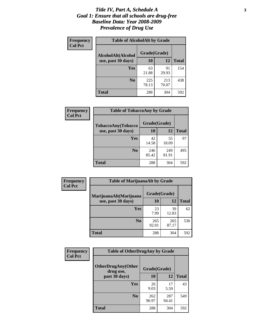### *Title IV, Part A, Schedule A* **3** *Goal 1: Ensure that all schools are drug-free Baseline Data: Year 2008-2009 Prevalence of Drug Use*

| Frequency<br><b>Col Pct</b> | <b>Table of AlcoholAlt by Grade</b> |              |              |              |  |  |
|-----------------------------|-------------------------------------|--------------|--------------|--------------|--|--|
|                             | AlcoholAlt(Alcohol                  | Grade(Grade) |              |              |  |  |
|                             | use, past 30 days)                  | <b>10</b>    | 12           | <b>Total</b> |  |  |
|                             | Yes                                 | 63<br>21.88  | 91<br>29.93  | 154          |  |  |
|                             | N <sub>0</sub>                      | 225<br>78.13 | 213<br>70.07 | 438          |  |  |
|                             | Total                               | 288          | 304          | 592          |  |  |

| Frequency      | <b>Table of TobaccoAny by Grade</b> |              |              |              |  |
|----------------|-------------------------------------|--------------|--------------|--------------|--|
| <b>Col Pct</b> | TobaccoAny(Tobacco                  | Grade(Grade) |              |              |  |
|                | use, past 30 days)                  | 10           | 12           | <b>Total</b> |  |
|                | Yes                                 | 42<br>14.58  | 55<br>18.09  | 97           |  |
|                | N <sub>0</sub>                      | 246<br>85.42 | 249<br>81.91 | 495          |  |
|                | Total                               | 288          | 304          | 592          |  |

| Frequency      | <b>Table of MarijuanaAlt by Grade</b> |              |              |              |  |
|----------------|---------------------------------------|--------------|--------------|--------------|--|
| <b>Col Pct</b> | MarijuanaAlt(Marijuana                | Grade(Grade) |              |              |  |
|                | use, past 30 days)                    | 10           | 12           | <b>Total</b> |  |
|                | <b>Yes</b>                            | 23<br>7.99   | 39<br>12.83  | 62           |  |
|                | N <sub>0</sub>                        | 265<br>92.01 | 265<br>87.17 | 530          |  |
|                | <b>Total</b>                          | 288          | 304          | 592          |  |

| Frequency      | <b>Table of OtherDrugAny by Grade</b>  |              |              |              |  |  |
|----------------|----------------------------------------|--------------|--------------|--------------|--|--|
| <b>Col Pct</b> | <b>OtherDrugAny(Other</b><br>drug use, | Grade(Grade) |              |              |  |  |
|                | past 30 days)                          | 10           | 12           | <b>Total</b> |  |  |
|                | Yes                                    | 26<br>9.03   | 17<br>5.59   | 43           |  |  |
|                | N <sub>0</sub>                         | 262<br>90.97 | 287<br>94.41 | 549          |  |  |
|                | <b>Total</b>                           | 288          | 304          | 592          |  |  |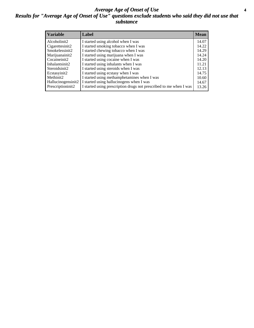### *Average Age of Onset of Use* **4** *Results for "Average Age of Onset of Use" questions exclude students who said they did not use that substance*

| <b>Variable</b>    | Label                                                              | <b>Mean</b> |
|--------------------|--------------------------------------------------------------------|-------------|
| Alcoholinit2       | I started using alcohol when I was                                 | 14.07       |
| Cigarettesinit2    | I started smoking tobacco when I was                               | 14.22       |
| Smokelessinit2     | I started chewing tobacco when I was                               | 14.29       |
| Marijuanainit2     | I started using marijuana when I was                               | 14.24       |
| Cocaineinit2       | I started using cocaine when I was                                 | 14.20       |
| Inhalantsinit2     | I started using inhalants when I was                               | 11.21       |
| Steroidsinit2      | I started using steroids when I was                                | 12.13       |
| Ecstasyinit2       | I started using ecstasy when I was                                 | 14.75       |
| Methinit2          | I started using methamphetamines when I was                        | 10.60       |
| Hallucinogensinit2 | I started using hallucinogens when I was                           | 14.67       |
| Prescriptioninit2  | I started using prescription drugs not prescribed to me when I was | 13.26       |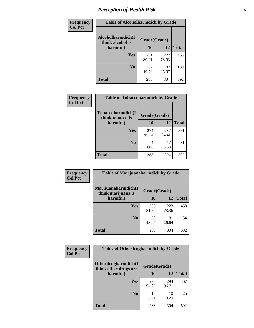# *Perception of Health Risk* **5**

| Frequency      | <b>Table of Alcoholharmdich by Grade</b> |              |              |              |  |
|----------------|------------------------------------------|--------------|--------------|--------------|--|
| <b>Col Pct</b> | Alcoholharmdich(I<br>think alcohol is    | Grade(Grade) |              |              |  |
|                | harmful)                                 | 10           | 12           | <b>Total</b> |  |
|                | Yes                                      | 231<br>80.21 | 222<br>73.03 | 453          |  |
|                | N <sub>0</sub>                           | 57<br>19.79  | 82<br>26.97  | 139          |  |
|                | <b>Total</b>                             | 288          | 304          | 592          |  |

| Frequency      | <b>Table of Tobaccoharmdich by Grade</b> |              |              |              |  |
|----------------|------------------------------------------|--------------|--------------|--------------|--|
| <b>Col Pct</b> | Tobaccoharmdich(I<br>think tobacco is    | Grade(Grade) |              |              |  |
|                | harmful)                                 | 10           | 12           | <b>Total</b> |  |
|                | Yes                                      | 274<br>95.14 | 287<br>94.41 | 561          |  |
|                | N <sub>0</sub>                           | 14<br>4.86   | 17<br>5.59   | 31           |  |
|                | <b>Total</b>                             | 288          | 304          | 592          |  |

| <b>Frequency</b> | <b>Table of Marijuanaharmdich by Grade</b> |              |              |              |  |  |
|------------------|--------------------------------------------|--------------|--------------|--------------|--|--|
| <b>Col Pct</b>   | Marijuanaharmdich(I<br>think marijuana is  | Grade(Grade) |              |              |  |  |
|                  | harmful)                                   | 10           | 12           | <b>Total</b> |  |  |
|                  | <b>Yes</b>                                 | 235<br>81.60 | 223<br>73.36 | 458          |  |  |
|                  | N <sub>0</sub>                             | 53<br>18.40  | 81<br>26.64  | 134          |  |  |
|                  | <b>Total</b>                               | 288          | 304          | 592          |  |  |

| <b>Frequency</b><br><b>Col Pct</b> | <b>Table of Otherdrugharmdich by Grade</b>                   |              |              |              |  |  |  |  |
|------------------------------------|--------------------------------------------------------------|--------------|--------------|--------------|--|--|--|--|
|                                    | Otherdrugharmdich(I<br>Grade(Grade)<br>think other drugs are |              |              |              |  |  |  |  |
|                                    | harmful)                                                     | 10           | 12           | <b>Total</b> |  |  |  |  |
|                                    | Yes                                                          | 273<br>94.79 | 294<br>96.71 | 567          |  |  |  |  |
|                                    | N <sub>0</sub>                                               | 15<br>5.21   | 10<br>3.29   | 25           |  |  |  |  |
|                                    | <b>Total</b>                                                 | 288          | 304          | 592          |  |  |  |  |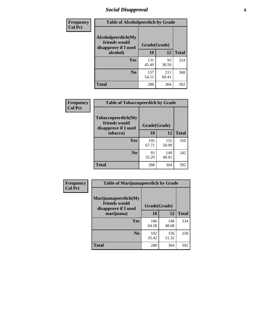# *Social Disapproval* **6**

| Frequency      | <b>Table of Alcoholpeerdich by Grade</b>                    |              |              |     |  |  |  |  |
|----------------|-------------------------------------------------------------|--------------|--------------|-----|--|--|--|--|
| <b>Col Pct</b> | Alcoholpeerdich(My<br>friends would<br>disapprove if I used | Grade(Grade) |              |     |  |  |  |  |
|                | alcohol)                                                    | 10           | <b>Total</b> |     |  |  |  |  |
|                | <b>Yes</b>                                                  | 131<br>45.49 | 93<br>30.59  | 224 |  |  |  |  |
|                | N <sub>0</sub>                                              | 157<br>54.51 | 211<br>69.41 | 368 |  |  |  |  |
|                | <b>Total</b>                                                | 288          | 304          | 592 |  |  |  |  |

| <b>Frequency</b> |
|------------------|
| <b>Col Pct</b>   |

| <b>Table of Tobaccopeerdich by Grade</b>                            |              |              |              |  |  |  |  |
|---------------------------------------------------------------------|--------------|--------------|--------------|--|--|--|--|
| <b>Tobaccopeerdich</b> (My<br>friends would<br>disapprove if I used | Grade(Grade) |              |              |  |  |  |  |
| tobacco)                                                            | 10           | 12           | <b>Total</b> |  |  |  |  |
| Yes                                                                 | 195<br>67.71 | 155<br>50.99 | 350          |  |  |  |  |
| N <sub>0</sub>                                                      | 93<br>32.29  | 149<br>49.01 | 242          |  |  |  |  |
| <b>Total</b>                                                        | 288          | 304          | 592          |  |  |  |  |

| Frequency      | <b>Table of Marijuanapeerdich by Grade</b>                    |              |              |              |  |  |  |  |
|----------------|---------------------------------------------------------------|--------------|--------------|--------------|--|--|--|--|
| <b>Col Pct</b> | Marijuanapeerdich(My<br>friends would<br>disapprove if I used | Grade(Grade) |              |              |  |  |  |  |
|                | marijuana)                                                    | 10           | 12           | <b>Total</b> |  |  |  |  |
|                | <b>Yes</b>                                                    | 186<br>64.58 | 148<br>48.68 | 334          |  |  |  |  |
|                | N <sub>0</sub>                                                | 102<br>35.42 | 156<br>51.32 | 258          |  |  |  |  |
|                | <b>Total</b>                                                  | 288          | 304          | 592          |  |  |  |  |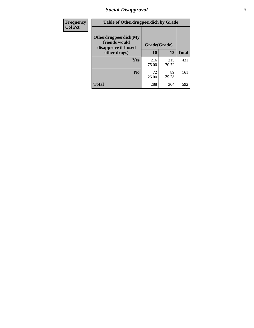# *Social Disapproval* **7**

| Frequency      | <b>Table of Otherdrugpeerdich by Grade</b>                    |              |              |              |  |  |  |  |
|----------------|---------------------------------------------------------------|--------------|--------------|--------------|--|--|--|--|
| <b>Col Pct</b> | Otherdrugpeerdich(My<br>friends would<br>disapprove if I used | Grade(Grade) |              |              |  |  |  |  |
|                | other drugs)                                                  | 10           | 12           | <b>Total</b> |  |  |  |  |
|                | Yes                                                           | 216<br>75.00 | 215<br>70.72 | 431          |  |  |  |  |
|                | N <sub>0</sub>                                                | 72<br>25.00  | 89<br>29.28  | 161          |  |  |  |  |
|                | <b>Total</b>                                                  | 288          | 304          | 592          |  |  |  |  |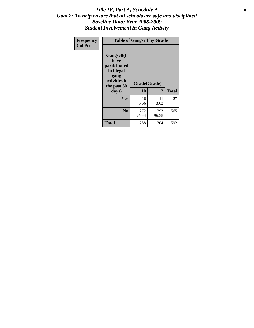### Title IV, Part A, Schedule A **8** *Goal 2: To help ensure that all schools are safe and disciplined Baseline Data: Year 2008-2009 Student Involvement in Gang Activity*

| Frequency      | <b>Table of Gangself by Grade</b>                                                                 |                    |              |              |
|----------------|---------------------------------------------------------------------------------------------------|--------------------|--------------|--------------|
| <b>Col Pct</b> | Gangself(I<br>have<br>participated<br>in illegal<br>gang<br>activities in<br>the past 30<br>days) | Grade(Grade)<br>10 | 12           | <b>Total</b> |
|                | Yes                                                                                               | 16<br>5.56         | 11<br>3.62   | 27           |
|                | N <sub>0</sub>                                                                                    | 272<br>94.44       | 293<br>96.38 | 565          |
|                | <b>Total</b>                                                                                      | 288                | 304          | 592          |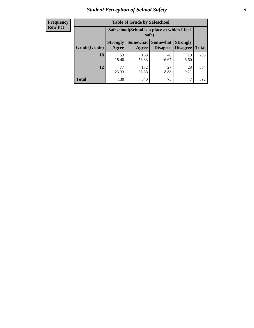# *Student Perception of School Safety* **9**

| <b>Frequency</b><br>Row Pct |
|-----------------------------|
|                             |

| <b>Table of Grade by Safeschool</b> |                                                        |                          |                             |                                    |              |  |  |
|-------------------------------------|--------------------------------------------------------|--------------------------|-----------------------------|------------------------------------|--------------|--|--|
|                                     | Safeschool (School is a place at which I feel<br>safe) |                          |                             |                                    |              |  |  |
| Grade(Grade)                        | <b>Strongly</b><br>Agree                               | <b>Somewhat</b><br>Agree | <b>Somewhat</b><br>Disagree | <b>Strongly</b><br><b>Disagree</b> | <b>Total</b> |  |  |
| <b>10</b>                           | 53<br>18.40                                            | 168<br>58.33             | 48<br>16.67                 | 19<br>6.60                         | 288          |  |  |
| 12                                  | 77<br>25.33                                            | 172<br>56.58             | 27<br>8.88                  | 28<br>9.21                         | 304          |  |  |
| <b>Total</b>                        | 130                                                    | 340                      | 75                          | 47                                 | 592          |  |  |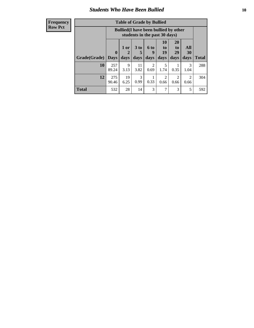### *Students Who Have Been Bullied* **10**

| <b>Frequency</b> |
|------------------|
| Row Pct          |

| <b>Table of Grade by Bullied</b> |                             |                                                                               |                              |                   |                        |                        |                          |              |
|----------------------------------|-----------------------------|-------------------------------------------------------------------------------|------------------------------|-------------------|------------------------|------------------------|--------------------------|--------------|
|                                  |                             | <b>Bullied</b> (I have been bullied by other<br>students in the past 30 days) |                              |                   |                        |                        |                          |              |
| Grade(Grade)                     | $\mathbf{0}$<br><b>Days</b> | 1 or<br>2<br>days                                                             | 3 <sub>to</sub><br>5<br>days | 6 to<br>9<br>days | 10<br>to<br>19<br>days | 20<br>to<br>29<br>days | All<br><b>30</b><br>days | <b>Total</b> |
| 10                               | 257<br>89.24                | 9<br>3.13                                                                     | 11<br>3.82                   | 2<br>0.69         | 5<br>1.74              | 0.35                   | 3<br>1.04                | 288          |
| 12                               | 275<br>90.46                | 19<br>6.25                                                                    | 3<br>0.99                    | 0.33              | 2<br>0.66              | $\overline{2}$<br>0.66 | 2<br>0.66                | 304          |
| Total                            | 532                         | 28                                                                            | 14                           | 3                 | 7                      | 3                      | 5                        | 592          |

 $\blacksquare$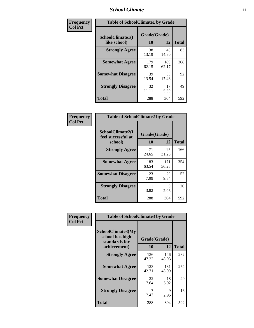### *School Climate* **11**

| Frequency      | <b>Table of SchoolClimate1 by Grade</b> |                    |              |              |  |  |  |
|----------------|-----------------------------------------|--------------------|--------------|--------------|--|--|--|
| <b>Col Pct</b> | SchoolClimate1(I<br>like school)        | Grade(Grade)<br>10 | 12           | <b>Total</b> |  |  |  |
|                | <b>Strongly Agree</b>                   | 38<br>13.19        | 45<br>14.80  | 83           |  |  |  |
|                | <b>Somewhat Agree</b>                   | 179<br>62.15       | 189<br>62.17 | 368          |  |  |  |
|                | <b>Somewhat Disagree</b>                | 39<br>13.54        | 53<br>17.43  | 92           |  |  |  |
|                | <b>Strongly Disagree</b>                | 32<br>11.11        | 17<br>5.59   | 49           |  |  |  |
|                | <b>Total</b>                            | 288                | 304          | 592          |  |  |  |

| <b>Frequency</b> |
|------------------|
| <b>Col Pct</b>   |

| <b>Table of SchoolClimate2 by Grade</b>           |                    |              |              |  |  |
|---------------------------------------------------|--------------------|--------------|--------------|--|--|
| SchoolClimate2(I<br>feel successful at<br>school) | Grade(Grade)<br>10 | 12           | <b>Total</b> |  |  |
| <b>Strongly Agree</b>                             | 71<br>24.65        | 95<br>31.25  | 166          |  |  |
| <b>Somewhat Agree</b>                             | 183<br>63.54       | 171<br>56.25 | 354          |  |  |
| <b>Somewhat Disagree</b>                          | 23<br>7.99         | 29<br>9.54   | 52           |  |  |
| <b>Strongly Disagree</b>                          | 11<br>3.82         | 9<br>2.96    | 20           |  |  |
| <b>Total</b>                                      | 288                | 304          | 592          |  |  |

| <b>Table of SchoolClimate3 by Grade</b>                      |              |              |              |  |
|--------------------------------------------------------------|--------------|--------------|--------------|--|
| <b>SchoolClimate3(My</b><br>school has high<br>standards for | Grade(Grade) |              |              |  |
|                                                              |              |              | <b>Total</b> |  |
| <b>Strongly Agree</b>                                        | 136<br>47.22 | 146<br>48.03 | 282          |  |
| <b>Somewhat Agree</b>                                        | 123<br>42.71 | 131<br>43.09 | 254          |  |
| <b>Somewhat Disagree</b>                                     | 22<br>7.64   | 18<br>5.92   | 40           |  |
| <b>Strongly Disagree</b>                                     | 2.43         | 9<br>2.96    | 16           |  |
| Total                                                        | 288          | 304          | 592          |  |
|                                                              | achievement) | 10           | 12           |  |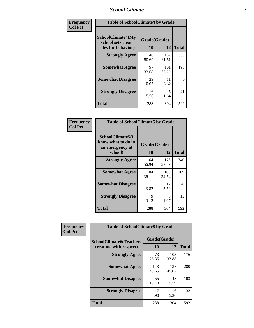### *School Climate* **12**

| Frequency      | <b>Table of SchoolClimate4 by Grade</b>                       |                    |              |              |  |
|----------------|---------------------------------------------------------------|--------------------|--------------|--------------|--|
| <b>Col Pct</b> | SchoolClimate4(My<br>school sets clear<br>rules for behavior) | Grade(Grade)<br>10 | 12           | <b>Total</b> |  |
|                | <b>Strongly Agree</b>                                         | 146<br>50.69       | 187<br>61.51 | 333          |  |
|                | <b>Somewhat Agree</b>                                         | 97<br>33.68        | 101<br>33.22 | 198          |  |
|                | <b>Somewhat Disagree</b>                                      | 29<br>10.07        | 11<br>3.62   | 40           |  |
|                | <b>Strongly Disagree</b>                                      | 16<br>5.56         | 5<br>1.64    | 21           |  |
|                | <b>Total</b>                                                  | 288                | 304          | 592          |  |

| <b>Table of SchoolClimate5 by Grade</b>                   |              |              |              |  |  |
|-----------------------------------------------------------|--------------|--------------|--------------|--|--|
| SchoolClimate5(I<br>know what to do in<br>an emergency at | Grade(Grade) |              |              |  |  |
| school)                                                   | 10           | 12           | <b>Total</b> |  |  |
| <b>Strongly Agree</b>                                     | 164<br>56.94 | 176<br>57.89 | 340          |  |  |
| <b>Somewhat Agree</b>                                     | 104<br>36.11 | 105<br>34.54 | 209          |  |  |
| <b>Somewhat Disagree</b>                                  | 11<br>3.82   | 17<br>5.59   | 28           |  |  |
| <b>Strongly Disagree</b>                                  | 9<br>3.13    | 6<br>1.97    | 15           |  |  |
| Total                                                     | 288          | 304          | 592          |  |  |

| Frequency      | <b>Table of SchoolClimate6 by Grade</b>                  |                    |              |              |  |  |
|----------------|----------------------------------------------------------|--------------------|--------------|--------------|--|--|
| <b>Col Pct</b> | <b>SchoolClimate6(Teachers</b><br>treat me with respect) | Grade(Grade)<br>10 | 12           | <b>Total</b> |  |  |
|                | <b>Strongly Agree</b>                                    | 73<br>25.35        | 103<br>33.88 | 176          |  |  |
|                | <b>Somewhat Agree</b>                                    | 143<br>49.65       | 137<br>45.07 | 280          |  |  |
|                | <b>Somewhat Disagree</b>                                 | 55<br>19.10        | 48<br>15.79  | 103          |  |  |
|                | <b>Strongly Disagree</b>                                 | 17<br>5.90         | 16<br>5.26   | 33           |  |  |
|                | <b>Total</b>                                             | 288                | 304          | 592          |  |  |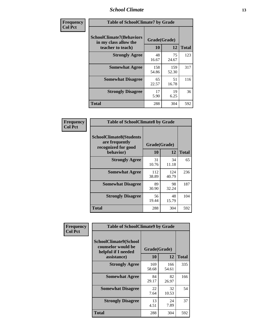### *School Climate* **13**

| Frequency      | <b>Table of SchoolClimate7 by Grade</b>                                       |                           |              |              |  |
|----------------|-------------------------------------------------------------------------------|---------------------------|--------------|--------------|--|
| <b>Col Pct</b> | <b>SchoolClimate7(Behaviors</b><br>in my class allow the<br>teacher to teach) | Grade(Grade)<br><b>10</b> | 12           | <b>Total</b> |  |
|                | <b>Strongly Agree</b>                                                         | 48<br>16.67               | 75<br>24.67  | 123          |  |
|                | <b>Somewhat Agree</b>                                                         | 158<br>54.86              | 159<br>52.30 | 317          |  |
|                | <b>Somewhat Disagree</b>                                                      | 65<br>22.57               | 51<br>16.78  | 116          |  |
|                | <b>Strongly Disagree</b>                                                      | 17<br>5.90                | 19<br>6.25   | 36           |  |
|                | <b>Total</b>                                                                  | 288                       | 304          | 592          |  |

| Frequency      | <b>Table of SchoolClimate8 by Grade</b>                                              |                    |              |              |  |
|----------------|--------------------------------------------------------------------------------------|--------------------|--------------|--------------|--|
| <b>Col Pct</b> | <b>SchoolClimate8(Students</b><br>are frequently<br>recognized for good<br>behavior) | Grade(Grade)<br>10 | 12           | <b>Total</b> |  |
|                | <b>Strongly Agree</b>                                                                | 31<br>10.76        | 34<br>11.18  | 65           |  |
|                | <b>Somewhat Agree</b>                                                                | 112<br>38.89       | 124<br>40.79 | 236          |  |
|                | <b>Somewhat Disagree</b>                                                             | 89<br>30.90        | 98<br>32.24  | 187          |  |
|                | <b>Strongly Disagree</b>                                                             | 56<br>19.44        | 48<br>15.79  | 104          |  |
|                | <b>Total</b>                                                                         | 288                | 304          | 592          |  |

| Frequency      | <b>Table of SchoolClimate9 by Grade</b>                                           |                    |              |              |  |
|----------------|-----------------------------------------------------------------------------------|--------------------|--------------|--------------|--|
| <b>Col Pct</b> | SchoolClimate9(School<br>counselor would be<br>helpful if I needed<br>assistance) | Grade(Grade)<br>10 | 12           | <b>Total</b> |  |
|                | <b>Strongly Agree</b>                                                             | 169<br>58.68       | 166<br>54.61 | 335          |  |
|                | <b>Somewhat Agree</b>                                                             | 84<br>29.17        | 82<br>26.97  | 166          |  |
|                | <b>Somewhat Disagree</b>                                                          | 22<br>7.64         | 32<br>10.53  | 54           |  |
|                | <b>Strongly Disagree</b>                                                          | 13<br>4.51         | 24<br>7.89   | 37           |  |
|                | Total                                                                             | 288                | 304          | 592          |  |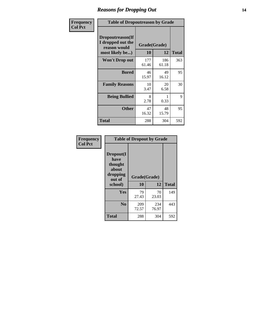### *Reasons for Dropping Out* **14**

| <b>Frequency</b> | <b>Table of Dropoutreason by Grade</b>                                   |              |                    |              |  |
|------------------|--------------------------------------------------------------------------|--------------|--------------------|--------------|--|
| <b>Col Pct</b>   | Dropoutreason(If<br>I dropped out the<br>reason would<br>most likely be) | 10           | Grade(Grade)<br>12 | <b>Total</b> |  |
|                  | <b>Won't Drop out</b>                                                    | 177<br>61.46 | 186<br>61.18       | 363          |  |
|                  | <b>Bored</b>                                                             | 46<br>15.97  | 49<br>16.12        | 95           |  |
|                  | <b>Family Reasons</b>                                                    | 10<br>3.47   | 20<br>6.58         | 30           |  |
|                  | <b>Being Bullied</b>                                                     | 8<br>2.78    | 1<br>0.33          | 9            |  |
|                  | <b>Other</b>                                                             | 47<br>16.32  | 48<br>15.79        | 95           |  |
|                  | Total                                                                    | 288          | 304                | 592          |  |

| Frequency      |                                                                        | <b>Table of Dropout by Grade</b> |              |     |
|----------------|------------------------------------------------------------------------|----------------------------------|--------------|-----|
| <b>Col Pct</b> | Dropout(I<br>have<br>thought<br>about<br>dropping<br>out of<br>school) | Grade(Grade)<br>10               | <b>Total</b> |     |
|                |                                                                        |                                  | 12           |     |
|                | Yes                                                                    | 79<br>27.43                      | 70<br>23.03  | 149 |
|                | N <sub>0</sub>                                                         | 209<br>72.57                     | 234<br>76.97 | 443 |
|                | <b>Total</b>                                                           | 288                              | 304          | 592 |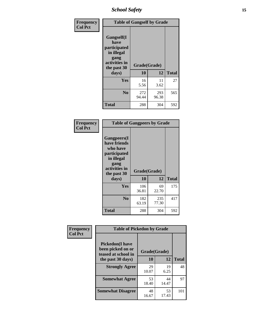*School Safety* **15**

| Frequency      | <b>Table of Gangself by Grade</b>                                                                 |                    |              |              |  |
|----------------|---------------------------------------------------------------------------------------------------|--------------------|--------------|--------------|--|
| <b>Col Pct</b> | Gangself(I<br>have<br>participated<br>in illegal<br>gang<br>activities in<br>the past 30<br>days) | Grade(Grade)<br>10 | 12           | <b>Total</b> |  |
|                |                                                                                                   |                    |              |              |  |
|                | Yes                                                                                               | 16<br>5.56         | 11<br>3.62   | 27           |  |
|                | N <sub>0</sub>                                                                                    | 272<br>94.44       | 293<br>96.38 | 565          |  |
|                | <b>Total</b>                                                                                      | 288                | 304          | 592          |  |

| Frequency<br><b>Col Pct</b> | <b>Table of Gangpeers by Grade</b>                                                                                             |                    |              |              |  |  |  |  |  |  |
|-----------------------------|--------------------------------------------------------------------------------------------------------------------------------|--------------------|--------------|--------------|--|--|--|--|--|--|
|                             | <b>Gangpeers</b> (I<br>have friends<br>who have<br>participated<br>in illegal<br>gang<br>activities in<br>the past 30<br>days) | Grade(Grade)<br>10 | 12           | <b>Total</b> |  |  |  |  |  |  |
|                             | <b>Yes</b>                                                                                                                     | 106<br>36.81       | 69<br>22.70  | 175          |  |  |  |  |  |  |
|                             | N <sub>0</sub>                                                                                                                 | 182<br>63.19       | 235<br>77.30 | 417          |  |  |  |  |  |  |
|                             | <b>Total</b>                                                                                                                   | 288                | 304          | 592          |  |  |  |  |  |  |

| Frequency      | <b>Table of Pickedon by Grade</b>                                  |              |             |              |
|----------------|--------------------------------------------------------------------|--------------|-------------|--------------|
| <b>Col Pct</b> | <b>Pickedon(I have</b><br>been picked on or<br>teased at school in | Grade(Grade) |             |              |
|                | the past 30 days)                                                  | 10           | 12          | <b>Total</b> |
|                | <b>Strongly Agree</b>                                              | 29<br>10.07  | 19<br>6.25  | 48           |
|                | <b>Somewhat Agree</b>                                              | 53<br>18.40  | 44<br>14.47 | 97           |
|                | <b>Somewhat Disagree</b>                                           | 48<br>16.67  | 53<br>17.43 | 101          |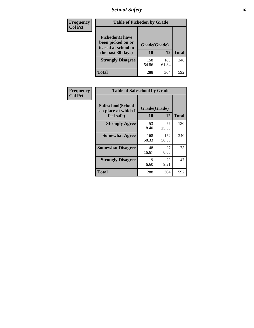# *School Safety* **16**

| <b>Frequency</b> | <b>Table of Pickedon by Grade</b>                                                       |                    |              |              |
|------------------|-----------------------------------------------------------------------------------------|--------------------|--------------|--------------|
| <b>Col Pct</b>   | <b>Pickedon(I have</b><br>been picked on or<br>teased at school in<br>the past 30 days) | Grade(Grade)<br>10 | 12           | <b>Total</b> |
|                  | <b>Strongly Disagree</b>                                                                | 158<br>54.86       | 188<br>61.84 | 346          |
|                  | Total                                                                                   | 288                | 304          | 592          |

| Frequency      | <b>Table of Safeschool by Grade</b>                      |                    |              |              |
|----------------|----------------------------------------------------------|--------------------|--------------|--------------|
| <b>Col Pct</b> | Safeschool(School<br>is a place at which I<br>feel safe) | Grade(Grade)<br>10 | 12           | <b>Total</b> |
|                | <b>Strongly Agree</b>                                    | 53<br>18.40        | 77<br>25.33  | 130          |
|                | <b>Somewhat Agree</b>                                    | 168<br>58.33       | 172<br>56.58 | 340          |
|                | <b>Somewhat Disagree</b>                                 | 48<br>16.67        | 27<br>8.88   | 75           |
|                | <b>Strongly Disagree</b>                                 | 19<br>6.60         | 28<br>9.21   | 47           |
|                | <b>Total</b>                                             | 288                | 304          | 592          |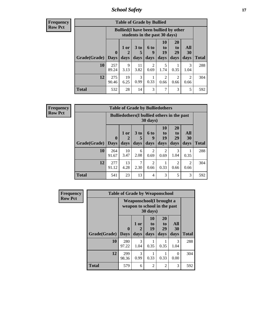*School Safety* **17**

| Frequency |  |
|-----------|--|
| Row Pct   |  |

| <b>Table of Grade by Bullied</b> |                                                                                                                                                                                              |                                                                               |            |           |                        |                        |                        |     |  |  |  |
|----------------------------------|----------------------------------------------------------------------------------------------------------------------------------------------------------------------------------------------|-------------------------------------------------------------------------------|------------|-----------|------------------------|------------------------|------------------------|-----|--|--|--|
|                                  |                                                                                                                                                                                              | <b>Bullied</b> (I have been bullied by other<br>students in the past 30 days) |            |           |                        |                        |                        |     |  |  |  |
| Grade(Grade)                     | 20<br>10<br>All<br>3 to<br><b>6 to</b><br>$1$ or $ $<br>to<br>to<br>19<br>$\mathbf{0}$<br>29<br>30<br>9<br>5<br><b>Total</b><br>days<br>days<br>days<br>days<br>$\vert$ Days<br>days<br>days |                                                                               |            |           |                        |                        |                        |     |  |  |  |
| 10                               | 257<br>89.24                                                                                                                                                                                 | Q<br>3.13                                                                     | 11<br>3.82 | 2<br>0.69 | 5<br>1.74              | 0.35                   | 3<br>1.04              | 288 |  |  |  |
| 12                               | 275<br>90.46                                                                                                                                                                                 | 19<br>6.25                                                                    | 3<br>0.99  | 0.33      | $\mathfrak{D}$<br>0.66 | $\overline{c}$<br>0.66 | $\overline{c}$<br>0.66 | 304 |  |  |  |
| <b>Total</b>                     | 532                                                                                                                                                                                          | 28                                                                            | 14         | 3         | 7                      | 3                      | 5                      | 592 |  |  |  |

| <b>Frequency</b> |
|------------------|
| <b>Row Pct</b>   |

| <b>Table of Grade by Bulliedothers</b>                                  |              |                   |                              |                        |                        |                        |                        |              |  |
|-------------------------------------------------------------------------|--------------|-------------------|------------------------------|------------------------|------------------------|------------------------|------------------------|--------------|--|
| <b>Bulliedothers</b> (I bullied others in the past<br>$30 \text{ days}$ |              |                   |                              |                        |                        |                        |                        |              |  |
| Grade(Grade)   Days                                                     | $\bf{0}$     | 1 or<br>2<br>days | 3 <sub>to</sub><br>5<br>days | 6 to<br>9<br>days      | 10<br>to<br>19<br>days | 20<br>to<br>29<br>days | All<br>30<br>days      | <b>Total</b> |  |
| 10                                                                      | 264<br>91.67 | 10<br>3.47        | 6<br>2.08                    | $\overline{c}$<br>0.69 | $\overline{2}$<br>0.69 | 3<br>1.04              | 0.35                   | 288          |  |
| 12                                                                      | 277<br>91.12 | 13<br>4.28        | 7<br>2.30                    | $\mathcal{D}$<br>0.66  | 0.33                   | 2<br>0.66              | $\mathfrak{D}$<br>0.66 | 304          |  |
| <b>Total</b>                                                            | 541          | 23                | 13                           | 4                      | 3                      | 5                      | 3                      | 592          |  |

| <b>Frequency</b> | <b>Table of Grade by Weaponschool</b> |                         |                                                           |                           |                               |                   |              |  |  |
|------------------|---------------------------------------|-------------------------|-----------------------------------------------------------|---------------------------|-------------------------------|-------------------|--------------|--|--|
| <b>Row Pct</b>   |                                       |                         | Weaponschool (I brought a<br>weapon to school in the past | 30 days)                  |                               |                   |              |  |  |
|                  | Grade(Grade)                          | $\bf{0}$<br><b>Days</b> | 1 or<br>2<br>days                                         | 10<br>to to<br>19<br>days | <b>20</b><br>to<br>29<br>days | All<br>30<br>days | <b>Total</b> |  |  |
|                  | 10                                    | 280<br>97.22            | 3<br>1.04                                                 | 0.35                      | 0.35                          | 3<br>1.04         | 288          |  |  |
|                  | 12                                    | 299<br>98.36            | 3<br>0.99                                                 | 0.33                      | 0.33                          | 0<br>0.00         | 304          |  |  |
|                  | <b>Total</b>                          | 579                     | 6                                                         | 2                         | $\overline{2}$                | 3                 | 592          |  |  |

ł,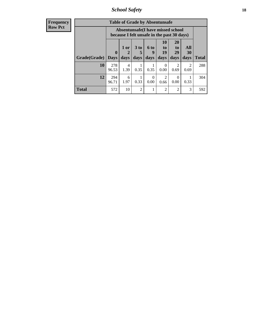*School Safety* **18**

| <b>Frequency</b> | <b>Table of Grade by Absentunsafe</b> |              |                                                                                 |                      |                  |                        |                        |           |              |  |
|------------------|---------------------------------------|--------------|---------------------------------------------------------------------------------|----------------------|------------------|------------------------|------------------------|-----------|--------------|--|
| <b>Row Pct</b>   |                                       |              | Absentunsafe(I have missed school<br>because I felt unsafe in the past 30 days) |                      |                  |                        |                        |           |              |  |
|                  |                                       | $\mathbf{0}$ | $1$ or<br>2                                                                     | 3 <sub>to</sub><br>5 | 6 to<br>9        | 10<br>to<br>19         | <b>20</b><br>to<br>29  | All<br>30 |              |  |
|                  | Grade(Grade)                          | <b>Days</b>  | days                                                                            | days                 | days             | days                   | days                   | days      | <b>Total</b> |  |
|                  | 10                                    | 278<br>96.53 | $\overline{4}$<br>1.39                                                          | 0.35                 | 0.35             | $\Omega$<br>0.00       | $\mathfrak{D}$<br>0.69 | 2<br>0.69 | 288          |  |
|                  | 12                                    | 294<br>96.71 | 6<br>1.97                                                                       | 0.33                 | $\Omega$<br>0.00 | $\mathfrak{D}$<br>0.66 | $\Omega$<br>0.00       | 0.33      | 304          |  |
|                  | <b>Total</b>                          | 572          | 10                                                                              | $\overline{2}$       |                  | $\overline{2}$         | $\mathfrak{D}$         | 3         | 592          |  |
|                  |                                       |              |                                                                                 |                      |                  |                        |                        |           |              |  |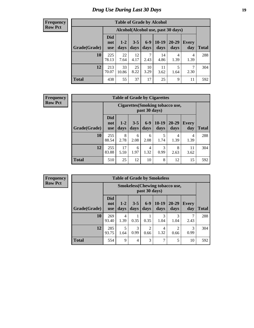# *Drug Use During Last 30 Days* **19**

#### **Frequency Row Pct**

| <b>Table of Grade by Alcohol</b> |                                 |                 |                 |               |                 |                                     |              |              |  |  |
|----------------------------------|---------------------------------|-----------------|-----------------|---------------|-----------------|-------------------------------------|--------------|--------------|--|--|
|                                  |                                 |                 |                 |               |                 | Alcohol (Alcohol use, past 30 days) |              |              |  |  |
| Grade(Grade)                     | <b>Did</b><br>not<br><b>use</b> | $1 - 2$<br>days | $3 - 5$<br>days | $6-9$<br>days | $10-19$<br>days | 20-29<br>days                       | Every<br>day | <b>Total</b> |  |  |
| 10                               | 225<br>78.13                    | 22<br>7.64      | 12<br>4.17      | 7<br>2.43     | 14<br>4.86      | 4<br>1.39                           | 4<br>1.39    | 288          |  |  |
| 12                               | 213<br>70.07                    | 33<br>10.86     | 25<br>8.22      | 10<br>3.29    | 11<br>3.62      | 5<br>1.64                           | 7<br>2.30    | 304          |  |  |
| <b>Total</b>                     | 438                             | 55              | 37              | 17            | 25              | 9                                   | 11           | 592          |  |  |

#### **Frequency Row Pct**

| <b>Table of Grade by Cigarettes</b> |                                 |                                                                                                                                  |           |           |           |           |           |     |  |  |  |
|-------------------------------------|---------------------------------|----------------------------------------------------------------------------------------------------------------------------------|-----------|-----------|-----------|-----------|-----------|-----|--|--|--|
|                                     |                                 | Cigarettes (Smoking tobacco use,<br>past 30 days)                                                                                |           |           |           |           |           |     |  |  |  |
| Grade(Grade)                        | <b>Did</b><br>not<br><b>use</b> | $10-19$<br>$6 - 9$<br>20-29<br>$3 - 5$<br>$1 - 2$<br><b>Every</b><br><b>Total</b><br>days<br>days<br>days<br>days<br>day<br>days |           |           |           |           |           |     |  |  |  |
| 10                                  | 255<br>88.54                    | 8<br>2.78                                                                                                                        | 6<br>2.08 | 6<br>2.08 | 5<br>1.74 | 4<br>1.39 | 4<br>1.39 | 288 |  |  |  |
| 12                                  | 255<br>83.88                    | 17<br>3<br>8<br>4<br>11<br>6<br>1.32<br>1.97<br>0.99<br>5.59<br>3.62<br>2.63                                                     |           |           |           |           |           |     |  |  |  |
| <b>Total</b>                        | 510                             | 25                                                                                                                               | 12        | 10        | 8         | 12        | 15        | 592 |  |  |  |

| <b>Table of Grade by Smokeless</b> |                                 |                                                        |                 |               |                 |                        |                     |              |  |  |
|------------------------------------|---------------------------------|--------------------------------------------------------|-----------------|---------------|-----------------|------------------------|---------------------|--------------|--|--|
|                                    |                                 | <b>Smokeless</b> (Chewing tobaccouse,<br>past 30 days) |                 |               |                 |                        |                     |              |  |  |
| Grade(Grade)                       | <b>Did</b><br>not<br><b>use</b> | $1 - 2$<br>days                                        | $3 - 5$<br>days | $6-9$<br>days | $10-19$<br>days | $20 - 29$<br>days      | <b>Every</b><br>day | <b>Total</b> |  |  |
| 10                                 | 269<br>93.40                    | 4<br>1.39                                              | 0.35            | 0.35          | 3<br>1.04       | 3<br>1.04              | 2.43                | 288          |  |  |
| 12                                 | 285<br>93.75                    | 5<br>1.64                                              | 3<br>0.99       | 2<br>0.66     | 4<br>1.32       | $\mathfrak{D}$<br>0.66 | 3<br>0.99           | 304          |  |  |
| <b>Total</b>                       | 554                             | 9                                                      | $\overline{4}$  | 3             | 7               | 5                      | 10                  | 592          |  |  |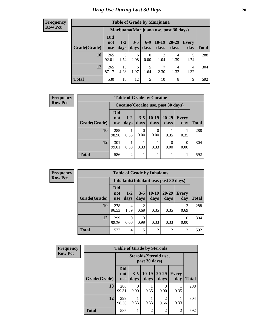| <b>Table of Grade by Marijuana</b> |                                 |                                         |                 |                  |                 |               |              |              |  |  |
|------------------------------------|---------------------------------|-----------------------------------------|-----------------|------------------|-----------------|---------------|--------------|--------------|--|--|
|                                    |                                 | Marijuana (Marijuana use, past 30 days) |                 |                  |                 |               |              |              |  |  |
| Grade(Grade)                       | <b>Did</b><br>not<br><b>use</b> | $1 - 2$<br>days                         | $3 - 5$<br>days | $6-9$<br>days    | $10-19$<br>days | 20-29<br>days | Every<br>day | <b>Total</b> |  |  |
| 10                                 | 265<br>92.01                    | 5<br>1.74                               | 6<br>2.08       | $\theta$<br>0.00 | 3<br>1.04       | 4<br>1.39     | 5<br>1.74    | 288          |  |  |
| 12                                 | 265<br>87.17                    | 13<br>4.28                              | 6<br>1.97       | 5<br>1.64        | 7<br>2.30       | 4<br>1.32     | 4<br>1.32    | 304          |  |  |
| <b>Total</b>                       | 530                             | 18                                      | 12              | 5                | 10              | 8             | 9            | 592          |  |  |

| <b>Frequency</b> |              | <b>Table of Grade by Cocaine</b> |                                     |                  |                  |                   |                     |              |  |  |
|------------------|--------------|----------------------------------|-------------------------------------|------------------|------------------|-------------------|---------------------|--------------|--|--|
| <b>Row Pct</b>   |              |                                  | Cocaine (Cocaine use, past 30 days) |                  |                  |                   |                     |              |  |  |
|                  | Grade(Grade) | <b>Did</b><br>not<br><b>use</b>  | $1 - 2$<br>days                     | $3 - 5$<br>days  | $10-19$<br>days  | $20 - 29$<br>days | <b>Every</b><br>day | <b>Total</b> |  |  |
|                  | 10           | 285<br>98.96                     | 0.35                                | $\Omega$<br>0.00 | $\theta$<br>0.00 | 0.35              | 0.35                | 288          |  |  |
|                  | 12           | 301<br>99.01                     | 0.33                                | 0.33             | 0.33             | 0.00              | $\theta$<br>0.00    | 304          |  |  |
|                  | <b>Total</b> | 586                              | $\overline{2}$                      |                  |                  |                   |                     | 592          |  |  |

| <b>Frequency</b> |  |
|------------------|--|
| <b>Row Pct</b>   |  |

| V | <b>Table of Grade by Inhalants</b> |                                        |                 |                        |                 |                   |                        |       |  |  |  |  |
|---|------------------------------------|----------------------------------------|-----------------|------------------------|-----------------|-------------------|------------------------|-------|--|--|--|--|
|   |                                    | Inhalants (Inhalant use, past 30 days) |                 |                        |                 |                   |                        |       |  |  |  |  |
|   | Grade(Grade)                       | <b>Did</b><br>not<br><b>use</b>        | $1 - 2$<br>days | $3 - 5$<br>days        | $10-19$<br>days | $20 - 29$<br>days | <b>Every</b><br>day    | Total |  |  |  |  |
|   | 10                                 | 278<br>96.53                           | 4<br>1.39       | $\mathfrak{D}$<br>0.69 | 0.35            | 0.35              | $\mathfrak{D}$<br>0.69 | 288   |  |  |  |  |
|   | 12                                 | 299<br>98.36                           | 0.00            | $\mathcal{R}$<br>0.99  | 0.33            | 0.33              | 0.00                   | 304   |  |  |  |  |
|   | <b>Total</b>                       | 577                                    | 4               | 5                      | $\overline{2}$  | $\overline{c}$    | $\overline{c}$         | 592   |  |  |  |  |

| <b>Frequency</b> | <b>Table of Grade by Steroids</b> |                                 |                                         |                 |                   |                     |              |  |  |
|------------------|-----------------------------------|---------------------------------|-----------------------------------------|-----------------|-------------------|---------------------|--------------|--|--|
| <b>Row Pct</b>   |                                   |                                 | Steroids (Steroid use,<br>past 30 days) |                 |                   |                     |              |  |  |
|                  | Grade(Grade)                      | <b>Did</b><br>not<br><b>use</b> | $3 - 5$<br>days                         | $10-19$<br>days | $20 - 29$<br>days | <b>Every</b><br>day | <b>Total</b> |  |  |
|                  | 10                                | 286<br>99.31                    | $\Omega$<br>0.00                        | 0.35            | 0.00              | 0.35                | 288          |  |  |
|                  | 12                                | 299<br>98.36                    | 0.33                                    | 0.33            | C<br>0.66         | 0.33                | 304          |  |  |
|                  | <b>Total</b>                      | 585                             | 1                                       | 2               | $\overline{2}$    | $\overline{2}$      | 592          |  |  |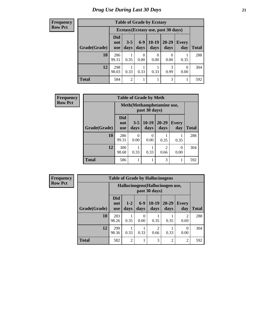| <b>Table of Grade by Ecstasy</b> |                          |                 |               |                  |                                     |                     |              |  |  |  |
|----------------------------------|--------------------------|-----------------|---------------|------------------|-------------------------------------|---------------------|--------------|--|--|--|
|                                  |                          |                 |               |                  | Ecstasy (Ecstasy use, past 30 days) |                     |              |  |  |  |
| Grade(Grade)                     | <b>Did</b><br>not<br>use | $3 - 5$<br>days | $6-9$<br>days | $10-19$<br>days  | 20-29<br>days                       | <b>Every</b><br>day | <b>Total</b> |  |  |  |
| 10                               | 286<br>99.31             | 0.35            | 0.00          | $^{(1)}$<br>0.00 | 0<br>0.00                           | 0.35                | 288          |  |  |  |
| 12                               | 298<br>98.03             | 0.33            | 0.33          | 0.33             | 3<br>0.99                           | $\Omega$<br>0.00    | 304          |  |  |  |
| <b>Total</b>                     | 584                      | $\overline{2}$  |               |                  | 3                                   |                     | 592          |  |  |  |

| <b>Frequency</b> | <b>Table of Grade by Meth</b> |                                 |                 |                 |                        |                     |              |  |  |
|------------------|-------------------------------|---------------------------------|-----------------|-----------------|------------------------|---------------------|--------------|--|--|
| <b>Row Pct</b>   |                               | Meth (Methamphetamine use,      |                 |                 |                        |                     |              |  |  |
|                  | Grade(Grade)                  | <b>Did</b><br>not<br><b>use</b> | $3 - 5$<br>days | $10-19$<br>days | $20 - 29$<br>days      | <b>Every</b><br>day | <b>Total</b> |  |  |
|                  | 10                            | 286<br>99.31                    | 0<br>0.00       | 0<br>0.00       | 0.35                   | 0.35                | 288          |  |  |
|                  | 12                            | 300<br>98.68                    | 0.33            | 0.33            | $\mathfrak{D}$<br>0.66 | 0<br>0.00           | 304          |  |  |
|                  | <b>Total</b>                  | 586                             |                 |                 | 3                      | 1                   | 592          |  |  |

| Frequency      |              | <b>Table of Grade by Hallucinogens</b> |                                                   |                       |                 |                   |                        |              |  |  |
|----------------|--------------|----------------------------------------|---------------------------------------------------|-----------------------|-----------------|-------------------|------------------------|--------------|--|--|
| <b>Row Pct</b> |              |                                        | Hallucinogens (Hallucinogen use,<br>past 30 days) |                       |                 |                   |                        |              |  |  |
|                | Grade(Grade) | <b>Did</b><br>not<br><b>use</b>        | $1-2$<br>days                                     | $6-9$<br>days         | $10-19$<br>days | $20 - 29$<br>days | <b>Every</b><br>day    | <b>Total</b> |  |  |
|                | 10           | 283<br>98.26                           | 0.35                                              | $\mathcal{O}$<br>0.00 | 0.35            | 0.35              | $\mathfrak{D}$<br>0.69 | 288          |  |  |
|                | 12           | 299<br>98.36                           | 0.33                                              | 0.33                  | 0.66            | 0.33              | 0<br>0.00              | 304          |  |  |
|                | <b>Total</b> | 582                                    | $\overline{2}$                                    |                       | 3               | $\overline{2}$    | $\overline{2}$         | 592          |  |  |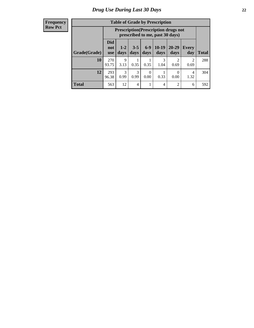| <b>Frequency</b> |
|------------------|
| <b>Row Pct</b>   |

| <b>Table of Grade by Prescription</b> |                                 |                                                                                                                             |      |           |           |               |                        |     |  |  |
|---------------------------------------|---------------------------------|-----------------------------------------------------------------------------------------------------------------------------|------|-----------|-----------|---------------|------------------------|-----|--|--|
|                                       |                                 | <b>Prescription</b> (Prescription drugs not<br>prescribed to me, past 30 days)                                              |      |           |           |               |                        |     |  |  |
| Grade(Grade)                          | <b>Did</b><br>not<br><b>use</b> | $10-19$<br>$6-9$<br>$3 - 5$<br>$20 - 29$<br>$1 - 2$<br>Every<br><b>Total</b><br>days<br>days<br>days<br>days<br>day<br>days |      |           |           |               |                        |     |  |  |
| 10                                    | 270<br>93.75                    | 9<br>3.13                                                                                                                   | 0.35 | 0.35      | 3<br>1.04 | ി<br>0.69     | $\mathfrak{D}$<br>0.69 | 288 |  |  |
| 12                                    | 293<br>96.38                    | 3<br>0.99                                                                                                                   | 0.99 | 0<br>0.00 | 0.33      | 0.00          | 4<br>1.32              | 304 |  |  |
| <b>Total</b>                          | 563                             | 12                                                                                                                          | 4    | 1         | 4         | $\mathcal{D}$ | 6                      | 592 |  |  |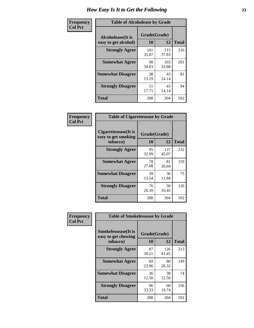| Frequency      | <b>Table of Alcoholease by Grade</b>              |                    |              |              |  |  |  |  |  |  |  |
|----------------|---------------------------------------------------|--------------------|--------------|--------------|--|--|--|--|--|--|--|
| <b>Col Pct</b> | <b>Alcoholease</b> (It is<br>easy to get alcohol) | Grade(Grade)<br>10 | 12           | <b>Total</b> |  |  |  |  |  |  |  |
|                | <b>Strongly Agree</b>                             | 101<br>35.07       | 115<br>37.83 | 216          |  |  |  |  |  |  |  |
|                | <b>Somewhat Agree</b>                             | 98<br>34.03        | 103<br>33.88 | 201          |  |  |  |  |  |  |  |
|                | <b>Somewhat Disagree</b>                          | 38<br>13.19        | 43<br>14.14  | 81           |  |  |  |  |  |  |  |
|                | <b>Strongly Disagree</b>                          | 51<br>17.71        | 43<br>14.14  | 94           |  |  |  |  |  |  |  |
|                | <b>Total</b>                                      | 288                | 304          | 592          |  |  |  |  |  |  |  |

| <b>Frequency</b> |  |
|------------------|--|
| <b>Col Pct</b>   |  |

| <b>Table of Cigarettesease by Grade</b>                 |                    |              |              |  |  |
|---------------------------------------------------------|--------------------|--------------|--------------|--|--|
| Cigarettesease(It is<br>easy to get smoking<br>tobacco) | Grade(Grade)<br>10 | 12           | <b>Total</b> |  |  |
| <b>Strongly Agree</b>                                   | 95<br>32.99        | 137<br>45.07 | 232          |  |  |
| <b>Somewhat Agree</b>                                   | 78<br>27.08        | 81<br>26.64  | 159          |  |  |
| <b>Somewhat Disagree</b>                                | 39<br>13.54        | 36<br>11.84  | 75           |  |  |
| <b>Strongly Disagree</b>                                | 76<br>26.39        | 50<br>16.45  | 126          |  |  |
| <b>Total</b>                                            | 288                | 304          | 592          |  |  |

| Frequency      | <b>Table of Smokelessease by Grade</b>             |              |              |              |
|----------------|----------------------------------------------------|--------------|--------------|--------------|
| <b>Col Pct</b> | <b>Smokelessease</b> (It is<br>easy to get chewing | Grade(Grade) |              |              |
|                | tobacco)                                           | 10           | 12           | <b>Total</b> |
|                | <b>Strongly Agree</b>                              | 87<br>30.21  | 126<br>41.45 | 213          |
|                | <b>Somewhat Agree</b>                              | 69<br>23.96  | 80<br>26.32  | 149          |
|                | <b>Somewhat Disagree</b>                           | 36<br>12.50  | 38<br>12.50  | 74           |
|                | <b>Strongly Disagree</b>                           | 96<br>33.33  | 60<br>19.74  | 156          |
|                | <b>Total</b>                                       | 288          | 304          | 592          |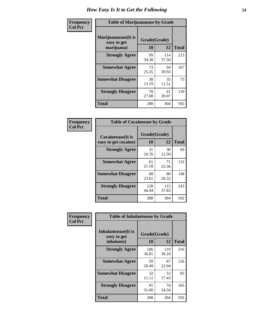| Frequency      | <b>Table of Marijuanaease by Grade</b>           |                    |              |              |
|----------------|--------------------------------------------------|--------------------|--------------|--------------|
| <b>Col Pct</b> | Marijuanaease(It is<br>easy to get<br>marijuana) | Grade(Grade)<br>10 | 12           | <b>Total</b> |
|                | <b>Strongly Agree</b>                            | 99<br>34.38        | 114<br>37.50 | 213          |
|                | <b>Somewhat Agree</b>                            | 73<br>25.35        | 94<br>30.92  | 167          |
|                | <b>Somewhat Disagree</b>                         | 38<br>13.19        | 35<br>11.51  | 73           |
|                | <b>Strongly Disagree</b>                         | 78<br>27.08        | 61<br>20.07  | 139          |
|                | <b>Total</b>                                     | 288                | 304          | 592          |

| <b>Table of Cocaineease by Grade</b>      |                    |              |     |  |  |
|-------------------------------------------|--------------------|--------------|-----|--|--|
| Cocaineease(It is<br>easy to get cocaine) | Grade(Grade)<br>10 | <b>Total</b> |     |  |  |
| <b>Strongly Agree</b>                     | 31<br>10.76        | 38<br>12.50  | 69  |  |  |
| <b>Somewhat Agree</b>                     | 61<br>21.18        | 71<br>23.36  | 132 |  |  |
| <b>Somewhat Disagree</b>                  | 68<br>23.61        | 80<br>26.32  | 148 |  |  |
| <b>Strongly Disagree</b>                  | 128<br>44.44       | 115<br>37.83 | 243 |  |  |
| <b>Total</b>                              | 288                | 304          | 592 |  |  |

| Frequency      | <b>Table of Inhalantsease by Grade</b>           |                    |              |              |
|----------------|--------------------------------------------------|--------------------|--------------|--------------|
| <b>Col Pct</b> | Inhalantsease(It is<br>easy to get<br>inhalants) | Grade(Grade)<br>10 | 12           | <b>Total</b> |
|                | <b>Strongly Agree</b>                            | 106<br>36.81       | 110<br>36.18 | 216          |
|                | <b>Somewhat Agree</b>                            | 59<br>20.49        | 67<br>22.04  | 126          |
|                | <b>Somewhat Disagree</b>                         | 32<br>11.11        | 53<br>17.43  | 85           |
|                | <b>Strongly Disagree</b>                         | 91<br>31.60        | 74<br>24.34  | 165          |
|                | <b>Total</b>                                     | 288                | 304          | 592          |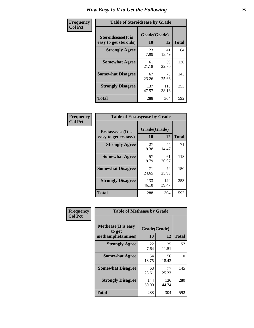| Frequency      | <b>Table of Steroidsease by Grade</b>               |                    |              |              |
|----------------|-----------------------------------------------------|--------------------|--------------|--------------|
| <b>Col Pct</b> | <b>Steroidsease</b> (It is<br>easy to get steroids) | Grade(Grade)<br>10 | 12           | <b>Total</b> |
|                | <b>Strongly Agree</b>                               | 23<br>7.99         | 41<br>13.49  | 64           |
|                | <b>Somewhat Agree</b>                               | 61<br>21.18        | 69<br>22.70  | 130          |
|                | <b>Somewhat Disagree</b>                            | 67<br>23.26        | 78<br>25.66  | 145          |
|                | <b>Strongly Disagree</b>                            | 137<br>47.57       | 116<br>38.16 | 253          |
|                | <b>Total</b>                                        | 288                | 304          | 592          |

| Frequency      | <b>Table of Ecstasyease by Grade</b>              |                           |              |              |
|----------------|---------------------------------------------------|---------------------------|--------------|--------------|
| <b>Col Pct</b> | <b>Ecstasyease</b> (It is<br>easy to get ecstasy) | Grade(Grade)<br><b>10</b> | 12           | <b>Total</b> |
|                | <b>Strongly Agree</b>                             | 27<br>9.38                | 44<br>14.47  | 71           |
|                | <b>Somewhat Agree</b>                             | 57<br>19.79               | 61<br>20.07  | 118          |
|                | <b>Somewhat Disagree</b>                          | 71<br>24.65               | 79<br>25.99  | 150          |
|                | <b>Strongly Disagree</b>                          | 133<br>46.18              | 120<br>39.47 | 253          |
|                | <b>Total</b>                                      | 288                       | 304          | 592          |

| <b>Frequency</b> | <b>Table of Methease by Grade</b>                          |                    |              |              |
|------------------|------------------------------------------------------------|--------------------|--------------|--------------|
| <b>Col Pct</b>   | <b>Methease</b> (It is easy<br>to get<br>methamphetamines) | Grade(Grade)<br>10 | 12           | <b>Total</b> |
|                  | <b>Strongly Agree</b>                                      | 22<br>7.64         | 35<br>11.51  | 57           |
|                  | <b>Somewhat Agree</b>                                      | 54<br>18.75        | 56<br>18.42  | 110          |
|                  | <b>Somewhat Disagree</b>                                   | 68<br>23.61        | 77<br>25.33  | 145          |
|                  | <b>Strongly Disagree</b>                                   | 144<br>50.00       | 136<br>44.74 | 280          |
|                  | <b>Total</b>                                               | 288                | 304          | 592          |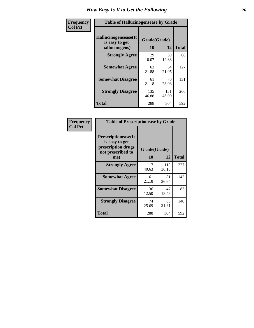| <b>Frequency</b> | <b>Table of Hallucinogensease by Grade</b>               |                    |              |              |
|------------------|----------------------------------------------------------|--------------------|--------------|--------------|
| <b>Col Pct</b>   | Hallucinogensease(It<br>is easy to get<br>hallucinogens) | Grade(Grade)<br>10 | 12           | <b>Total</b> |
|                  | <b>Strongly Agree</b>                                    | 29<br>10.07        | 39<br>12.83  | 68           |
|                  | <b>Somewhat Agree</b>                                    | 63<br>21.88        | 64<br>21.05  | 127          |
|                  | <b>Somewhat Disagree</b>                                 | 61<br>21.18        | 70<br>23.03  | 131          |
|                  | <b>Strongly Disagree</b>                                 | 135<br>46.88       | 131<br>43.09 | 266          |
|                  | <b>Total</b>                                             | 288                | 304          | 592          |

| Frequency<br>Col Pct |
|----------------------|

| <b>Table of Prescriptionease by Grade</b>                                                |              |              |              |  |  |
|------------------------------------------------------------------------------------------|--------------|--------------|--------------|--|--|
| <b>Prescriptionease</b> (It<br>is easy to get<br>prescription drugs<br>not prescribed to |              | Grade(Grade) |              |  |  |
| me)                                                                                      | 10           | 12           | <b>Total</b> |  |  |
| <b>Strongly Agree</b>                                                                    | 117<br>40.63 | 110<br>36.18 | 227          |  |  |
| <b>Somewhat Agree</b>                                                                    | 61<br>21.18  | 81<br>26.64  | 142          |  |  |
| <b>Somewhat Disagree</b>                                                                 | 36<br>12.50  | 47<br>15.46  | 83           |  |  |
| <b>Strongly Disagree</b>                                                                 | 74<br>25.69  | 66<br>21.71  | 140          |  |  |
| <b>Total</b>                                                                             | 288          | 304          | 592          |  |  |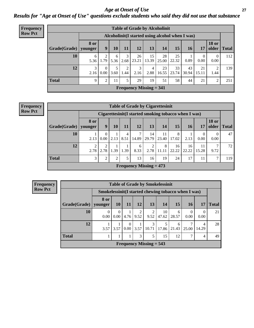*Age at Onset of Use* **27** *Results for "Age at Onset of Use" questions exclude students who said they did not use that substance*

| Frequency      |              |                        |                  |           |           |                                |             | <b>Table of Grade by Alcoholinit</b>             |             |             |                        |                       |              |
|----------------|--------------|------------------------|------------------|-----------|-----------|--------------------------------|-------------|--------------------------------------------------|-------------|-------------|------------------------|-----------------------|--------------|
| <b>Row Pct</b> |              |                        |                  |           |           |                                |             | Alcoholinit (I started using alcohol when I was) |             |             |                        |                       |              |
|                | Grade(Grade) | <b>8 or</b><br>younger | 9                | <b>10</b> | 11        | <b>12</b>                      | 13          | 14                                               | 15          | 16          | 17                     | <b>18 or</b><br>older | <b>Total</b> |
|                | 10           | 6<br>5.36              | 1.79             | 6<br>5.36 | 3<br>2.68 | 26<br>23.21                    | 15<br>13.39 | 28<br>25.00                                      | 25<br>22.32 | 0.89        | $\overline{0}$<br>0.00 | $\Omega$<br>0.00      | 112          |
|                | 12           | $\mathcal{E}$<br>2.16  | $\Omega$<br>0.00 | 3.60      | 2<br>1.44 | 3<br>2.16                      | 4<br>2.88   | 23<br>16.55                                      | 33<br>23.74 | 43<br>30.94 | 21<br>15.11            | 2<br>1.44             | 139          |
|                | <b>Total</b> | 9                      | 2                | 11        | 5         | 29                             | 19          | 51                                               | 58          | 44          | 21                     | 2                     | 251          |
|                |              |                        |                  |           |           | <b>Frequency Missing = 341</b> |             |                                                  |             |             |                        |                       |              |

#### **Frequency Row Pct**

| <b>Table of Grade by Cigarettesinit</b>                                   |                                                                                                                      |           |      |           |                                                      |             |             |             |             |                  |           |     |  |
|---------------------------------------------------------------------------|----------------------------------------------------------------------------------------------------------------------|-----------|------|-----------|------------------------------------------------------|-------------|-------------|-------------|-------------|------------------|-----------|-----|--|
|                                                                           |                                                                                                                      |           |      |           | Cigarettesinit(I started smoking tobacco when I was) |             |             |             |             |                  |           |     |  |
| Grade(Grade)                                                              | <b>18 or</b><br><b>8 or</b><br>13<br>15<br>9<br>older<br>11<br>12<br>14<br>10<br><b>Total</b><br>17<br>16<br>younger |           |      |           |                                                      |             |             |             |             |                  |           |     |  |
| 10                                                                        | 2.13                                                                                                                 | 0<br>0.00 | 2.13 | 4<br>8.51 | 7<br>14.89                                           | 14<br>29.79 | 11<br>23.40 | 8<br>17.02  | 2.13        | $\theta$<br>0.00 | 0<br>0.00 | 47  |  |
| 12                                                                        | ∍<br>2.78                                                                                                            | 2<br>2.78 | 1.39 | 1.39      | 6<br>8.33                                            | 2<br>2.78   | 8<br>11.11  | 16<br>22.22 | 16<br>22.22 | 11<br>15.28      | ⇁<br>9.72 | 72  |  |
| <b>Total</b><br>3<br>5<br>13<br>17<br>7<br>19<br>24<br>11<br>2<br>2<br>16 |                                                                                                                      |           |      |           |                                                      |             |             |             |             |                  |           | 119 |  |
|                                                                           | Frequency Missing $= 473$                                                                                            |           |      |           |                                                      |             |             |             |             |                  |           |     |  |

| <b>Table of Grade by Smokelessinit</b>            |                                                      |                                                                                          |                  |           |                        |             |            |                  |                  |    |  |  |  |  |
|---------------------------------------------------|------------------------------------------------------|------------------------------------------------------------------------------------------|------------------|-----------|------------------------|-------------|------------|------------------|------------------|----|--|--|--|--|
|                                                   | Smokelessinit (I started chewing tobacco when I was) |                                                                                          |                  |           |                        |             |            |                  |                  |    |  |  |  |  |
| Grade(Grade)                                      | 8 or<br>younger                                      | 15<br>12<br>13<br>14<br><b>16</b><br><b>10</b><br><b>Total</b><br><b>11</b><br><b>17</b> |                  |           |                        |             |            |                  |                  |    |  |  |  |  |
| 10                                                | 0<br>0.00                                            | 0<br>0.00                                                                                | 4.76             | 2<br>9.52 | $\overline{2}$<br>9.52 | 10<br>47.62 | 6<br>28.57 | $\Omega$<br>0.00 | $\theta$<br>0.00 | 21 |  |  |  |  |
| 12                                                | 3.57                                                 | 3.57                                                                                     | $\theta$<br>0.00 | 3.57      | 3<br>10.71             | 17.86       | 6<br>21.43 | 25.00            | 4<br>14.29       | 28 |  |  |  |  |
| <b>Total</b><br>3<br>5<br>12<br>1<br>15<br>⇁<br>4 |                                                      |                                                                                          |                  |           |                        |             |            |                  |                  |    |  |  |  |  |
| Frequency Missing $= 543$                         |                                                      |                                                                                          |                  |           |                        |             |            |                  |                  |    |  |  |  |  |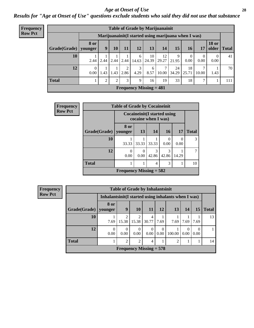### *Age at Onset of Use* **28**

*Results for "Age at Onset of Use" questions exclude students who said they did not use that substance*

| Frequency      |                        |             |                  |      |           |            | <b>Table of Grade by Marijuanainit</b>              |             |             |             |                        |                       |              |
|----------------|------------------------|-------------|------------------|------|-----------|------------|-----------------------------------------------------|-------------|-------------|-------------|------------------------|-----------------------|--------------|
| <b>Row Pct</b> |                        |             |                  |      |           |            | Marijuanainit(I started using marijuana when I was) |             |             |             |                        |                       |              |
|                | Grade(Grade)   younger | <b>8</b> or | $\boldsymbol{9}$ | 10   | 11        | 12         | 13                                                  | 14          | 15          | 16          | 17                     | <b>18 or</b><br>older | <b>Total</b> |
|                | 10                     | 2.44        | 2.44             | 2.44 | 2.44      | 6<br>14.63 | 10<br>24.39                                         | 12<br>29.27 | 9<br>21.95  | 0<br>0.00   | $\bf{0}$<br>0.00       | $\theta$<br>0.00      | 41           |
|                | 12                     | $0.00\,$    | 1.43             | 1.43 | ∍<br>2.86 | 3<br>4.29  | 6<br>8.57                                           | 7<br>10.00  | 24<br>34.29 | 18<br>25.71 | $\mathcal{I}$<br>10.00 | 1.43                  | 70           |
|                | <b>Total</b>           |             | $\mathcal{D}$    | ◠    | 3         | 9          | 16                                                  | 19          | 33          | 18          | 7                      |                       | 111          |
|                |                        |             |                  |      |           |            | <b>Frequency Missing = 481</b>                      |             |             |             |                        |                       |              |

| Frequency      |                        | <b>Table of Grade by Cocaineinit</b> |           |                     |                                     |       |              |  |  |
|----------------|------------------------|--------------------------------------|-----------|---------------------|-------------------------------------|-------|--------------|--|--|
| <b>Row Pct</b> |                        |                                      |           | cocaine when I was) | <b>Cocaineinit</b> (I started using |       |              |  |  |
|                | Grade(Grade)           | 8 or<br>younger                      | 13        | 14                  | <b>16</b>                           | 17    | <b>Total</b> |  |  |
|                | 10                     | 33.33                                | 33.33     | 33.33               | 0.00                                | 0.00  | 3            |  |  |
|                | 12                     | $\Omega$<br>0.00                     | 0<br>0.00 | 3<br>42.86          | 3<br>42.86                          | 14.29 |              |  |  |
|                | <b>Total</b><br>3<br>4 |                                      |           |                     |                                     |       |              |  |  |
|                |                        | Frequency Missing $= 582$            |           |                     |                                     |       |              |  |  |

**Frequency Row Pct**

|                        |                                                      |               | <b>Table of Grade by Inhalantsinit</b>                                                                                                                                   |                     |           |                |      |                  |              |
|------------------------|------------------------------------------------------|---------------|--------------------------------------------------------------------------------------------------------------------------------------------------------------------------|---------------------|-----------|----------------|------|------------------|--------------|
|                        | Inhalantsinit (I started using inhalants when I was) |               |                                                                                                                                                                          |                     |           |                |      |                  |              |
| Grade(Grade)   younger | 8 or                                                 | 9             | 10                                                                                                                                                                       | <b>11</b>           | <b>12</b> | 13             | 14   | 15               | <b>Total</b> |
| 10                     | 7.69                                                 | 15.38         | $\mathcal{D}_{\mathcal{A}}^{\mathcal{A}}(\mathcal{A})=\mathcal{D}_{\mathcal{A}}^{\mathcal{A}}(\mathcal{A})\mathcal{D}_{\mathcal{A}}^{\mathcal{A}}(\mathcal{A})$<br>15.38 | 4<br>$30.77$   7.69 |           | 7.69           | 7.69 | 7.69             | 13           |
| 12                     | $\Omega$<br>0.00                                     | 0.00          | $\Omega$<br>0.00                                                                                                                                                         | $\Omega$<br>0.00    | 0.00      | 100.00         | 0.00 | $\Omega$<br>0.00 |              |
| <b>Total</b>           |                                                      | $\mathcal{D}$ | $\mathfrak{D}$                                                                                                                                                           | 4                   |           | $\mathfrak{D}$ |      |                  | 14           |
|                        |                                                      |               | <b>Frequency Missing = <math>578</math></b>                                                                                                                              |                     |           |                |      |                  |              |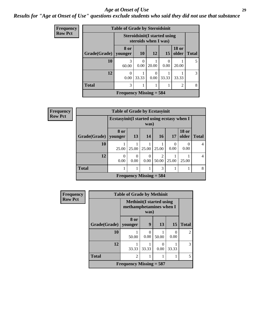### *Age at Onset of Use* **29**

*Results for "Age at Onset of Use" questions exclude students who said they did not use that substance*

| <b>Frequency</b> |              | <b>Table of Grade by Steroidsinit</b>                             |                                                              |           |       |       |   |  |  |  |
|------------------|--------------|-------------------------------------------------------------------|--------------------------------------------------------------|-----------|-------|-------|---|--|--|--|
| <b>Row Pct</b>   |              |                                                                   | <b>Steroidsinit (I started using</b><br>steroids when I was) |           |       |       |   |  |  |  |
|                  | Grade(Grade) | <b>18 or</b><br>8 or<br>older<br>10<br><b>12</b><br>15<br>vounger |                                                              |           |       |       |   |  |  |  |
|                  | 10           | 3<br>60.00                                                        | 0<br>0.00                                                    | 20.00     | 0.00  | 20.00 | 5 |  |  |  |
|                  | 12           | 0<br>0.00                                                         | 33.33                                                        | 0<br>0.00 | 33.33 | 33.33 | 3 |  |  |  |
|                  | <b>Total</b> | 3<br>$\overline{2}$                                               |                                                              |           |       |       |   |  |  |  |
|                  |              | Frequency Missing $=$ 584                                         |                                                              |           |       |       |   |  |  |  |

| Frequency      |                      | <b>Table of Grade by Ecstasyinit</b>        |                  |           |                           |           |                          |              |  |  |  |
|----------------|----------------------|---------------------------------------------|------------------|-----------|---------------------------|-----------|--------------------------|--------------|--|--|--|
| <b>Row Pct</b> |                      | Ecstasyinit (I started using ecstasy when I |                  | was)      |                           |           |                          |              |  |  |  |
|                | <b>Grade</b> (Grade) | 8 or<br>younger                             | 13 <sup>1</sup>  | 14        | <b>16</b>                 | <b>17</b> | <b>18 or</b><br>older    | <b>Total</b> |  |  |  |
|                | 10                   | 25.00                                       | 25.00            | 25.00     | 25.00                     | 0<br>0.00 | $\left( \right)$<br>0.00 | 4            |  |  |  |
|                | 12                   | 0<br>0.00                                   | $\Omega$<br>0.00 | 0<br>0.00 | $\mathfrak{D}$<br>50.00   | 25.00     | 25.00                    | 4            |  |  |  |
|                | <b>Total</b>         | 3                                           |                  |           |                           |           |                          |              |  |  |  |
|                |                      |                                             |                  |           | Frequency Missing $=$ 584 |           |                          |              |  |  |  |

| <b>Frequency</b> | <b>Table of Grade by Methinit</b> |                                                             |           |       |           |                |  |  |  |  |  |
|------------------|-----------------------------------|-------------------------------------------------------------|-----------|-------|-----------|----------------|--|--|--|--|--|
| <b>Row Pct</b>   |                                   | <b>Methinit</b> (I started using<br>methamphetamines when I | was)      |       |           |                |  |  |  |  |  |
|                  | Grade(Grade)                      | 8 or<br>younger                                             | 9         | 13    | <b>15</b> | <b>Total</b>   |  |  |  |  |  |
|                  | 10                                | 50.00                                                       | 0<br>0.00 | 50.00 | 0<br>0.00 | $\overline{c}$ |  |  |  |  |  |
|                  | 12                                | 33.33                                                       | 33.33     | 0.00  | 33.33     | 3              |  |  |  |  |  |
|                  | <b>Total</b>                      | $\overline{2}$                                              |           |       |           | 5              |  |  |  |  |  |
|                  |                                   | Frequency Missing $=$ 587                                   |           |       |           |                |  |  |  |  |  |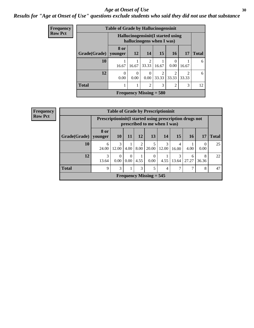### Age at Onset of Use **30**

### *Results for "Age at Onset of Use" questions exclude students who said they did not use that substance*

| Frequency      | <b>Table of Grade by Hallucinogensinit</b> |                  |                  |                           |                         |                                    |            |              |  |  |
|----------------|--------------------------------------------|------------------|------------------|---------------------------|-------------------------|------------------------------------|------------|--------------|--|--|
| <b>Row Pct</b> |                                            |                  |                  | hallucinogens when I was) |                         | Hallucinogensinit (I started using |            |              |  |  |
|                | Grade(Grade)                               | 8 or<br>younger  | 12               | 14                        | 15                      | 16                                 | 17         | <b>Total</b> |  |  |
|                | 10                                         | 16.67            | 16.67            | $\overline{2}$<br>33.33   | 16.67                   | $\Omega$<br>0.00                   | 16.67      | 6            |  |  |
|                | 12                                         | $\theta$<br>0.00 | $\theta$<br>0.00 | $\Omega$<br>0.00          | $\overline{2}$<br>33.33 | $\overline{2}$<br>33.33            | 2<br>33.33 | 6            |  |  |
|                | <b>Total</b>                               |                  | 1                | $\overline{2}$            | 3                       | $\overline{2}$                     | 3          | 12           |  |  |
|                |                                            |                  |                  | Frequency Missing $= 580$ |                         |                                    |            |              |  |  |

| <b>Frequency</b> |              |                                                         |                  |                  |                        | <b>Table of Grade by Prescriptioninit</b> |            |            |            |                  |              |
|------------------|--------------|---------------------------------------------------------|------------------|------------------|------------------------|-------------------------------------------|------------|------------|------------|------------------|--------------|
| <b>Row Pct</b>   |              | Prescriptioninit(I started using prescription drugs not |                  |                  |                        | prescribed to me when I was)              |            |            |            |                  |              |
|                  | Grade(Grade) | 8 or<br>younger                                         | <b>10</b>        | 11               | 12                     | 13                                        | 14         | 15         | 16         | 17               | <b>Total</b> |
|                  | 10           | 6<br>24.00                                              | 3<br>12.00       | 4.00             | $\mathfrak{D}$<br>8.00 | 5<br>20.00                                | 3<br>12.00 | 4<br>16.00 | 4.00       | $\Omega$<br>0.00 | 25           |
|                  | 12           | 3<br>13.64                                              | $\Omega$<br>0.00 | $\Omega$<br>0.00 | 4.55                   | 0<br>0.00                                 | 4.55       | 3<br>13.64 | 6<br>27.27 | 8<br>36.36       | 22           |
|                  | <b>Total</b> | 9                                                       | 3                |                  | 3                      | 5                                         | 4          | 7          |            | 8                | 47           |
|                  |              |                                                         |                  |                  |                        | Frequency Missing $= 545$                 |            |            |            |                  |              |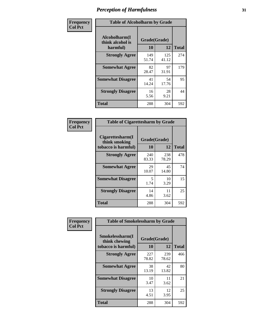| Frequency      | <b>Table of Alcoholharm by Grade</b>          |                    |              |              |
|----------------|-----------------------------------------------|--------------------|--------------|--------------|
| <b>Col Pct</b> | Alcoholharm(I<br>think alcohol is<br>harmful) | Grade(Grade)<br>10 | 12           | <b>Total</b> |
|                | <b>Strongly Agree</b>                         | 149<br>51.74       | 125<br>41.12 | 274          |
|                | <b>Somewhat Agree</b>                         | 82<br>28.47        | 97<br>31.91  | 179          |
|                | <b>Somewhat Disagree</b>                      | 41<br>14.24        | 54<br>17.76  | 95           |
|                | <b>Strongly Disagree</b>                      | 16<br>5.56         | 28<br>9.21   | 44           |
|                | <b>Total</b>                                  | 288                | 304          | 592          |

| <b>Table of Cigarettesharm by Grade</b>                  |                    |              |              |  |  |
|----------------------------------------------------------|--------------------|--------------|--------------|--|--|
| Cigarettesharm(I<br>think smoking<br>tobacco is harmful) | Grade(Grade)<br>10 | 12           | <b>Total</b> |  |  |
| <b>Strongly Agree</b>                                    | 240<br>83.33       | 238<br>78.29 | 478          |  |  |
| <b>Somewhat Agree</b>                                    | 29<br>10.07        | 45<br>14.80  | 74           |  |  |
| <b>Somewhat Disagree</b>                                 | 5<br>1.74          | 10<br>3.29   | 15           |  |  |
| <b>Strongly Disagree</b>                                 | 14<br>4.86         | 11<br>3.62   | 25           |  |  |
| <b>Total</b>                                             | 288                | 304          | 592          |  |  |

| Frequency      | <b>Table of Smokelessharm by Grade</b>                  |                    |              |              |
|----------------|---------------------------------------------------------|--------------------|--------------|--------------|
| <b>Col Pct</b> | Smokelessharm(I<br>think chewing<br>tobacco is harmful) | Grade(Grade)<br>10 | 12           | <b>Total</b> |
|                | <b>Strongly Agree</b>                                   | 227<br>78.82       | 239<br>78.62 | 466          |
|                | <b>Somewhat Agree</b>                                   | 38<br>13.19        | 42<br>13.82  | 80           |
|                | <b>Somewhat Disagree</b>                                | 10<br>3.47         | 11<br>3.62   | 21           |
|                | <b>Strongly Disagree</b>                                | 13<br>4.51         | 12<br>3.95   | 25           |
|                | <b>Total</b>                                            | 288                | 304          | 592          |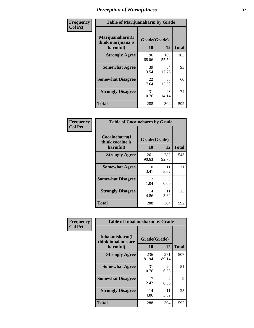| Frequency      |                                                   | <b>Table of Marijuanaharm by Grade</b> |              |              |  |
|----------------|---------------------------------------------------|----------------------------------------|--------------|--------------|--|
| <b>Col Pct</b> | Marijuanaharm(I<br>think marijuana is<br>harmful) | Grade(Grade)<br>10                     | 12           | <b>Total</b> |  |
|                | <b>Strongly Agree</b>                             | 196<br>68.06                           | 169<br>55.59 | 365          |  |
|                | <b>Somewhat Agree</b>                             | 39<br>13.54                            | 54<br>17.76  | 93           |  |
|                | <b>Somewhat Disagree</b>                          | 22<br>7.64                             | 38<br>12.50  | 60           |  |
|                | <b>Strongly Disagree</b>                          | 31<br>10.76                            | 43<br>14.14  | 74           |  |
|                | <b>Total</b>                                      | 288                                    | 304          | 592          |  |

| <b>Table of Cocaineharm by Grade</b>          |                    |              |              |  |  |
|-----------------------------------------------|--------------------|--------------|--------------|--|--|
| Cocaineharm(I<br>think cocaine is<br>harmful) | Grade(Grade)<br>10 | 12           | <b>Total</b> |  |  |
| <b>Strongly Agree</b>                         | 261<br>90.63       | 282<br>92.76 | 543          |  |  |
| <b>Somewhat Agree</b>                         | 10<br>3.47         | 11<br>3.62   | 21           |  |  |
| <b>Somewhat Disagree</b>                      | 3<br>1.04          | 0<br>0.00    | 3            |  |  |
| <b>Strongly Disagree</b>                      | 14<br>4.86         | 11<br>3.62   | 25           |  |  |
| <b>Total</b>                                  | 288                | 304          | 592          |  |  |

| Frequency      | <b>Table of Inhalantsharm by Grade</b>             |                    |              |              |
|----------------|----------------------------------------------------|--------------------|--------------|--------------|
| <b>Col Pct</b> | Inhalantsharm(I<br>think inhalants are<br>harmful) | Grade(Grade)<br>10 | <b>12</b>    | <b>Total</b> |
|                | <b>Strongly Agree</b>                              | 236<br>81.94       | 271<br>89.14 | 507          |
|                | <b>Somewhat Agree</b>                              | 31<br>10.76        | 20<br>6.58   | 51           |
|                | <b>Somewhat Disagree</b>                           | 7<br>2.43          | 2<br>0.66    | 9            |
|                | <b>Strongly Disagree</b>                           | 14<br>4.86         | 11<br>3.62   | 25           |
|                | <b>Total</b>                                       | 288                | 304          | 592          |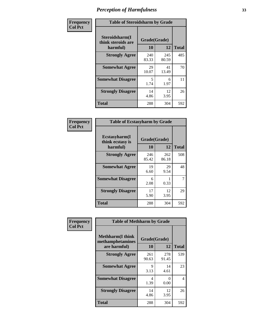| Frequency      | <b>Table of Steroidsharm by Grade</b>            |                    |              |              |
|----------------|--------------------------------------------------|--------------------|--------------|--------------|
| <b>Col Pct</b> | Steroidsharm(I<br>think steroids are<br>harmful) | Grade(Grade)<br>10 | 12           | <b>Total</b> |
|                | <b>Strongly Agree</b>                            | 240<br>83.33       | 245<br>80.59 | 485          |
|                | <b>Somewhat Agree</b>                            | 29<br>10.07        | 41<br>13.49  | 70           |
|                | <b>Somewhat Disagree</b>                         | 5<br>1.74          | 6<br>1.97    | 11           |
|                | <b>Strongly Disagree</b>                         | 14<br>4.86         | 12<br>3.95   | 26           |
|                | <b>Total</b>                                     | 288                | 304          | 592          |

| <b>Table of Ecstasyharm by Grade</b>                |                    |              |              |  |  |
|-----------------------------------------------------|--------------------|--------------|--------------|--|--|
| $E$ cstasyharm $(I$<br>think ecstasy is<br>harmful) | Grade(Grade)<br>10 | 12           | <b>Total</b> |  |  |
| <b>Strongly Agree</b>                               | 246<br>85.42       | 262<br>86.18 | 508          |  |  |
| <b>Somewhat Agree</b>                               | 19<br>6.60         | 29<br>9.54   | 48           |  |  |
| <b>Somewhat Disagree</b>                            | 6<br>2.08          | 1<br>0.33    | 7            |  |  |
| <b>Strongly Disagree</b>                            | 17<br>5.90         | 12<br>3.95   | 29           |  |  |
| <b>Total</b>                                        | 288                | 304          | 592          |  |  |

| Frequency      | <b>Table of Methharm by Grade</b>                            |                    |              |              |
|----------------|--------------------------------------------------------------|--------------------|--------------|--------------|
| <b>Col Pct</b> | <b>Methharm</b> (I think<br>methamphetamines<br>are harmful) | Grade(Grade)<br>10 | 12           | <b>Total</b> |
|                | <b>Strongly Agree</b>                                        | 261<br>90.63       | 278<br>91.45 | 539          |
|                | <b>Somewhat Agree</b>                                        | 9<br>3.13          | 14<br>4.61   | 23           |
|                | <b>Somewhat Disagree</b>                                     | 4<br>1.39          | 0<br>0.00    | 4            |
|                | <b>Strongly Disagree</b>                                     | 14<br>4.86         | 12<br>3.95   | 26           |
|                | Total                                                        | 288                | 304          | 592          |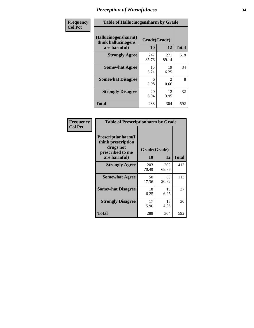| Frequency      | <b>Table of Hallucinogensharm by Grade</b>                 |                    |                        |              |
|----------------|------------------------------------------------------------|--------------------|------------------------|--------------|
| <b>Col Pct</b> | Hallucinogensharm(I<br>think hallucinogens<br>are harmful) | Grade(Grade)<br>10 | 12                     | <b>Total</b> |
|                | <b>Strongly Agree</b>                                      | 247<br>85.76       | 271<br>89.14           | 518          |
|                | <b>Somewhat Agree</b>                                      | 15<br>5.21         | 19<br>6.25             | 34           |
|                | <b>Somewhat Disagree</b>                                   | 6<br>2.08          | $\mathfrak{D}$<br>0.66 | 8            |
|                | <b>Strongly Disagree</b>                                   | 20<br>6.94         | 12<br>3.95             | 32           |
|                | <b>Total</b>                                               | 288                | 304                    | 592          |

| <b>Table of Prescriptionharm by Grade</b>                                         |              |              |              |  |
|-----------------------------------------------------------------------------------|--------------|--------------|--------------|--|
| <b>Prescriptionharm</b> (I<br>think prescription<br>drugs not<br>prescribed to me | Grade(Grade) |              |              |  |
| are harmful)                                                                      | 10           | 12           | <b>Total</b> |  |
| <b>Strongly Agree</b>                                                             | 203<br>70.49 | 209<br>68.75 | 412          |  |
| <b>Somewhat Agree</b>                                                             | 50<br>17.36  | 63<br>20.72  | 113          |  |
| <b>Somewhat Disagree</b>                                                          | 18<br>6.25   | 19<br>6.25   | 37           |  |
| <b>Strongly Disagree</b>                                                          | 17<br>5.90   | 13<br>4.28   | 30           |  |
| <b>Total</b>                                                                      | 288          | 304          | 592          |  |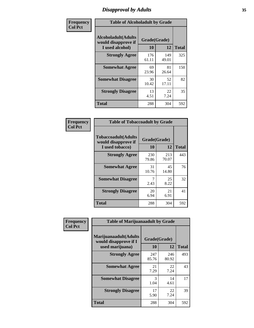# *Disapproval by Adults* **35**

| Frequency      | <b>Table of Alcoholadult by Grade</b>                                 |                    |              |              |
|----------------|-----------------------------------------------------------------------|--------------------|--------------|--------------|
| <b>Col Pct</b> | <b>Alcoholadult</b> (Adults<br>would disapprove if<br>I used alcohol) | Grade(Grade)<br>10 | 12           | <b>Total</b> |
|                | <b>Strongly Agree</b>                                                 | 176<br>61.11       | 149<br>49.01 | 325          |
|                | <b>Somewhat Agree</b>                                                 | 69<br>23.96        | 81<br>26.64  | 150          |
|                | <b>Somewhat Disagree</b>                                              | 30<br>10.42        | 52<br>17.11  | 82           |
|                | <b>Strongly Disagree</b>                                              | 13<br>4.51         | 22<br>7.24   | 35           |
|                | <b>Total</b>                                                          | 288                | 304          | 592          |

| <b>Table of Tobaccoadult by Grade</b>                                 |                    |              |              |  |  |
|-----------------------------------------------------------------------|--------------------|--------------|--------------|--|--|
| <b>Tobaccoadult</b> (Adults<br>would disapprove if<br>I used tobacco) | Grade(Grade)<br>10 | 12           | <b>Total</b> |  |  |
| <b>Strongly Agree</b>                                                 | 230<br>79.86       | 213<br>70.07 | 443          |  |  |
| <b>Somewhat Agree</b>                                                 | 31<br>10.76        | 45<br>14.80  | 76           |  |  |
| <b>Somewhat Disagree</b>                                              | 7<br>2.43          | 25<br>8.22   | 32           |  |  |
| <b>Strongly Disagree</b>                                              | 20<br>6.94         | 21<br>6.91   | 41           |  |  |
| <b>Total</b>                                                          | 288                | 304          | 592          |  |  |

| Frequency      | <b>Table of Marijuanaadult by Grade</b>                           |                    |              |              |  |
|----------------|-------------------------------------------------------------------|--------------------|--------------|--------------|--|
| <b>Col Pct</b> | Marijuanaadult(Adults<br>would disapprove if I<br>used marijuana) | Grade(Grade)<br>10 | 12           | <b>Total</b> |  |
|                | <b>Strongly Agree</b>                                             | 247<br>85.76       | 246<br>80.92 | 493          |  |
|                | <b>Somewhat Agree</b>                                             | 21<br>7.29         | 22<br>7.24   | 43           |  |
|                | <b>Somewhat Disagree</b>                                          | 3<br>1.04          | 14<br>4.61   | 17           |  |
|                | <b>Strongly Disagree</b>                                          | 17<br>5.90         | 22<br>7.24   | 39           |  |
|                | <b>Total</b>                                                      | 288                | 304          | 592          |  |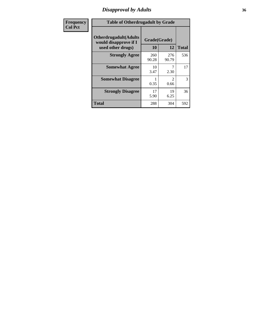# *Disapproval by Adults* **36**

| Frequency      | <b>Table of Otherdrugadult by Grade</b>                                     |                    |                                     |              |  |
|----------------|-----------------------------------------------------------------------------|--------------------|-------------------------------------|--------------|--|
| <b>Col Pct</b> | <b>Otherdrugadult</b> (Adults<br>would disapprove if I<br>used other drugs) | Grade(Grade)<br>10 | 12                                  | <b>Total</b> |  |
|                | <b>Strongly Agree</b>                                                       | 260<br>90.28       | 276<br>90.79                        | 536          |  |
|                | <b>Somewhat Agree</b>                                                       | 10<br>3.47         | 7<br>2.30                           | 17           |  |
|                | <b>Somewhat Disagree</b>                                                    | 0.35               | $\mathcal{D}_{\mathcal{L}}$<br>0.66 | 3            |  |
|                | <b>Strongly Disagree</b>                                                    | 17<br>5.90         | 19<br>6.25                          | 36           |  |
|                | <b>Total</b>                                                                | 288                | 304                                 | 592          |  |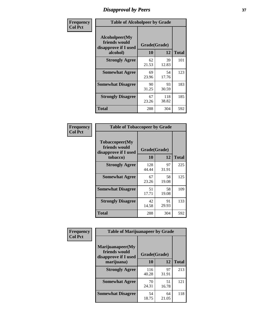## *Disapproval by Peers* **37**

| Frequency      | <b>Table of Alcoholpeer by Grade</b>                    |              |              |              |
|----------------|---------------------------------------------------------|--------------|--------------|--------------|
| <b>Col Pct</b> | Alcoholpeer(My<br>friends would<br>disapprove if I used | Grade(Grade) |              |              |
|                | alcohol)                                                | 10           | 12           | <b>Total</b> |
|                | <b>Strongly Agree</b>                                   | 62<br>21.53  | 39<br>12.83  | 101          |
|                | <b>Somewhat Agree</b>                                   | 69<br>23.96  | 54<br>17.76  | 123          |
|                | <b>Somewhat Disagree</b>                                | 90<br>31.25  | 93<br>30.59  | 183          |
|                | <b>Strongly Disagree</b>                                | 67<br>23.26  | 118<br>38.82 | 185          |
|                | Total                                                   | 288          | 304          | 592          |

| Frequency      | <b>Table of Tobaccopeer by Grade</b>                    |              |             |              |
|----------------|---------------------------------------------------------|--------------|-------------|--------------|
| <b>Col Pct</b> | Tobaccopeer(My<br>friends would<br>disapprove if I used | Grade(Grade) |             |              |
|                | tobacco)                                                | 10           | 12          | <b>Total</b> |
|                | <b>Strongly Agree</b>                                   | 128<br>44.44 | 97<br>31.91 | 225          |
|                | <b>Somewhat Agree</b>                                   | 67<br>23.26  | 58<br>19.08 | 125          |
|                | <b>Somewhat Disagree</b>                                | 51<br>17.71  | 58<br>19.08 | 109          |
|                | <b>Strongly Disagree</b>                                | 42<br>14.58  | 91<br>29.93 | 133          |
|                | Total                                                   | 288          | 304         | 592          |

| Frequency      | <b>Table of Marijuanapeer by Grade</b>                    |              |             |              |
|----------------|-----------------------------------------------------------|--------------|-------------|--------------|
| <b>Col Pct</b> | Marijuanapeer(My<br>friends would<br>disapprove if I used | Grade(Grade) |             |              |
|                | marijuana)                                                | 10           | 12          | <b>Total</b> |
|                | <b>Strongly Agree</b>                                     | 116<br>40.28 | 97<br>31.91 | 213          |
|                | <b>Somewhat Agree</b>                                     | 70<br>24.31  | 51<br>16.78 | 121          |
|                | <b>Somewhat Disagree</b>                                  | 54<br>18.75  | 64<br>21.05 | 118          |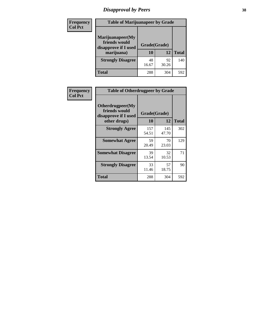# *Disapproval by Peers* **38**

| Frequency<br><b>Col Pct</b> | <b>Table of Marijuanapeer by Grade</b>                                  |                    |             |              |
|-----------------------------|-------------------------------------------------------------------------|--------------------|-------------|--------------|
|                             | Marijuanapeer(My<br>friends would<br>disapprove if I used<br>marijuana) | Grade(Grade)<br>10 | 12          | <b>Total</b> |
|                             | <b>Strongly Disagree</b>                                                | 48<br>16.67        | 92<br>30.26 | 140          |
|                             | Total                                                                   | 288                | 304         | 592          |

| Frequency      | <b>Table of Otherdrugpeer by Grade</b>                                    |                    |              |              |
|----------------|---------------------------------------------------------------------------|--------------------|--------------|--------------|
| <b>Col Pct</b> | Otherdrugpeer(My<br>friends would<br>disapprove if I used<br>other drugs) | Grade(Grade)<br>10 | 12           | <b>Total</b> |
|                | <b>Strongly Agree</b>                                                     | 157<br>54.51       | 145<br>47.70 | 302          |
|                | <b>Somewhat Agree</b>                                                     | 59<br>20.49        | 70<br>23.03  | 129          |
|                | <b>Somewhat Disagree</b>                                                  | 39<br>13.54        | 32<br>10.53  | 71           |
|                | <b>Strongly Disagree</b>                                                  | 33<br>11.46        | 57<br>18.75  | 90           |
|                | <b>Total</b>                                                              | 288                | 304          | 592          |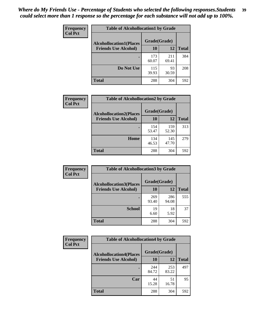| Frequency<br><b>Col Pct</b> | <b>Table of Alcohollocation1 by Grade</b> |              |              |              |  |
|-----------------------------|-------------------------------------------|--------------|--------------|--------------|--|
|                             | <b>Alcohollocation1(Places</b>            | Grade(Grade) |              |              |  |
|                             | <b>Friends Use Alcohol)</b>               | 10           | 12           | <b>Total</b> |  |
|                             |                                           | 173<br>60.07 | 211<br>69.41 | 384          |  |
|                             | Do Not Use                                | 115<br>39.93 | 93<br>30.59  | 208          |  |
|                             | <b>Total</b>                              | 288          | 304          | 592          |  |

| <b>Frequency</b> | <b>Table of Alcohollocation2 by Grade</b> |              |              |              |
|------------------|-------------------------------------------|--------------|--------------|--------------|
| <b>Col Pct</b>   | <b>Alcohollocation2(Places</b>            | Grade(Grade) |              |              |
|                  | <b>Friends Use Alcohol)</b>               | 10           | 12           | <b>Total</b> |
|                  |                                           | 154<br>53.47 | 159<br>52.30 | 313          |
|                  | Home                                      | 134<br>46.53 | 145<br>47.70 | 279          |
|                  | <b>Total</b>                              | 288          | 304          | 592          |

| Frequency<br><b>Col Pct</b> | <b>Table of Alcohollocation 3 by Grade</b>                    |                    |              |              |  |
|-----------------------------|---------------------------------------------------------------|--------------------|--------------|--------------|--|
|                             | <b>Alcohollocation3(Places</b><br><b>Friends Use Alcohol)</b> | Grade(Grade)<br>10 | 12           | <b>Total</b> |  |
|                             |                                                               |                    |              |              |  |
|                             |                                                               | 269<br>93.40       | 286<br>94.08 | 555          |  |
|                             | <b>School</b>                                                 | 19<br>6.60         | 18<br>5.92   | 37           |  |
|                             | Total                                                         | 288                | 304          | 592          |  |

| <b>Frequency</b> | <b>Table of Alcohollocation4 by Grade</b> |              |              |              |  |
|------------------|-------------------------------------------|--------------|--------------|--------------|--|
| <b>Col Pct</b>   | <b>Alcohollocation4(Places</b>            | Grade(Grade) |              |              |  |
|                  | <b>Friends Use Alcohol)</b>               | 10           | 12           | <b>Total</b> |  |
|                  |                                           | 244<br>84.72 | 253<br>83.22 | 497          |  |
|                  | Car                                       | 44<br>15.28  | 51<br>16.78  | 95           |  |
|                  | <b>Total</b>                              | 288          | 304          | 592          |  |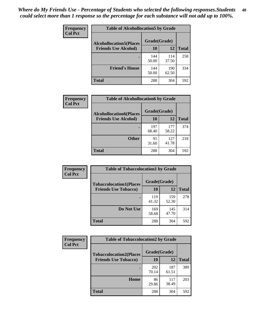| Frequency      | <b>Table of Alcohollocation5 by Grade</b>      |              |              |              |  |
|----------------|------------------------------------------------|--------------|--------------|--------------|--|
| <b>Col Pct</b> | Grade(Grade)<br><b>Alcohollocation5(Places</b> |              |              |              |  |
|                | <b>Friends Use Alcohol)</b>                    | 10           | 12           | <b>Total</b> |  |
|                |                                                | 144<br>50.00 | 114<br>37.50 | 258          |  |
|                | <b>Friend's House</b>                          | 144<br>50.00 | 190<br>62.50 | 334          |  |
|                | <b>Total</b>                                   | 288          | 304          | 592          |  |

| Frequency      | <b>Table of Alcohollocation6 by Grade</b>                     |                    |              |              |
|----------------|---------------------------------------------------------------|--------------------|--------------|--------------|
| <b>Col Pct</b> | <b>Alcohollocation6(Places</b><br><b>Friends Use Alcohol)</b> | Grade(Grade)<br>10 | <b>12</b>    | <b>Total</b> |
|                |                                                               | 197<br>68.40       | 177<br>58.22 | 374          |
|                | <b>Other</b>                                                  | 91<br>31.60        | 127<br>41.78 | 218          |
|                | <b>Total</b>                                                  | 288                | 304          | 592          |

| <b>Frequency</b> | <b>Table of Tobaccolocation1 by Grade</b> |              |              |              |
|------------------|-------------------------------------------|--------------|--------------|--------------|
| <b>Col Pct</b>   | <b>Tobaccolocation1(Places</b>            | Grade(Grade) |              |              |
|                  | <b>Friends Use Tobacco)</b>               | 10           | 12           | <b>Total</b> |
|                  |                                           | 119<br>41.32 | 159<br>52.30 | 278          |
|                  | Do Not Use                                | 169<br>58.68 | 145<br>47.70 | 314          |
|                  | <b>Total</b>                              | 288          | 304          | 592          |

| <b>Frequency</b> | <b>Table of Tobaccolocation2 by Grade</b> |              |              |              |  |
|------------------|-------------------------------------------|--------------|--------------|--------------|--|
| <b>Col Pct</b>   | <b>Tobaccolocation2(Places</b>            | Grade(Grade) |              |              |  |
|                  | <b>Friends Use Tobacco)</b>               | 10           | 12           | <b>Total</b> |  |
|                  |                                           | 202<br>70.14 | 187<br>61.51 | 389          |  |
|                  | Home                                      | 86<br>29.86  | 117<br>38.49 | 203          |  |
|                  | <b>Total</b>                              | 288          | 304          | 592          |  |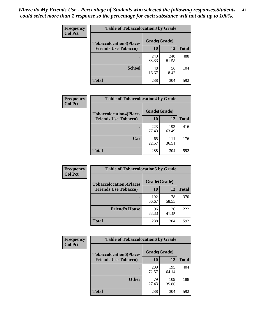| Frequency      | <b>Table of Tobaccolocation3 by Grade</b> |              |              |              |  |
|----------------|-------------------------------------------|--------------|--------------|--------------|--|
| <b>Col Pct</b> | <b>Tobaccolocation3(Places</b>            | Grade(Grade) |              |              |  |
|                | <b>Friends Use Tobacco)</b>               | 10           | 12           | <b>Total</b> |  |
|                |                                           | 240<br>83.33 | 248<br>81.58 | 488          |  |
|                | <b>School</b>                             | 48<br>16.67  | 56<br>18.42  | 104          |  |
|                | <b>Total</b>                              | 288          | 304          | 592          |  |

| Frequency      | <b>Table of Tobaccolocation4 by Grade</b> |              |              |              |
|----------------|-------------------------------------------|--------------|--------------|--------------|
| <b>Col Pct</b> | <b>Tobaccolocation4(Places</b>            | Grade(Grade) |              |              |
|                | <b>Friends Use Tobacco)</b>               | 10           | <b>12</b>    | <b>Total</b> |
|                |                                           | 223<br>77.43 | 193<br>63.49 | 416          |
|                | Car                                       | 65<br>22.57  | 111<br>36.51 | 176          |
|                | <b>Total</b>                              | 288          | 304          | 592          |

| Frequency<br><b>Col Pct</b> | <b>Table of Tobaccolocation5 by Grade</b>                     |                    |              |              |
|-----------------------------|---------------------------------------------------------------|--------------------|--------------|--------------|
|                             | <b>Tobaccolocation5(Places</b><br><b>Friends Use Tobacco)</b> | Grade(Grade)<br>10 | 12           | <b>Total</b> |
|                             |                                                               | 192<br>66.67       | 178<br>58.55 | 370          |
|                             | <b>Friend's House</b>                                         | 96<br>33.33        | 126<br>41.45 | 222          |
|                             | <b>Total</b>                                                  | 288                | 304          | 592          |

| Frequency      | <b>Table of Tobaccolocation6 by Grade</b> |              |              |              |
|----------------|-------------------------------------------|--------------|--------------|--------------|
| <b>Col Pct</b> | <b>Tobaccolocation6(Places</b>            | Grade(Grade) |              |              |
|                | <b>Friends Use Tobacco)</b>               | 10           | 12           | <b>Total</b> |
|                |                                           | 209<br>72.57 | 195<br>64.14 | 404          |
|                | <b>Other</b>                              | 79<br>27.43  | 109<br>35.86 | 188          |
|                | <b>Total</b>                              | 288          | 304          | 592          |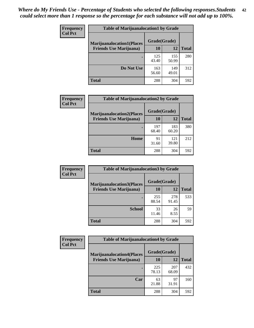| Frequency      | <b>Table of Marijuanalocation1 by Grade</b> |              |              |              |
|----------------|---------------------------------------------|--------------|--------------|--------------|
| <b>Col Pct</b> | <b>Marijuanalocation1(Places</b>            | Grade(Grade) |              |              |
|                | <b>Friends Use Marijuana</b> )              | <b>10</b>    | 12           | <b>Total</b> |
|                |                                             | 125<br>43.40 | 155<br>50.99 | 280          |
|                | Do Not Use                                  | 163<br>56.60 | 149<br>49.01 | 312          |
|                | <b>Total</b>                                | 288          | 304          | 592          |

| <b>Frequency</b> | <b>Table of Marijuanalocation2 by Grade</b>                        |                    |              |              |
|------------------|--------------------------------------------------------------------|--------------------|--------------|--------------|
| <b>Col Pct</b>   | <b>Marijuanalocation2(Places</b><br><b>Friends Use Marijuana</b> ) | Grade(Grade)<br>10 | 12           | <b>Total</b> |
|                  |                                                                    | 197<br>68.40       | 183<br>60.20 | 380          |
|                  | Home                                                               | 91<br>31.60        | 121<br>39.80 | 212          |
|                  | <b>Total</b>                                                       | 288                | 304          | 592          |

| <b>Frequency</b><br><b>Col Pct</b> | <b>Table of Marijuanalocation3 by Grade</b> |              |              |              |
|------------------------------------|---------------------------------------------|--------------|--------------|--------------|
|                                    | <b>Marijuanalocation3</b> (Places           | Grade(Grade) |              |              |
|                                    | <b>Friends Use Marijuana</b> )              | <b>10</b>    | 12           | <b>Total</b> |
|                                    |                                             | 255<br>88.54 | 278<br>91.45 | 533          |
|                                    | <b>School</b>                               | 33<br>11.46  | 26<br>8.55   | 59           |
|                                    | <b>Total</b>                                | 288          | 304          | 592          |

| <b>Frequency</b> | <b>Table of Marijuanalocation4 by Grade</b> |              |              |              |  |
|------------------|---------------------------------------------|--------------|--------------|--------------|--|
| <b>Col Pct</b>   | <b>Marijuanalocation4(Places</b>            | Grade(Grade) |              |              |  |
|                  | <b>Friends Use Marijuana</b> )              | <b>10</b>    | 12           | <b>Total</b> |  |
|                  |                                             | 225<br>78.13 | 207<br>68.09 | 432          |  |
|                  | Car                                         | 63<br>21.88  | 97<br>31.91  | 160          |  |
|                  | <b>Total</b>                                | 288          | 304          | 592          |  |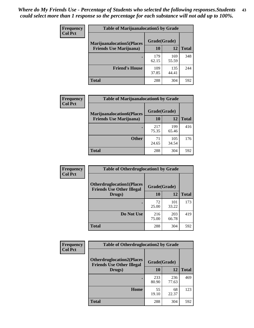| <b>Frequency</b> | <b>Table of Marijuanalocation5 by Grade</b> |              |              |              |
|------------------|---------------------------------------------|--------------|--------------|--------------|
| <b>Col Pct</b>   | <b>Marijuanalocation5</b> (Places           | Grade(Grade) |              |              |
|                  | <b>Friends Use Marijuana</b> )              | 10           | 12           | <b>Total</b> |
|                  |                                             | 179<br>62.15 | 169<br>55.59 | 348          |
|                  | <b>Friend's House</b>                       | 109<br>37.85 | 135<br>44.41 | 244          |
|                  | <b>Total</b>                                | 288          | 304          | 592          |

| <b>Frequency</b> | <b>Table of Marijuanalocation6 by Grade</b>                        |                    |              |              |
|------------------|--------------------------------------------------------------------|--------------------|--------------|--------------|
| <b>Col Pct</b>   | <b>Marijuanalocation6(Places</b><br><b>Friends Use Marijuana</b> ) | Grade(Grade)<br>10 | 12           | <b>Total</b> |
|                  |                                                                    | 217<br>75.35       | 199<br>65.46 | 416          |
|                  | <b>Other</b>                                                       | 71<br>24.65        | 105<br>34.54 | 176          |
|                  | <b>Total</b>                                                       | 288                | 304          | 592          |

| <b>Frequency</b> | <b>Table of Otherdruglocation1 by Grade</b>                          |              |              |              |
|------------------|----------------------------------------------------------------------|--------------|--------------|--------------|
| <b>Col Pct</b>   | <b>Otherdruglocation1(Places</b><br><b>Friends Use Other Illegal</b> | Grade(Grade) |              |              |
|                  | Drugs)                                                               | 10           | 12           | <b>Total</b> |
|                  |                                                                      | 72<br>25.00  | 101<br>33.22 | 173          |
|                  | Do Not Use                                                           | 216<br>75.00 | 203<br>66.78 | 419          |
|                  | <b>Total</b>                                                         | 288          | 304          | 592          |

| <b>Frequency</b> | <b>Table of Otherdruglocation2 by Grade</b>                           |              |              |              |
|------------------|-----------------------------------------------------------------------|--------------|--------------|--------------|
| <b>Col Pct</b>   | <b>Otherdruglocation2(Places)</b><br><b>Friends Use Other Illegal</b> | Grade(Grade) |              |              |
|                  | Drugs)                                                                | 10           | 12           | <b>Total</b> |
|                  |                                                                       | 233<br>80.90 | 236<br>77.63 | 469          |
|                  | Home                                                                  | 55<br>19.10  | 68<br>22.37  | 123          |
|                  | <b>Total</b>                                                          | 288          | 304          | 592          |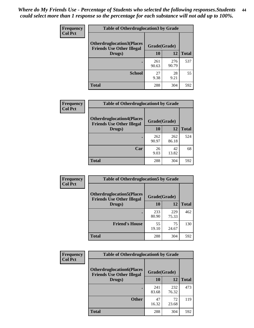| <b>Frequency</b> | <b>Table of Otherdruglocation 3 by Grade</b>                          |              |              |              |
|------------------|-----------------------------------------------------------------------|--------------|--------------|--------------|
| <b>Col Pct</b>   | <b>Otherdruglocation3(Places)</b><br><b>Friends Use Other Illegal</b> | Grade(Grade) |              |              |
|                  | Drugs)                                                                | 10           | 12           | <b>Total</b> |
|                  |                                                                       | 261<br>90.63 | 276<br>90.79 | 537          |
|                  | <b>School</b>                                                         | 27<br>9.38   | 28<br>9.21   | 55           |
|                  | <b>Total</b>                                                          | 288          | 304          | 592          |

| <b>Frequency</b><br><b>Col Pct</b> | <b>Table of Otherdruglocation4 by Grade</b>                          |              |              |              |
|------------------------------------|----------------------------------------------------------------------|--------------|--------------|--------------|
|                                    | <b>Otherdruglocation4(Places</b><br><b>Friends Use Other Illegal</b> | Grade(Grade) |              |              |
|                                    | Drugs)                                                               | 10           | 12           | <b>Total</b> |
|                                    |                                                                      | 262<br>90.97 | 262<br>86.18 | 524          |
|                                    | Car                                                                  | 26<br>9.03   | 42<br>13.82  | 68           |
|                                    | <b>Total</b>                                                         | 288          | 304          | 592          |

| <b>Frequency</b> | <b>Table of Otherdruglocation5 by Grade</b>                          |              |              |              |
|------------------|----------------------------------------------------------------------|--------------|--------------|--------------|
| <b>Col Pct</b>   | <b>Otherdruglocation5(Places</b><br><b>Friends Use Other Illegal</b> | Grade(Grade) |              |              |
|                  | Drugs)                                                               | 10           | 12           | <b>Total</b> |
|                  |                                                                      | 233<br>80.90 | 229<br>75.33 | 462          |
|                  | <b>Friend's House</b>                                                | 55<br>19.10  | 75<br>24.67  | 130          |
|                  | <b>Total</b>                                                         | 288          | 304          | 592          |

| <b>Frequency</b> | <b>Table of Otherdruglocation6 by Grade</b>                          |              |              |              |
|------------------|----------------------------------------------------------------------|--------------|--------------|--------------|
| <b>Col Pct</b>   | <b>Otherdruglocation6(Places</b><br><b>Friends Use Other Illegal</b> | Grade(Grade) |              |              |
|                  | Drugs)                                                               | 10           | 12           | <b>Total</b> |
|                  |                                                                      | 241<br>83.68 | 232<br>76.32 | 473          |
|                  | <b>Other</b>                                                         | 47<br>16.32  | 72<br>23.68  | 119          |
|                  | <b>Total</b>                                                         | 288          | 304          | 592          |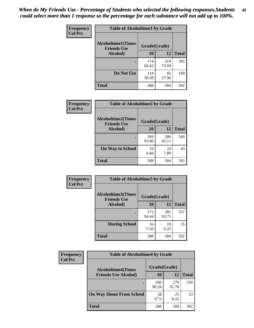| Frequency      | <b>Table of Alcoholtime1 by Grade</b>                           |              |              |              |
|----------------|-----------------------------------------------------------------|--------------|--------------|--------------|
| <b>Col Pct</b> | <b>Alcoholtime1(Times</b><br>Grade(Grade)<br><b>Friends Use</b> |              |              |              |
|                | Alcohol)                                                        | 10           | 12           | <b>Total</b> |
|                |                                                                 | 174<br>60.42 | 219<br>72.04 | 393          |
|                | Do Not Use                                                      | 114<br>39.58 | 85<br>27.96  | 199          |
|                | <b>Total</b>                                                    | 288          | 304          | 592          |

| Frequency      | <b>Table of Alcoholtime2 by Grade</b>           |              |              |              |
|----------------|-------------------------------------------------|--------------|--------------|--------------|
| <b>Col Pct</b> | <b>Alcoholtime2(Times</b><br><b>Friends Use</b> | Grade(Grade) |              |              |
|                | Alcohol)                                        | 10           | 12           | <b>Total</b> |
|                |                                                 | 269<br>93.40 | 280<br>92.11 | 549          |
|                | <b>On Way to School</b>                         | 19<br>6.60   | 24<br>7.89   | 43           |
|                | <b>Total</b>                                    | 288          | 304          | 592          |

| Frequency<br><b>Col Pct</b> | <b>Table of Alcoholtime3 by Grade</b>                           |              |              |              |
|-----------------------------|-----------------------------------------------------------------|--------------|--------------|--------------|
|                             | <b>Alcoholtime3(Times</b><br>Grade(Grade)<br><b>Friends Use</b> |              |              |              |
|                             | Alcohol)                                                        | 10           | 12           | <b>Total</b> |
|                             |                                                                 | 272<br>94.44 | 285<br>93.75 | 557          |
|                             | <b>During School</b>                                            | 16<br>5.56   | 19<br>6.25   | 35           |
|                             | <b>Total</b>                                                    | 288          | 304          | 592          |

| <b>Frequency</b><br><b>Col Pct</b> | <b>Table of Alcoholtime4 by Grade</b> |              |              |              |
|------------------------------------|---------------------------------------|--------------|--------------|--------------|
|                                    | <b>Alcoholtime4(Times</b>             | Grade(Grade) |              |              |
|                                    | <b>Friends Use Alcohol)</b>           | 10           | 12           | <b>Total</b> |
|                                    |                                       | 260<br>90.28 | 279<br>91.78 | 539          |
|                                    | <b>On Way Home From School</b>        | 28<br>9.72   | 25<br>8.22   | 53           |
|                                    | <b>Total</b>                          | 288          | 304          | 592          |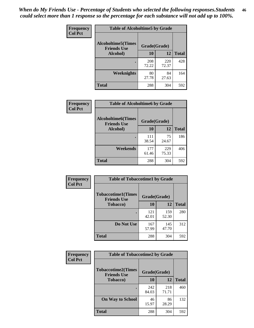*When do My Friends Use - Percentage of Students who selected the following responses.Students could select more than 1 response so the percentage for each substance will not add up to 100%.* **46**

| Frequency      | <b>Table of Alcoholtime5 by Grade</b>           |              |              |              |
|----------------|-------------------------------------------------|--------------|--------------|--------------|
| <b>Col Pct</b> | <b>Alcoholtime5(Times</b><br><b>Friends Use</b> | Grade(Grade) |              |              |
|                | Alcohol)                                        | 10           | 12           | <b>Total</b> |
|                |                                                 | 208<br>72.22 | 220<br>72.37 | 428          |
|                | Weeknights                                      | 80<br>27.78  | 84<br>27.63  | 164          |
|                | <b>Total</b>                                    | 288          | 304          | 592          |

| Frequency      | <b>Table of Alcoholtime6 by Grade</b>           |              |              |              |
|----------------|-------------------------------------------------|--------------|--------------|--------------|
| <b>Col Pct</b> | <b>Alcoholtime6(Times</b><br><b>Friends Use</b> | Grade(Grade) |              |              |
|                | Alcohol)                                        | 10           | 12           | <b>Total</b> |
|                |                                                 | 111<br>38.54 | 75<br>24.67  | 186          |
|                | Weekends                                        | 177<br>61.46 | 229<br>75.33 | 406          |
|                | <b>Total</b>                                    | 288          | 304          | 592          |

| Frequency      | <b>Table of Tobaccotime1 by Grade</b>           |              |              |              |
|----------------|-------------------------------------------------|--------------|--------------|--------------|
| <b>Col Pct</b> | <b>Tobaccotime1(Times</b><br><b>Friends Use</b> | Grade(Grade) |              |              |
|                | <b>Tobacco</b> )                                | 10           | 12           | <b>Total</b> |
|                | ٠                                               | 121<br>42.01 | 159<br>52.30 | 280          |
|                | Do Not Use                                      | 167<br>57.99 | 145<br>47.70 | 312          |
|                | <b>Total</b>                                    | 288          | 304          | 592          |

| <b>Frequency</b> | <b>Table of Tobaccotime2 by Grade</b>           |              |              |              |
|------------------|-------------------------------------------------|--------------|--------------|--------------|
| <b>Col Pct</b>   | <b>Tobaccotime2(Times</b><br><b>Friends Use</b> | Grade(Grade) |              |              |
|                  | <b>Tobacco</b> )                                | 10           | 12           | <b>Total</b> |
|                  |                                                 | 242<br>84.03 | 218<br>71.71 | 460          |
|                  | <b>On Way to School</b>                         | 46<br>15.97  | 86<br>28.29  | 132          |
|                  | <b>Total</b>                                    | 288          | 304          | 592          |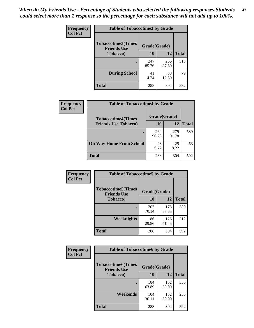*When do My Friends Use - Percentage of Students who selected the following responses.Students could select more than 1 response so the percentage for each substance will not add up to 100%.* **47**

| <b>Frequency</b> | <b>Table of Tobaccotime3 by Grade</b>           |              |              |              |
|------------------|-------------------------------------------------|--------------|--------------|--------------|
| <b>Col Pct</b>   | <b>Tobaccotime3(Times</b><br><b>Friends Use</b> | Grade(Grade) |              |              |
|                  | <b>Tobacco</b> )                                | 10           | 12           | <b>Total</b> |
|                  |                                                 | 247<br>85.76 | 266<br>87.50 | 513          |
|                  | <b>During School</b>                            | 41<br>14.24  | 38<br>12.50  | 79           |
|                  | <b>Total</b>                                    | 288          | 304          | 592          |

| Frequency<br><b>Col Pct</b> | <b>Table of Tobaccotime4 by Grade</b> |              |              |              |
|-----------------------------|---------------------------------------|--------------|--------------|--------------|
|                             | <b>Tobaccotime4(Times</b>             | Grade(Grade) |              |              |
|                             | <b>Friends Use Tobacco)</b>           | 10           | 12           | <b>Total</b> |
|                             |                                       | 260<br>90.28 | 279<br>91.78 | 539          |
|                             | <b>On Way Home From School</b>        | 28<br>9.72   | 25<br>8.22   | 53           |
|                             | <b>Total</b>                          | 288          | 304          | 592          |

| <b>Frequency</b> | <b>Table of Tobaccotime5 by Grade</b>           |              |              |              |
|------------------|-------------------------------------------------|--------------|--------------|--------------|
| <b>Col Pct</b>   | <b>Tobaccotime5(Times</b><br><b>Friends Use</b> | Grade(Grade) |              |              |
|                  | <b>Tobacco</b> )                                | 10           | 12           | <b>Total</b> |
|                  |                                                 | 202<br>70.14 | 178<br>58.55 | 380          |
|                  | Weeknights                                      | 86<br>29.86  | 126<br>41.45 | 212          |
|                  | <b>Total</b>                                    | 288          | 304          | 592          |

| Frequency<br><b>Col Pct</b> | <b>Table of Tobaccotime6 by Grade</b>           |              |              |              |
|-----------------------------|-------------------------------------------------|--------------|--------------|--------------|
|                             | <b>Tobaccotime6(Times</b><br><b>Friends Use</b> | Grade(Grade) |              |              |
|                             | <b>Tobacco</b> )                                | 10           | 12           | <b>Total</b> |
|                             |                                                 | 184<br>63.89 | 152<br>50.00 | 336          |
|                             | Weekends                                        | 104<br>36.11 | 152<br>50.00 | 256          |
|                             | Total                                           | 288          | 304          | 592          |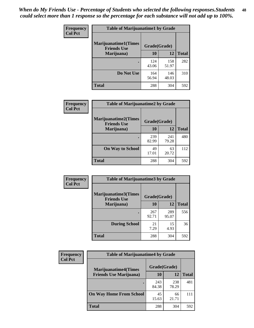| Frequency      | <b>Table of Marijuanatime1 by Grade</b>           |              |              |              |
|----------------|---------------------------------------------------|--------------|--------------|--------------|
| <b>Col Pct</b> | <b>Marijuanatime1(Times</b><br><b>Friends Use</b> | Grade(Grade) |              |              |
|                | Marijuana)                                        | 10           | 12           | <b>Total</b> |
|                |                                                   | 124<br>43.06 | 158<br>51.97 | 282          |
|                | Do Not Use                                        | 164<br>56.94 | 146<br>48.03 | 310          |
|                | <b>Total</b>                                      | 288          | 304          | 592          |

| Frequency      | <b>Table of Marijuanatime2 by Grade</b>           |              |              |              |
|----------------|---------------------------------------------------|--------------|--------------|--------------|
| <b>Col Pct</b> | <b>Marijuanatime2(Times</b><br><b>Friends Use</b> | Grade(Grade) |              |              |
|                | Marijuana)                                        | 10           | 12           | <b>Total</b> |
|                |                                                   | 239<br>82.99 | 241<br>79.28 | 480          |
|                | <b>On Way to School</b>                           | 49<br>17.01  | 63<br>20.72  | 112          |
|                | <b>Total</b>                                      | 288          | 304          | 592          |

| <b>Frequency</b> | <b>Table of Marijuanatime3 by Grade</b>    |              |              |              |  |
|------------------|--------------------------------------------|--------------|--------------|--------------|--|
| <b>Col Pct</b>   | Marijuanatime3(Times<br><b>Friends Use</b> | Grade(Grade) |              |              |  |
|                  | Marijuana)                                 | 10           | 12           | <b>Total</b> |  |
|                  |                                            | 267<br>92.71 | 289<br>95.07 | 556          |  |
|                  | <b>During School</b>                       | 21<br>7.29   | 15<br>4.93   | 36           |  |
|                  | <b>Total</b>                               | 288          | 304          | 592          |  |

| <b>Frequency</b><br><b>Col Pct</b> | <b>Table of Marijuanatime4 by Grade</b> |              |              |       |
|------------------------------------|-----------------------------------------|--------------|--------------|-------|
|                                    | <b>Marijuanatime4</b> (Times            | Grade(Grade) |              |       |
|                                    | <b>Friends Use Marijuana</b> )          | 10           | 12           | Total |
|                                    |                                         | 243<br>84.38 | 238<br>78.29 | 481   |
|                                    | <b>On Way Home From School</b>          | 45<br>15.63  | 66<br>21.71  |       |
|                                    | <b>Total</b>                            | 288          | 304          | 592   |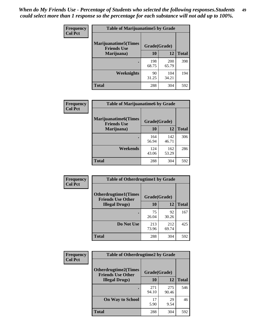| Frequency      | <b>Table of Marijuanatime5 by Grade</b>            |              |              |              |  |
|----------------|----------------------------------------------------|--------------|--------------|--------------|--|
| <b>Col Pct</b> | <b>Marijuanatime5</b> (Times<br><b>Friends Use</b> | Grade(Grade) |              |              |  |
|                | Marijuana)                                         | 10           | <b>12</b>    | <b>Total</b> |  |
|                |                                                    | 198<br>68.75 | 200<br>65.79 | 398          |  |
|                | Weeknights                                         | 90<br>31.25  | 104<br>34.21 | 194          |  |
|                | <b>Total</b>                                       | 288          | 304          | 592          |  |

| Frequency      | <b>Table of Marijuanatime6 by Grade</b>            |              |              |              |
|----------------|----------------------------------------------------|--------------|--------------|--------------|
| <b>Col Pct</b> | <b>Marijuanatime6</b> (Times<br><b>Friends Use</b> | Grade(Grade) |              |              |
|                | Marijuana)                                         | 10           | 12           | <b>Total</b> |
|                |                                                    | 164<br>56.94 | 142<br>46.71 | 306          |
|                | Weekends                                           | 124<br>43.06 | 162<br>53.29 | 286          |
|                | <b>Total</b>                                       | 288          | 304          | 592          |

| Frequency      | <b>Table of Otherdrugtime1 by Grade</b>                 |              |              |              |  |
|----------------|---------------------------------------------------------|--------------|--------------|--------------|--|
| <b>Col Pct</b> | <b>Otherdrugtime1(Times</b><br><b>Friends Use Other</b> | Grade(Grade) |              |              |  |
|                | <b>Illegal Drugs</b> )                                  | 10           | 12           | <b>Total</b> |  |
|                |                                                         | 75<br>26.04  | 92<br>30.26  | 167          |  |
|                | Do Not Use                                              | 213<br>73.96 | 212<br>69.74 | 425          |  |
|                | Total                                                   | 288          | 304          | 592          |  |

| Frequency      | <b>Table of Otherdrugtime2 by Grade</b>                 |              |              |              |  |  |  |
|----------------|---------------------------------------------------------|--------------|--------------|--------------|--|--|--|
| <b>Col Pct</b> | <b>Otherdrugtime2(Times</b><br><b>Friends Use Other</b> | Grade(Grade) |              |              |  |  |  |
|                | <b>Illegal Drugs</b> )                                  | 10           | 12           | <b>Total</b> |  |  |  |
|                |                                                         | 271<br>94.10 | 275<br>90.46 | 546          |  |  |  |
|                | <b>On Way to School</b>                                 | 17<br>5.90   | 29<br>9.54   | 46           |  |  |  |
|                | Total                                                   | 288          | 304          | 592          |  |  |  |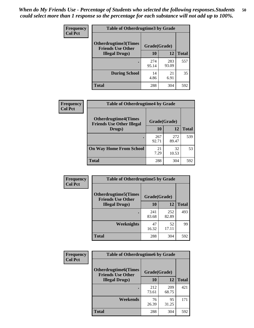| <b>Frequency</b><br><b>Col Pct</b> | <b>Table of Otherdrugtime3 by Grade</b>                 |              |              |              |  |  |
|------------------------------------|---------------------------------------------------------|--------------|--------------|--------------|--|--|
|                                    | <b>Otherdrugtime3(Times</b><br><b>Friends Use Other</b> | Grade(Grade) |              |              |  |  |
|                                    | <b>Illegal Drugs</b> )                                  | 10           | 12           | <b>Total</b> |  |  |
|                                    |                                                         | 274<br>95.14 | 283<br>93.09 | 557          |  |  |
|                                    | <b>During School</b>                                    | 14<br>4.86   | 21<br>6.91   | 35           |  |  |
|                                    | Total                                                   | 288          | 304          | 592          |  |  |

| Frequency      | <b>Table of Otherdrugtime4 by Grade</b>                         |              |              |              |  |  |
|----------------|-----------------------------------------------------------------|--------------|--------------|--------------|--|--|
| <b>Col Pct</b> | <b>Otherdrugtime4(Times</b><br><b>Friends Use Other Illegal</b> | Grade(Grade) |              |              |  |  |
|                | Drugs)                                                          | 10           | 12           | <b>Total</b> |  |  |
|                | ٠                                                               | 267<br>92.71 | 272<br>89.47 | 539          |  |  |
|                | <b>On Way Home From School</b>                                  | 21<br>7.29   | 32<br>10.53  | 53           |  |  |
|                | <b>Total</b>                                                    | 288          | 304          | 592          |  |  |

| <b>Frequency</b><br><b>Col Pct</b> | <b>Table of Otherdrugtime5 by Grade</b>                  |              |              |              |  |  |
|------------------------------------|----------------------------------------------------------|--------------|--------------|--------------|--|--|
|                                    | <b>Otherdrugtime5</b> (Times<br><b>Friends Use Other</b> | Grade(Grade) |              |              |  |  |
|                                    | <b>Illegal Drugs</b> )                                   | 10           | 12           | <b>Total</b> |  |  |
|                                    |                                                          | 241<br>83.68 | 252<br>82.89 | 493          |  |  |
|                                    | <b>Weeknights</b>                                        | 47<br>16.32  | 52<br>17.11  | 99           |  |  |
|                                    | Total                                                    | 288          | 304          | 592          |  |  |

| Frequency<br><b>Col Pct</b> | <b>Table of Otherdrugtime6 by Grade</b>                 |              |              |              |  |  |
|-----------------------------|---------------------------------------------------------|--------------|--------------|--------------|--|--|
|                             | <b>Otherdrugtime6(Times</b><br><b>Friends Use Other</b> | Grade(Grade) |              |              |  |  |
|                             | <b>Illegal Drugs)</b>                                   | 10           | 12           | <b>Total</b> |  |  |
|                             |                                                         | 212<br>73.61 | 209<br>68.75 | 421          |  |  |
|                             | Weekends                                                | 76<br>26.39  | 95<br>31.25  | 171          |  |  |
|                             | <b>Total</b>                                            | 288          | 304          | 592          |  |  |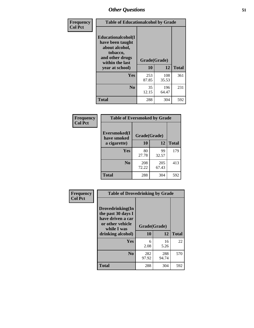| Frequency<br><b>Col Pct</b> | <b>Table of Educationalcohol by Grade</b>                                                                  |              |              |              |  |  |
|-----------------------------|------------------------------------------------------------------------------------------------------------|--------------|--------------|--------------|--|--|
|                             | Educationalcohol(I<br>have been taught<br>about alcohol,<br>tobacco,<br>and other drugs<br>within the last | Grade(Grade) |              |              |  |  |
|                             | year at school)                                                                                            | 10           | 12           | <b>Total</b> |  |  |
|                             | Yes                                                                                                        | 253<br>87.85 | 108<br>35.53 | 361          |  |  |
|                             | N <sub>0</sub>                                                                                             | 35<br>12.15  | 196<br>64.47 | 231          |  |  |
|                             | <b>Total</b>                                                                                               | 288          | 304          | 592          |  |  |

| Frequency      | <b>Table of Eversmoked by Grade</b> |              |              |              |  |  |  |
|----------------|-------------------------------------|--------------|--------------|--------------|--|--|--|
| <b>Col Pct</b> | Eversmoked(I<br>have smoked         | Grade(Grade) |              |              |  |  |  |
|                | a cigarette)                        | 10           | 12           | <b>Total</b> |  |  |  |
|                | <b>Yes</b>                          | 80<br>27.78  | 99<br>32.57  | 179          |  |  |  |
|                | N <sub>0</sub>                      | 208<br>72.22 | 205<br>67.43 | 413          |  |  |  |
|                | <b>Total</b>                        | 288          | 304          | 592          |  |  |  |

| Frequency      | <b>Table of Drovedrinking by Grade</b>                                                                              |                    |              |     |  |  |
|----------------|---------------------------------------------------------------------------------------------------------------------|--------------------|--------------|-----|--|--|
| <b>Col Pct</b> | Drovedrinking(In<br>the past 30 days I<br>have driven a car<br>or other vehicle<br>while I was<br>drinking alcohol) | Grade(Grade)<br>10 | <b>Total</b> |     |  |  |
|                | <b>Yes</b>                                                                                                          | 6<br>2.08          | 16<br>5.26   | 22  |  |  |
|                | N <sub>0</sub>                                                                                                      | 282<br>97.92       | 288<br>94.74 | 570 |  |  |
|                | <b>Total</b>                                                                                                        | 288                | 304          | 592 |  |  |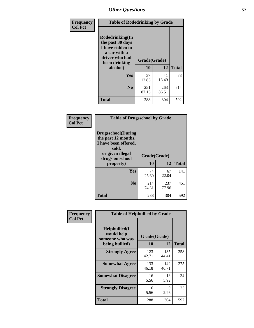| Frequency<br><b>Col Pct</b> | <b>Table of Rodedrinking by Grade</b>                                                                      |              |              |              |  |  |
|-----------------------------|------------------------------------------------------------------------------------------------------------|--------------|--------------|--------------|--|--|
|                             | Rodedrinking(In<br>the past 30 days<br>I have ridden in<br>a car with a<br>driver who had<br>been drinking | Grade(Grade) |              |              |  |  |
|                             | alcohol)                                                                                                   | 10           | 12           | <b>Total</b> |  |  |
|                             | <b>Yes</b>                                                                                                 | 37<br>12.85  | 41<br>13.49  | 78           |  |  |
|                             | N <sub>0</sub>                                                                                             | 251<br>87.15 | 263<br>86.51 | 514          |  |  |
|                             | <b>Total</b>                                                                                               | 288          | 304          | 592          |  |  |

#### **Frequency Col Pct**

| <b>Table of Drugsschool by Grade</b>                                                                                      |              |              |              |  |  |  |
|---------------------------------------------------------------------------------------------------------------------------|--------------|--------------|--------------|--|--|--|
| <b>Drugsschool</b> (During<br>the past 12 months,<br>I have been offered,<br>sold,<br>or given illegal<br>drugs on school | Grade(Grade) |              |              |  |  |  |
| property)                                                                                                                 | 10           | 12           | <b>Total</b> |  |  |  |
| Yes                                                                                                                       | 74<br>25.69  | 67<br>22.04  | 141          |  |  |  |
| N <sub>0</sub>                                                                                                            | 214<br>74.31 | 237<br>77.96 | 451          |  |  |  |
| <b>Total</b>                                                                                                              | 288          | 304          | 592          |  |  |  |

| Frequency      | <b>Table of Helpbullied by Grade</b>                 |              |              |              |  |  |  |
|----------------|------------------------------------------------------|--------------|--------------|--------------|--|--|--|
| <b>Col Pct</b> | $Helpb$ ullied $(I$<br>would help<br>someone who was | Grade(Grade) |              |              |  |  |  |
|                | being bullied)                                       | 10           | 12           | <b>Total</b> |  |  |  |
|                | <b>Strongly Agree</b>                                | 123<br>42.71 | 135<br>44.41 | 258          |  |  |  |
|                | <b>Somewhat Agree</b>                                | 133<br>46.18 | 142<br>46.71 | 275          |  |  |  |
|                | <b>Somewhat Disagree</b>                             | 16<br>5.56   | 18<br>5.92   | 34           |  |  |  |
|                | <b>Strongly Disagree</b>                             | 16<br>5.56   | 9<br>2.96    | 25           |  |  |  |
|                | <b>Total</b>                                         | 288          | 304          | 592          |  |  |  |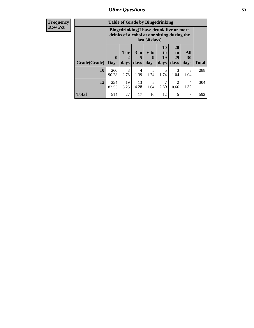| <b>Frequency</b> | <b>Table of Grade by Bingedrinking</b> |                                                                                                                 |            |                 |           |                |                       |           |              |
|------------------|----------------------------------------|-----------------------------------------------------------------------------------------------------------------|------------|-----------------|-----------|----------------|-----------------------|-----------|--------------|
| <b>Row Pct</b>   |                                        | <b>Bingedrinking</b> (I have drunk five or more<br>drinks of alcohol at one sitting during the<br>last 30 days) |            |                 |           |                |                       |           |              |
|                  |                                        | $\mathbf{0}$                                                                                                    | 1 or<br>2  | 3 <sub>to</sub> | 6 to<br>9 | 10<br>to<br>19 | <b>20</b><br>to<br>29 | All<br>30 |              |
|                  | Grade(Grade)                           | <b>Days</b>                                                                                                     | days       | days            | days      | days           | days                  | days      | <b>Total</b> |
|                  | 10                                     | 260<br>90.28                                                                                                    | 8<br>2.78  | 4<br>1.39       | 5<br>1.74 | 1.74           | 1.04                  | 3<br>1.04 | 288          |
|                  | 12                                     | 254<br>83.55                                                                                                    | 19<br>6.25 | 13<br>4.28      | 5<br>1.64 | 2.30           | 2<br>0.66             | 4<br>1.32 | 304          |

**Total** 1514 27 17 10 12 5 7 592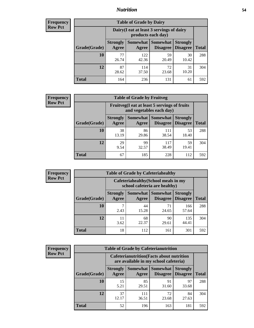### *Nutrition* **54**

| <b>Frequency</b> |
|------------------|
| <b>Row Pct</b>   |

| <b>Table of Grade by Dairy</b> |                          |                                                                                                                 |             |             |     |  |  |  |
|--------------------------------|--------------------------|-----------------------------------------------------------------------------------------------------------------|-------------|-------------|-----|--|--|--|
|                                |                          | Dairy (I eat at least 3 servings of dairy<br>products each day)                                                 |             |             |     |  |  |  |
| Grade(Grade)                   | <b>Strongly</b><br>Agree | Somewhat  <br><b>Somewhat</b><br><b>Strongly</b><br><b>Disagree</b><br><b>Disagree</b><br><b>Total</b><br>Agree |             |             |     |  |  |  |
| 10                             | 77<br>26.74              | 122<br>42.36                                                                                                    | 59<br>20.49 | 30<br>10.42 | 288 |  |  |  |
| 12                             | 87<br>28.62              | 114<br>37.50                                                                                                    | 72<br>23.68 | 31<br>10.20 | 304 |  |  |  |
| <b>Total</b>                   | 164                      | 236                                                                                                             | 131         | 61          | 592 |  |  |  |

| <b>Frequency</b> |  |
|------------------|--|
| <b>Row Pct</b>   |  |

| <b>Table of Grade by Fruitveg</b> |                          |                                                                              |              |             |     |  |  |  |
|-----------------------------------|--------------------------|------------------------------------------------------------------------------|--------------|-------------|-----|--|--|--|
|                                   |                          | Fruitveg(I eat at least 5 servings of fruits<br>and vegetables each day)     |              |             |     |  |  |  |
| Grade(Grade)                      | <b>Strongly</b><br>Agree | Somewhat Somewhat<br><b>Strongly</b><br><b>Disagree</b><br>Disagree<br>Agree |              |             |     |  |  |  |
| 10                                | 38<br>13.19              | 86<br>29.86                                                                  | 111<br>38.54 | 53<br>18.40 | 288 |  |  |  |
| 12                                | 29<br>9.54               | 99<br>32.57                                                                  | 117<br>38.49 | 59<br>19.41 | 304 |  |  |  |
| <b>Total</b>                      | 67                       | 185                                                                          | 228          | 112         | 592 |  |  |  |

| <b>Frequency</b> | <b>Table of Grade by Cafeteriahealthy</b>                             |                          |             |                                      |                                    |              |  |
|------------------|-----------------------------------------------------------------------|--------------------------|-------------|--------------------------------------|------------------------------------|--------------|--|
| <b>Row Pct</b>   | Cafeteriahealthy (School meals in my<br>school cafeteria are healthy) |                          |             |                                      |                                    |              |  |
|                  | Grade(Grade)                                                          | <b>Strongly</b><br>Agree | Agree       | Somewhat Somewhat<br><b>Disagree</b> | <b>Strongly</b><br><b>Disagree</b> | <b>Total</b> |  |
|                  | 10                                                                    | 2.43                     | 44<br>15.28 | 71<br>24.65                          | 166<br>57.64                       | 288          |  |
|                  | 12                                                                    | 11<br>3.62               | 68<br>22.37 | 90<br>29.61                          | 135<br>44.41                       | 304          |  |
|                  | Total                                                                 | 18                       | 112         | 161                                  | 301                                | 592          |  |

| <b>Frequency</b> |
|------------------|
| <b>Row Pct</b>   |

| <b>Table of Grade by Cafeterianutrition</b>                                                                                        |             |                                                                                           |             |             |              |  |  |  |
|------------------------------------------------------------------------------------------------------------------------------------|-------------|-------------------------------------------------------------------------------------------|-------------|-------------|--------------|--|--|--|
|                                                                                                                                    |             | <b>Cafeterianutrition</b> (Facts about nutrition<br>are available in my school cafeteria) |             |             |              |  |  |  |
| <b>Somewhat</b><br>Somewhat<br><b>Strongly</b><br><b>Strongly</b><br><b>Disagree</b><br>Grade(Grade)<br>Agree<br>Disagree<br>Agree |             |                                                                                           |             |             | <b>Total</b> |  |  |  |
| 10                                                                                                                                 | 15<br>5.21  | 85<br>29.51                                                                               | 91<br>31.60 | 97<br>33.68 | 288          |  |  |  |
| 12                                                                                                                                 | 37<br>12.17 | 111<br>36.51                                                                              | 72<br>23.68 | 84<br>27.63 | 304          |  |  |  |
| Total                                                                                                                              | 52          | 196                                                                                       | 163         | 181         | 592          |  |  |  |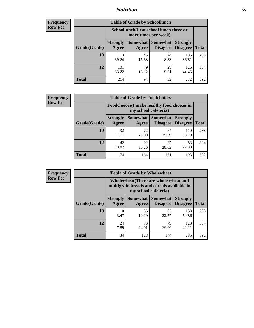### *Nutrition* **55**

| Frequency |
|-----------|
| Row Pct   |

| <b>Table of Grade by Schoollunch</b> |                          |                                                                                                          |            |              |     |  |  |  |
|--------------------------------------|--------------------------|----------------------------------------------------------------------------------------------------------|------------|--------------|-----|--|--|--|
|                                      |                          | Schoollunch(I eat school lunch three or<br>more times per week)                                          |            |              |     |  |  |  |
| Grade(Grade)                         | <b>Strongly</b><br>Agree | Somewhat  <br><b>Somewhat</b><br><b>Strongly</b><br><b>Disagree</b><br>Disagree<br><b>Total</b><br>Agree |            |              |     |  |  |  |
| 10                                   | 113<br>39.24             | 45<br>15.63                                                                                              | 24<br>8.33 | 106<br>36.81 | 288 |  |  |  |
| 12                                   | 101<br>33.22             | 49<br>16.12                                                                                              | 28<br>9.21 | 126<br>41.45 | 304 |  |  |  |
| <b>Total</b>                         | 214                      | 94                                                                                                       | 52         | 232          | 592 |  |  |  |

| <b>Frequency</b> |  |
|------------------|--|
| <b>Row Pct</b>   |  |

| <b>Table of Grade by Foodchoices</b> |                                                                     |             |                                        |                                    |              |  |  |
|--------------------------------------|---------------------------------------------------------------------|-------------|----------------------------------------|------------------------------------|--------------|--|--|
|                                      | Foodchoices (I make healthy food choices in<br>my school cafeteria) |             |                                        |                                    |              |  |  |
| Grade(Grade)                         | <b>Strongly</b><br>Agree                                            | Agree       | Somewhat   Somewhat<br><b>Disagree</b> | <b>Strongly</b><br><b>Disagree</b> | <b>Total</b> |  |  |
| 10                                   | 32<br>11.11                                                         | 72<br>25.00 | 74<br>25.69                            | 110<br>38.19                       | 288          |  |  |
| 12                                   | 42<br>13.82                                                         | 92<br>30.26 | 87<br>28.62                            | 83<br>27.30                        | 304          |  |  |
| <b>Total</b>                         | 74                                                                  | 164         | 161                                    | 193                                | 592          |  |  |

| Frequency      | <b>Table of Grade by Wholewheat</b> |                                                                                                             |                     |                                    |                                    |              |  |  |
|----------------|-------------------------------------|-------------------------------------------------------------------------------------------------------------|---------------------|------------------------------------|------------------------------------|--------------|--|--|
| <b>Row Pct</b> |                                     | Wholewheat (There are whole wheat and<br>multigrain breads and cereals available in<br>my school cafeteria) |                     |                                    |                                    |              |  |  |
|                | Grade(Grade)                        | <b>Strongly</b><br>Agree                                                                                    | Somewhat  <br>Agree | <b>Somewhat</b><br><b>Disagree</b> | <b>Strongly</b><br><b>Disagree</b> | <b>Total</b> |  |  |
|                | 10                                  | 10<br>3.47                                                                                                  | 55<br>19.10         | 65<br>22.57                        | 158<br>54.86                       | 288          |  |  |
|                | 12                                  | 24<br>7.89                                                                                                  | 73<br>24.01         | 79<br>25.99                        | 128<br>42.11                       | 304          |  |  |
|                | <b>Total</b>                        | 34                                                                                                          | 128                 | 144                                | 286                                | 592          |  |  |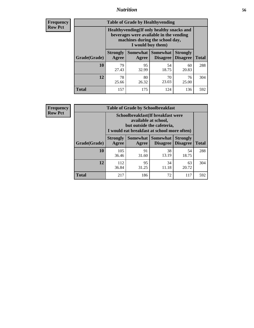### *Nutrition* **56**

**Frequency Row Pct**

| <b>Table of Grade by Healthyvending</b> |                                                                                                                                               |                          |                                    |                                    |              |  |
|-----------------------------------------|-----------------------------------------------------------------------------------------------------------------------------------------------|--------------------------|------------------------------------|------------------------------------|--------------|--|
|                                         | Healthyvending (If only healthy snacks and<br>beverages were available in the vending<br>machines during the school day,<br>I would buy them) |                          |                                    |                                    |              |  |
| Grade(Grade)                            | <b>Strongly</b><br>Agree                                                                                                                      | <b>Somewhat</b><br>Agree | <b>Somewhat</b><br><b>Disagree</b> | <b>Strongly</b><br><b>Disagree</b> | <b>Total</b> |  |
| 10                                      | 79<br>27.43                                                                                                                                   | 95<br>32.99              | 54<br>18.75                        | 60<br>20.83                        | 288          |  |
| 12                                      | 78<br>25.66                                                                                                                                   | 80<br>26.32              | 70<br>23.03                        | 76<br>25.00                        | 304          |  |
| Total                                   | 157                                                                                                                                           | 175                      | 124                                | 136                                | 592          |  |

**Frequency Row Pct**

| <b>Table of Grade by Schoolbreakfast</b> |                                                                                                                                         |             |                                               |                                    |              |  |
|------------------------------------------|-----------------------------------------------------------------------------------------------------------------------------------------|-------------|-----------------------------------------------|------------------------------------|--------------|--|
|                                          | Schoolbreakfast (If breakfast were<br>available at school,<br>but outside the cafeteria,<br>I would eat breakfast at school more often) |             |                                               |                                    |              |  |
| Grade(Grade)                             | <b>Strongly</b><br>Agree                                                                                                                | Agree       | <b>Somewhat   Somewhat</b><br><b>Disagree</b> | <b>Strongly</b><br><b>Disagree</b> | <b>Total</b> |  |
| 10                                       | 105<br>36.46                                                                                                                            | 91<br>31.60 | 38<br>13.19                                   | 54<br>18.75                        | 288          |  |
| 12                                       | 112<br>36.84                                                                                                                            | 95<br>31.25 | 34<br>11.18                                   | 63<br>20.72                        | 304          |  |
| <b>Total</b>                             | 217                                                                                                                                     | 186         | 72                                            | 117                                | 592          |  |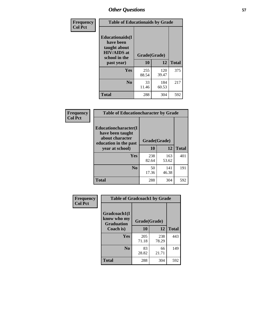| Frequency<br><b>Col Pct</b> | <b>Table of Educationaids by Grade</b>                                                                    |                    |              |              |
|-----------------------------|-----------------------------------------------------------------------------------------------------------|--------------------|--------------|--------------|
|                             | <b>Educationaids</b> (I<br>have been<br>taught about<br><b>HIV/AIDS</b> at<br>school in the<br>past year) | Grade(Grade)<br>10 | 12           | <b>Total</b> |
|                             | Yes                                                                                                       | 255<br>88.54       | 120<br>39.47 | 375          |
|                             | N <sub>0</sub>                                                                                            | 33<br>11.46        | 184<br>60.53 | 217          |
|                             | <b>Total</b>                                                                                              | 288                | 304          | 592          |

| Frequency<br><b>Col Pct</b> | <b>Table of Educationcharacter by Grade</b>                                                  |              |              |              |
|-----------------------------|----------------------------------------------------------------------------------------------|--------------|--------------|--------------|
|                             | <b>Educationcharacter(I)</b><br>have been taught<br>about character<br>education in the past | Grade(Grade) |              |              |
|                             | year at school)                                                                              | 10           | 12           | <b>Total</b> |
|                             | Yes                                                                                          | 238<br>82.64 | 163<br>53.62 | 401          |
|                             | N <sub>0</sub>                                                                               | 50<br>17.36  | 141<br>46.38 | 191          |
|                             | <b>Total</b>                                                                                 | 288          | 304          | 592          |

| Frequency      | <b>Table of Gradcoach1 by Grade</b>              |              |              |              |
|----------------|--------------------------------------------------|--------------|--------------|--------------|
| <b>Col Pct</b> | Gradcoach1(I<br>know who my<br><b>Graduation</b> | Grade(Grade) |              |              |
|                | Coach is)                                        | 10           | 12           | <b>Total</b> |
|                | Yes                                              | 205<br>71.18 | 238<br>78.29 | 443          |
|                | N <sub>0</sub>                                   | 83<br>28.82  | 66<br>21.71  | 149          |
|                | <b>Total</b>                                     | 288          | 304          | 592          |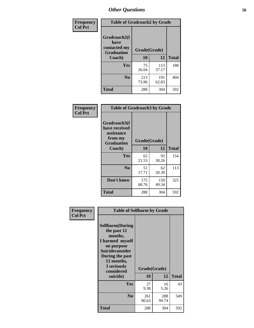| Frequency      | <b>Table of Gradcoach2 by Grade</b> |              |              |              |
|----------------|-------------------------------------|--------------|--------------|--------------|
| <b>Col Pct</b> |                                     |              |              |              |
|                | Gradcoach2(I<br>have                |              |              |              |
|                | contacted my<br><b>Graduation</b>   | Grade(Grade) |              |              |
|                | Coach)                              | 10           | 12           | <b>Total</b> |
|                | Yes                                 | 75<br>26.04  | 113<br>37.17 | 188          |
|                | N <sub>0</sub>                      | 213<br>73.96 | 191<br>62.83 | 404          |
|                | <b>Total</b>                        | 288          | 304          | 592          |

| Frequency<br><b>Col Pct</b> | <b>Table of Gradcoach3 by Grade</b>                                         |              |              |              |
|-----------------------------|-----------------------------------------------------------------------------|--------------|--------------|--------------|
|                             | Gradcoach3(I<br>have received<br>assistance<br>from my<br><b>Graduation</b> | Grade(Grade) |              |              |
|                             | Coach)                                                                      | 10           | 12           | <b>Total</b> |
|                             | Yes                                                                         | 62<br>21.53  | 92<br>30.26  | 154          |
|                             | N <sub>0</sub>                                                              | 51<br>17.71  | 62<br>20.39  | 113          |
|                             | Don't know                                                                  | 175<br>60.76 | 150<br>49.34 | 325          |
|                             | <b>Total</b>                                                                | 288          | 304          | 592          |

| Frequency      | <b>Table of Selfharm by Grade</b>                                                                                                                                                      |                    |              |              |
|----------------|----------------------------------------------------------------------------------------------------------------------------------------------------------------------------------------|--------------------|--------------|--------------|
| <b>Col Pct</b> | <b>Selfharm</b> (During<br>the past 12<br>months,<br>I harmed myself<br>on purpose<br><b>Suicideconsider</b><br>During the past<br>12 months,<br>I seriously<br>considered<br>suicide) | Grade(Grade)<br>10 | 12           | <b>Total</b> |
|                | Yes                                                                                                                                                                                    | 27<br>9.38         | 16<br>5.26   | 43           |
|                | N <sub>0</sub>                                                                                                                                                                         | 261<br>90.63       | 288<br>94.74 | 549          |
|                | <b>Total</b>                                                                                                                                                                           | 288                | 304          | 592          |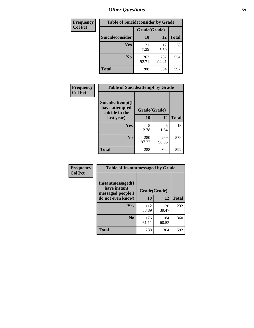| <b>Frequency</b> | <b>Table of Suicideconsider by Grade</b> |              |              |              |
|------------------|------------------------------------------|--------------|--------------|--------------|
| <b>Col Pct</b>   |                                          | Grade(Grade) |              |              |
|                  | Suicideconsider                          | <b>10</b>    | 12           | <b>Total</b> |
|                  | Yes                                      | 21<br>7.29   | 17<br>5.59   | 38           |
|                  | N <sub>0</sub>                           | 267<br>92.71 | 287<br>94.41 | 554          |
|                  | Total                                    | 288          | 304          | 592          |

| Frequency      | <b>Table of Suicideattempt by Grade</b>              |              |              |              |
|----------------|------------------------------------------------------|--------------|--------------|--------------|
| <b>Col Pct</b> | Suicideattempt(I<br>have attempted<br>suicide in the | Grade(Grade) |              |              |
|                | last year)                                           | 10           | 12           | <b>Total</b> |
|                | Yes                                                  | 8<br>2.78    | 5<br>1.64    | 13           |
|                | N <sub>0</sub>                                       | 280<br>97.22 | 299<br>98.36 | 579          |
|                | <b>Total</b>                                         | 288          | 304          | 592          |

| Frequency      | <b>Table of Instantmessaged by Grade</b>               |              |              |              |
|----------------|--------------------------------------------------------|--------------|--------------|--------------|
| <b>Col Pct</b> | Instantmessaged(I<br>have instant<br>messaged people I | Grade(Grade) |              |              |
|                | do not even know)                                      | 10           | 12           | <b>Total</b> |
|                | Yes                                                    | 112<br>38.89 | 120<br>39.47 | 232          |
|                | N <sub>0</sub>                                         | 176<br>61.11 | 184<br>60.53 | 360          |
|                | <b>Total</b>                                           | 288          | 304          | 592          |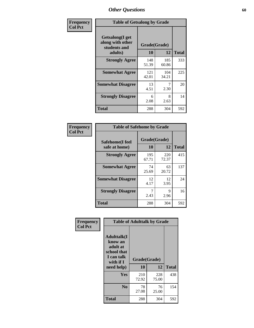| Frequency      | <b>Table of Getsalong by Grade</b>                          |              |              |              |
|----------------|-------------------------------------------------------------|--------------|--------------|--------------|
| <b>Col Pct</b> | <b>Getsalong</b> (I get<br>along with other<br>students and |              | Grade(Grade) |              |
|                | adults)                                                     | 10           | 12           | <b>Total</b> |
|                | <b>Strongly Agree</b>                                       | 148<br>51.39 | 185<br>60.86 | 333          |
|                | <b>Somewhat Agree</b>                                       | 121<br>42.01 | 104<br>34.21 | 225          |
|                | <b>Somewhat Disagree</b>                                    | 13<br>4.51   | 7<br>2.30    | 20           |
|                | <b>Strongly Disagree</b>                                    | 6<br>2.08    | 8<br>2.63    | 14           |
|                | Total                                                       | 288          | 304          | 592          |

| Frequency      | <b>Table of Safehome by Grade</b> |                    |              |              |
|----------------|-----------------------------------|--------------------|--------------|--------------|
| <b>Col Pct</b> | Safehome(I feel<br>safe at home)  | Grade(Grade)<br>10 | 12           | <b>Total</b> |
|                | <b>Strongly Agree</b>             | 195<br>67.71       | 220<br>72.37 | 415          |
|                | <b>Somewhat Agree</b>             | 74<br>25.69        | 63<br>20.72  | 137          |
|                | <b>Somewhat Disagree</b>          | 12<br>4.17         | 12<br>3.95   | 24           |
|                | <b>Strongly Disagree</b>          | 2.43               | 9<br>2.96    | 16           |
|                | <b>Total</b>                      | 288                | 304          | 592          |

| Frequency      | <b>Table of Adulttalk by Grade</b>                                                                |                    |              |              |  |  |  |
|----------------|---------------------------------------------------------------------------------------------------|--------------------|--------------|--------------|--|--|--|
| <b>Col Pct</b> | <b>Adulttalk(I</b><br>know an<br>adult at<br>school that<br>I can talk<br>with if I<br>need help) | Grade(Grade)<br>10 | 12           | <b>Total</b> |  |  |  |
|                |                                                                                                   |                    |              |              |  |  |  |
|                | <b>Yes</b>                                                                                        | 210<br>72.92       | 228<br>75.00 | 438          |  |  |  |
|                | N <sub>0</sub>                                                                                    | 78<br>27.08        | 76<br>25.00  | 154          |  |  |  |
|                | <b>Total</b>                                                                                      | 288                | 304          | 592          |  |  |  |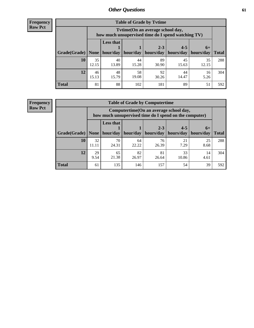**Frequency Row Pct**

| <b>Table of Grade by Tvtime</b> |             |                                                                                        |             |                      |                      |                   |              |  |  |  |
|---------------------------------|-------------|----------------------------------------------------------------------------------------|-------------|----------------------|----------------------|-------------------|--------------|--|--|--|
|                                 |             | Tvtime(On an average school day,<br>how much unsupervised time do I spend watching TV) |             |                      |                      |                   |              |  |  |  |
| $ $ Grade(Grade) $ $            | None $ $    | <b>Less that</b><br>hour/day                                                           | hour/day    | $2 - 3$<br>hours/day | $4 - 5$<br>hours/day | $6+$<br>hours/day | <b>Total</b> |  |  |  |
|                                 |             |                                                                                        |             |                      |                      |                   |              |  |  |  |
| 10                              | 35<br>12.15 | 40<br>13.89                                                                            | 44<br>15.28 | 89<br>30.90          | 45<br>15.63          | 35<br>12.15       | 288          |  |  |  |
| 12                              | 46<br>15.13 | 48<br>15.79                                                                            | 58<br>19.08 | 92<br>30.26          | 44<br>14.47          | 16<br>5.26        | 304          |  |  |  |
| <b>Total</b>                    | 81          | 88                                                                                     | 102         | 181                  | 89                   | 51                | 592          |  |  |  |

**Frequency Row Pct**

| <b>Table of Grade by Computertime</b> |             |                                                                                                   |             |                      |                      |                   |              |  |  |
|---------------------------------------|-------------|---------------------------------------------------------------------------------------------------|-------------|----------------------|----------------------|-------------------|--------------|--|--|
|                                       |             | Computertime (On an average school day,<br>how much unsupervised time do I spend on the computer) |             |                      |                      |                   |              |  |  |
| Grade(Grade)                          | None        | <b>Less that</b><br>hour/day                                                                      | hour/day    | $2 - 3$<br>hours/day | $4 - 5$<br>hours/day | $6+$<br>hours/day | <b>Total</b> |  |  |
| 10                                    | 32<br>11.11 | 70<br>24.31                                                                                       | 64<br>22.22 | 76<br>26.39          | 21<br>7.29           | 25<br>8.68        | 288          |  |  |
| 12                                    | 29<br>9.54  | 65<br>21.38                                                                                       | 82<br>26.97 | 81<br>26.64          | 33<br>10.86          | 14<br>4.61        | 304          |  |  |
| <b>Total</b>                          | 61          | 135                                                                                               | 146         | 157                  | 54                   | 39                | 592          |  |  |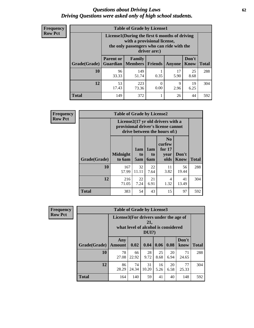#### *Questions about Driving Laws* **62** *Driving Questions were asked only of high school students.*

| <b>Frequency</b> |
|------------------|
| <b>Row Pct</b>   |

| <b>Table of Grade by License1</b> |                                                                     |                                                                                                                                           |                |            |               |              |  |  |  |
|-----------------------------------|---------------------------------------------------------------------|-------------------------------------------------------------------------------------------------------------------------------------------|----------------|------------|---------------|--------------|--|--|--|
|                                   |                                                                     | License1(During the first 6 months of driving<br>with a provisional license,<br>the only passengers who can ride with the<br>driver are:) |                |            |               |              |  |  |  |
| Grade(Grade)                      | <b>Parent or</b><br><b>Guardian</b>                                 | Family<br>  Members                                                                                                                       | <b>Friends</b> | Anyone     | Don't<br>Know | <b>Total</b> |  |  |  |
| 10                                | 96<br>33.33                                                         | 149<br>51.74                                                                                                                              | 0.35           | 17<br>5.90 | 25<br>8.68    | 288          |  |  |  |
| 12                                | 53<br>19<br>223<br>9<br>0<br>17.43<br>73.36<br>0.00<br>2.96<br>6.25 |                                                                                                                                           |                |            |               |              |  |  |  |
| Total                             | 149                                                                 | 372                                                                                                                                       |                | 26         | 44            | 592          |  |  |  |

| Frequency      |              | <b>Table of Grade by License2</b>                                                                        |                  |                  |                                                      |               |              |  |  |
|----------------|--------------|----------------------------------------------------------------------------------------------------------|------------------|------------------|------------------------------------------------------|---------------|--------------|--|--|
| <b>Row Pct</b> |              | License2(17 yr old drivers with a<br>provisional driver's license cannot<br>drive between the hours of:) |                  |                  |                                                      |               |              |  |  |
|                | Grade(Grade) | <b>Midnight</b><br>to 6am                                                                                | 1am<br>to<br>5am | 1am<br>to<br>6am | N <sub>0</sub><br>curfew<br>for $17$<br>year<br>olds | Don't<br>Know | <b>Total</b> |  |  |
|                | 10           | 167<br>57.99                                                                                             | 32<br>11.11      | 22<br>7.64       | 11<br>3.82                                           | 56<br>19.44   | 288          |  |  |
|                | 12           | 216<br>71.05                                                                                             | 22<br>7.24       | 21<br>6.91       | 4<br>1.32                                            | 41<br>13.49   | 304          |  |  |
|                | <b>Total</b> | 383                                                                                                      | 54               | 43               | 15                                                   | 97            | 592          |  |  |

| Frequency      | <b>Table of Grade by License3</b> |                                       |             |                                                     |            |            |               |              |
|----------------|-----------------------------------|---------------------------------------|-------------|-----------------------------------------------------|------------|------------|---------------|--------------|
| <b>Row Pct</b> |                                   | License3(For drivers under the age of |             | 21,<br>what level of alcohol is considered<br>DUI?) |            |            |               |              |
|                | Grade(Grade)                      | Any<br><b>Amount</b>                  | 0.02        | 0.04                                                | 0.06       | 0.08       | Don't<br>know | <b>Total</b> |
|                | <b>10</b>                         | 78<br>27.08                           | 66<br>22.92 | 28<br>9.72                                          | 25<br>8.68 | 20<br>6.94 | 71<br>24.65   | 288          |
|                | 12                                | 86<br>28.29                           | 74<br>24.34 | 31<br>10.20                                         | 16<br>5.26 | 20<br>6.58 | 77<br>25.33   | 304          |
|                | <b>Total</b>                      | 164                                   | 140         | 59                                                  | 41         | 40         | 148           | 592          |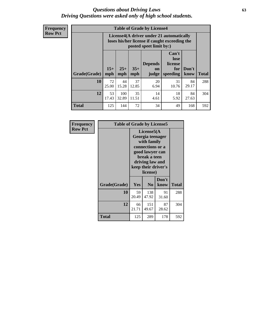#### *Questions about Driving Laws* **63** *Driving Questions were asked only of high school students.*

**Frequency Row Pct**

| <b>Table of Grade by License4</b> |              |                                                                                                                                               |             |            |             |             |     |  |
|-----------------------------------|--------------|-----------------------------------------------------------------------------------------------------------------------------------------------|-------------|------------|-------------|-------------|-----|--|
|                                   |              | License4(A driver under 21 automatically<br>loses his/her license if caught exceeding the<br>posted speet limit by:)                          |             |            |             |             |     |  |
| <b>Grade(Grade)</b>               | $15+$<br>mph | Can't<br>lose<br><b>Depends</b><br>license<br>$25+$<br>$35+$<br>Don't<br>for<br>on<br>mph<br><b>Total</b><br>speeding<br>mph<br>judge<br>know |             |            |             |             |     |  |
| 10                                | 72<br>25.00  | 44<br>15.28                                                                                                                                   | 37<br>12.85 | 20<br>6.94 | 31<br>10.76 | 84<br>29.17 | 288 |  |
| 12                                | 53<br>17.43  | 100<br>32.89                                                                                                                                  | 35<br>11.51 | 14<br>4.61 | 18<br>5.92  | 84<br>27.63 | 304 |  |
| <b>Total</b>                      | 125          | 144                                                                                                                                           | 72          | 34         | 49          | 168         | 592 |  |

| Frequency      |              | <b>Table of Grade by License5</b> |                                                                                                                                      |                     |       |  |
|----------------|--------------|-----------------------------------|--------------------------------------------------------------------------------------------------------------------------------------|---------------------|-------|--|
| <b>Row Pct</b> |              |                                   | License5(A)<br>Georgia teenager<br>with family<br>connections or a<br>good lawyer can<br>break a teen<br>driving law and<br>license) | keep their driver's |       |  |
|                | Grade(Grade) | <b>Yes</b>                        | N <sub>0</sub>                                                                                                                       | Don't<br>know       | Total |  |
|                | 10           | 59<br>20.49                       | 138<br>47.92                                                                                                                         | 91<br>31.60         | 288   |  |
|                | 12           | 66<br>21.71                       | 151<br>49.67                                                                                                                         | 87<br>28.62         | 304   |  |
|                | Total        | 125                               | 289                                                                                                                                  | 178                 | 592   |  |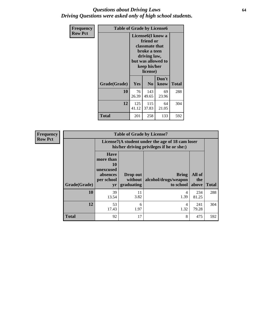#### *Questions about Driving Laws* **64** *Driving Questions were asked only of high school students.*

| <b>Frequency</b> | <b>Table of Grade by License6</b> |              |                                                                                                                           |                    |              |  |
|------------------|-----------------------------------|--------------|---------------------------------------------------------------------------------------------------------------------------|--------------------|--------------|--|
| <b>Row Pct</b>   |                                   |              | License <sub>6</sub> (I know a<br>friend or<br>classmate that<br>broke a teen<br>driving law,<br>keep his/her<br>license) | but was allowed to |              |  |
|                  | Grade(Grade)                      | <b>Yes</b>   | N <sub>0</sub>                                                                                                            | Don't<br>know      | <b>Total</b> |  |
|                  | 10                                | 76<br>26.39  | 143<br>49.65                                                                                                              | 69<br>23.96        | 288          |  |
|                  | 12                                | 125<br>41.12 | 115<br>37.83                                                                                                              | 64<br>21.05        | 304          |  |
|                  | <b>Total</b>                      | 201          | 258                                                                                                                       | 133                | 592          |  |

| Frequency      | <b>Table of Grade by License7</b> |                                                                             |                                                                                               |                                                   |                        |              |  |  |
|----------------|-----------------------------------|-----------------------------------------------------------------------------|-----------------------------------------------------------------------------------------------|---------------------------------------------------|------------------------|--------------|--|--|
| <b>Row Pct</b> |                                   |                                                                             | License7(A student under the age of 18 cam loser<br>his/her driving privileges if he or she:) |                                                   |                        |              |  |  |
|                | Grade(Grade)                      | <b>Have</b><br>more than<br>10<br>unexcused<br>absences<br>per school<br>yr | Drop out<br>without<br>graduating                                                             | <b>Bring</b><br>alcohol/drugs/weapon<br>to school | All of<br>the<br>above | <b>Total</b> |  |  |
|                | 10                                | 39<br>13.54                                                                 | 11<br>3.82                                                                                    | 4<br>1.39                                         | 234<br>81.25           | 288          |  |  |
|                | 12                                | 53<br>17.43                                                                 | 6<br>1.97                                                                                     | 4<br>1.32                                         | 241<br>79.28           | 304          |  |  |
|                | <b>Total</b>                      | 92                                                                          | 17                                                                                            | 8                                                 | 475                    | 592          |  |  |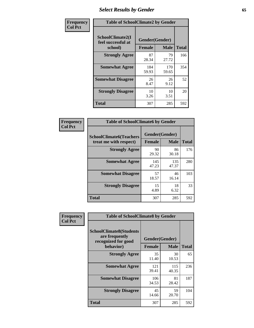## *Select Results by Gender* **65**

| Frequency      | <b>Table of SchoolClimate2 by Gender</b>          |                                 |              |              |  |
|----------------|---------------------------------------------------|---------------------------------|--------------|--------------|--|
| <b>Col Pct</b> | SchoolClimate2(I<br>feel successful at<br>school) | Gender(Gender)<br><b>Female</b> | <b>Male</b>  | <b>Total</b> |  |
|                | <b>Strongly Agree</b>                             | 87<br>28.34                     | 79<br>27.72  | 166          |  |
|                | <b>Somewhat Agree</b>                             | 184<br>59.93                    | 170<br>59.65 | 354          |  |
|                | <b>Somewhat Disagree</b>                          | 26<br>8.47                      | 26<br>9.12   | 52           |  |
|                | <b>Strongly Disagree</b>                          | 10<br>3.26                      | 10<br>3.51   | 20           |  |
|                | <b>Total</b>                                      | 307                             | 285          | 592          |  |

| Frequency      | <b>Table of SchoolClimate6 by Gender</b>                 |                                 |              |              |  |
|----------------|----------------------------------------------------------|---------------------------------|--------------|--------------|--|
| <b>Col Pct</b> | <b>SchoolClimate6(Teachers</b><br>treat me with respect) | Gender(Gender)<br><b>Female</b> | <b>Male</b>  | <b>Total</b> |  |
|                | <b>Strongly Agree</b>                                    | 90<br>29.32                     | 86<br>30.18  | 176          |  |
|                | <b>Somewhat Agree</b>                                    | 145<br>47.23                    | 135<br>47.37 | 280          |  |
|                | <b>Somewhat Disagree</b>                                 | 57<br>18.57                     | 46<br>16.14  | 103          |  |
|                | <b>Strongly Disagree</b>                                 | 15<br>4.89                      | 18<br>6.32   | 33           |  |
|                | <b>Total</b>                                             | 307                             | 285          | 592          |  |

| Frequency      | <b>Table of SchoolClimate8 by Gender</b>                                             |                                 |              |              |
|----------------|--------------------------------------------------------------------------------------|---------------------------------|--------------|--------------|
| <b>Col Pct</b> | <b>SchoolClimate8(Students</b><br>are frequently<br>recognized for good<br>behavior) | Gender(Gender)<br><b>Female</b> | <b>Male</b>  | <b>Total</b> |
|                |                                                                                      |                                 |              |              |
|                | <b>Strongly Agree</b>                                                                | 35<br>11.40                     | 30<br>10.53  | 65           |
|                | <b>Somewhat Agree</b>                                                                | 121<br>39.41                    | 115<br>40.35 | 236          |
|                | <b>Somewhat Disagree</b>                                                             | 106<br>34.53                    | 81<br>28.42  | 187          |
|                | <b>Strongly Disagree</b>                                                             | 45<br>14.66                     | 59<br>20.70  | 104          |
|                | Total                                                                                | 307                             | 285          | 592          |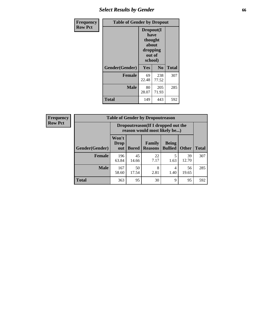## *Select Results by Gender* **66**

| Frequency      | <b>Table of Gender by Dropout</b> |                                                                        |                |              |
|----------------|-----------------------------------|------------------------------------------------------------------------|----------------|--------------|
| <b>Row Pct</b> |                                   | Dropout(I<br>have<br>thought<br>about<br>dropping<br>out of<br>school) |                |              |
|                | Gender(Gender)                    | Yes                                                                    | N <sub>0</sub> | <b>Total</b> |
|                | <b>Female</b>                     | 69<br>22.48                                                            | 238<br>77.52   | 307          |
|                | <b>Male</b>                       | 80<br>28.07                                                            | 205<br>71.93   | 285          |
|                | <b>Total</b>                      | 149                                                                    | 443            | 592          |

| <b>Frequency</b> |                | <b>Table of Gender by Dropoutreason</b>                            |              |                          |                                |              |              |
|------------------|----------------|--------------------------------------------------------------------|--------------|--------------------------|--------------------------------|--------------|--------------|
| <b>Row Pct</b>   |                | Dropoutreason(If I dropped out the<br>reason would most likely be) |              |                          |                                |              |              |
|                  | Gender(Gender) | Won't<br><b>Drop</b><br>out                                        | <b>Bored</b> | Family<br><b>Reasons</b> | <b>Being</b><br><b>Bullied</b> | <b>Other</b> | <b>Total</b> |
|                  | Female         | 196<br>63.84                                                       | 45<br>14.66  | 22<br>7.17               | 1.63                           | 39<br>12.70  | 307          |
|                  | <b>Male</b>    | 167<br>58.60                                                       | 50<br>17.54  | 8<br>2.81                | 4<br>1.40                      | 56<br>19.65  | 285          |
|                  | <b>Total</b>   | 363                                                                | 95           | 30                       | 9                              | 95           | 592          |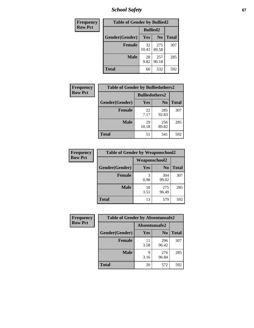*School Safety* **67**

| Frequency      | <b>Table of Gender by Bullied2</b> |                 |                |              |
|----------------|------------------------------------|-----------------|----------------|--------------|
| <b>Row Pct</b> |                                    | <b>Bullied2</b> |                |              |
|                | Gender(Gender)                     | Yes             | N <sub>0</sub> | <b>Total</b> |
|                | <b>Female</b>                      | 32<br>10.42     | 275<br>89.58   | 307          |
|                | <b>Male</b>                        | 28<br>9.82      | 257<br>90.18   | 285          |
|                | Total                              | 60              | 532            | 592          |

| Frequency      | <b>Table of Gender by Bulliedothers2</b> |                       |              |              |
|----------------|------------------------------------------|-----------------------|--------------|--------------|
| <b>Row Pct</b> |                                          | <b>Bulliedothers2</b> |              |              |
|                | Gender(Gender)                           | <b>Yes</b>            | $\bf N_0$    | <b>Total</b> |
|                | <b>Female</b>                            | 22<br>7.17            | 285<br>92.83 | 307          |
|                | <b>Male</b>                              | 29<br>10.18           | 256<br>89.82 | 285          |
|                | Total                                    | 51                    | 541          | 592          |

| Frequency      | <b>Table of Gender by Weaponschool2</b> |                      |                |              |
|----------------|-----------------------------------------|----------------------|----------------|--------------|
| <b>Row Pct</b> |                                         | <b>Weaponschool2</b> |                |              |
|                | Gender(Gender)                          | Yes                  | N <sub>0</sub> | <b>Total</b> |
|                | <b>Female</b>                           | 3<br>0.98            | 304<br>99.02   | 307          |
|                | <b>Male</b>                             | 10<br>3.51           | 275<br>96.49   | 285          |
|                | <b>Total</b>                            | 13                   | 579            | 592          |

| Frequency      | <b>Table of Gender by Absentunsafe2</b> |               |                |              |  |
|----------------|-----------------------------------------|---------------|----------------|--------------|--|
| <b>Row Pct</b> |                                         | Absentunsafe2 |                |              |  |
|                | Gender(Gender)                          | Yes           | N <sub>0</sub> | <b>Total</b> |  |
|                | <b>Female</b>                           | 11<br>3.58    | 296<br>96.42   | 307          |  |
|                | <b>Male</b>                             | q<br>3.16     | 276<br>96.84   | 285          |  |
|                | <b>Total</b>                            | 20            | 572            | 592          |  |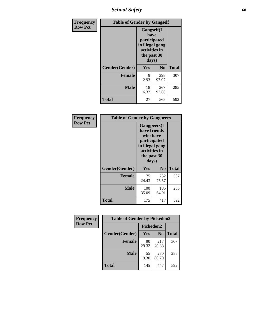*School Safety* **68**

| Frequency      |                | <b>Table of Gender by Gangself</b>                                                             |                |              |
|----------------|----------------|------------------------------------------------------------------------------------------------|----------------|--------------|
| <b>Row Pct</b> |                | Gangself(I<br>have<br>participated<br>in illegal gang<br>activities in<br>the past 30<br>days) |                |              |
|                | Gender(Gender) | Yes                                                                                            | N <sub>0</sub> | <b>Total</b> |
|                | <b>Female</b>  | 9<br>2.93                                                                                      | 298<br>97.07   | 307          |
|                | <b>Male</b>    | 18<br>6.32                                                                                     | 267<br>93.68   | 285          |
|                | <b>Total</b>   | 27                                                                                             | 565            | 592          |

| Frequency      | <b>Table of Gender by Gangpeers</b> |                                                                                                                             |                |              |
|----------------|-------------------------------------|-----------------------------------------------------------------------------------------------------------------------------|----------------|--------------|
| <b>Row Pct</b> |                                     | <b>Gangpeers</b> (I<br>have friends<br>who have<br>participated<br>in illegal gang<br>activities in<br>the past 30<br>days) |                |              |
|                | Gender(Gender)                      | Yes                                                                                                                         | N <sub>0</sub> | <b>Total</b> |
|                | <b>Female</b>                       | 75<br>24.43                                                                                                                 | 232<br>75.57   | 307          |
|                | <b>Male</b>                         | 100<br>35.09                                                                                                                | 185<br>64.91   | 285          |
|                | <b>Total</b>                        | 175                                                                                                                         | 417            | 592          |

| <b>Frequency</b> | <b>Table of Gender by Pickedon2</b> |             |                |              |
|------------------|-------------------------------------|-------------|----------------|--------------|
| <b>Row Pct</b>   |                                     | Pickedon2   |                |              |
|                  | Gender(Gender)                      | Yes         | N <sub>0</sub> | <b>Total</b> |
|                  | <b>Female</b>                       | 90<br>29.32 | 217<br>70.68   | 307          |
|                  | <b>Male</b>                         | 55<br>19.30 | 230<br>80.70   | 285          |
|                  | <b>Total</b>                        | 145         | 447            | 592          |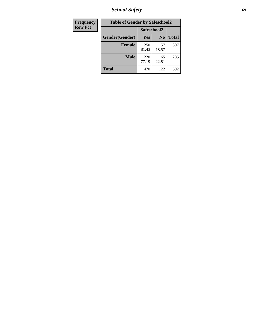*School Safety* **69**

| Frequency      | <b>Table of Gender by Safeschool2</b> |              |                |              |  |
|----------------|---------------------------------------|--------------|----------------|--------------|--|
| <b>Row Pct</b> |                                       |              | Safeschool2    |              |  |
|                | Gender(Gender)                        | Yes          | N <sub>0</sub> | <b>Total</b> |  |
|                | <b>Female</b>                         | 250<br>81.43 | 57<br>18.57    | 307          |  |
|                | <b>Male</b>                           | 220<br>77.19 | 65<br>22.81    | 285          |  |
|                | <b>Total</b>                          | 470          | 122            | 592          |  |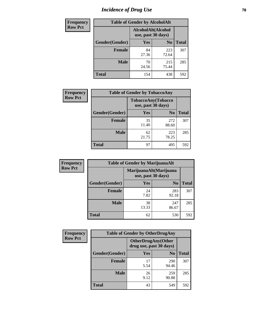# *Incidence of Drug Use* **70**

| <b>Frequency</b> | <b>Table of Gender by AlcoholAlt</b> |                                          |                |              |  |
|------------------|--------------------------------------|------------------------------------------|----------------|--------------|--|
| <b>Row Pct</b>   |                                      | AlcoholAlt(Alcohol<br>use, past 30 days) |                |              |  |
|                  | Gender(Gender)                       | <b>Yes</b>                               | N <sub>0</sub> | <b>Total</b> |  |
|                  | <b>Female</b>                        | 84<br>27.36                              | 223<br>72.64   | 307          |  |
|                  | <b>Male</b>                          | 70<br>24.56                              | 215<br>75.44   | 285          |  |
|                  | <b>Total</b>                         | 154                                      | 438            | 592          |  |

| Frequency      | <b>Table of Gender by TobaccoAny</b> |                    |                    |              |  |
|----------------|--------------------------------------|--------------------|--------------------|--------------|--|
| <b>Row Pct</b> |                                      | use, past 30 days) | TobaccoAny(Tobacco |              |  |
|                | Gender(Gender)                       | Yes                | N <sub>0</sub>     | <b>Total</b> |  |
|                | <b>Female</b>                        | 35<br>11.40        | 272<br>88.60       | 307          |  |
|                | <b>Male</b>                          | 62<br>21.75        | 223<br>78.25       | 285          |  |
|                | Total                                | 97                 | 495                | 592          |  |

| <b>Frequency</b> | <b>Table of Gender by MarijuanaAlt</b> |                    |                        |              |
|------------------|----------------------------------------|--------------------|------------------------|--------------|
| <b>Row Pct</b>   |                                        | use, past 30 days) | MarijuanaAlt(Marijuana |              |
|                  | Gender(Gender)                         | <b>Yes</b>         | N <sub>0</sub>         | <b>Total</b> |
|                  | <b>Female</b>                          | 24<br>7.82         | 283<br>92.18           | 307          |
|                  | <b>Male</b>                            | 38<br>13.33        | 247<br>86.67           | 285          |
|                  | <b>Total</b>                           | 62                 | 530                    | 592          |

| <b>Frequency</b> | <b>Table of Gender by OtherDrugAny</b> |                         |                            |              |
|------------------|----------------------------------------|-------------------------|----------------------------|--------------|
| <b>Row Pct</b>   |                                        | drug use, past 30 days) | <b>OtherDrugAny</b> (Other |              |
|                  | Gender(Gender)                         | <b>Yes</b>              | N <sub>0</sub>             | <b>Total</b> |
|                  | <b>Female</b>                          | 17<br>5.54              | 290<br>94.46               | 307          |
|                  | <b>Male</b>                            | 26<br>9.12              | 259<br>90.88               | 285          |
|                  | <b>Total</b>                           | 43                      | 549                        | 592          |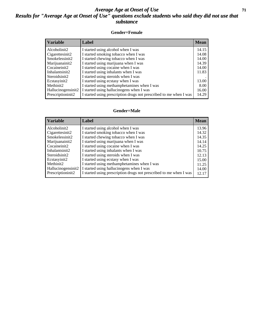#### *Average Age at Onset of Use* **71** *Results for "Average Age at Onset of Use" questions exclude students who said they did not use that substance*

#### **Gender=Female**

| <b>Variable</b>                 | <b>Label</b>                                                       | <b>Mean</b> |
|---------------------------------|--------------------------------------------------------------------|-------------|
| Alcoholinit2                    | I started using alcohol when I was                                 | 14.15       |
| Cigarettesinit2                 | I started smoking tobacco when I was                               | 14.08       |
| Smokelessinit2                  | I started chewing tobacco when I was                               | 14.00       |
| Marijuanainit2                  | I started using marijuana when I was                               | 14.39       |
| Cocaineinit2                    | I started using cocaine when I was                                 | 14.00       |
| Inhalantsinit2                  | I started using inhalants when I was                               | 11.83       |
| Steroidsinit2                   | I started using steroids when I was                                |             |
| Ecstasyinit2                    | I started using ecstasy when I was                                 | 13.00       |
| Methinit2                       | I started using methamphetamines when I was                        | 8.00        |
| Hallucinogensinit2              | I started using hallucinogens when I was                           | 16.00       |
| Prescription in it <sub>2</sub> | I started using prescription drugs not prescribed to me when I was | 14.29       |

#### **Gender=Male**

| <b>Variable</b>    | Label                                                              | <b>Mean</b> |
|--------------------|--------------------------------------------------------------------|-------------|
| Alcoholinit2       | I started using alcohol when I was                                 | 13.96       |
| Cigarettesinit2    | I started smoking tobacco when I was                               | 14.32       |
| Smokelessinit2     | I started chewing tobacco when I was                               | 14.35       |
| Marijuanainit2     | I started using marijuana when I was                               | 14.14       |
| Cocaineinit2       | I started using cocaine when I was                                 | 14.25       |
| Inhalantsinit2     | I started using inhalants when I was                               | 10.75       |
| Steroidsinit2      | I started using steroids when I was                                | 12.13       |
| Ecstasyinit2       | I started using ecstasy when I was                                 | 15.00       |
| Methinit2          | I started using methamphetamines when I was                        | 11.25       |
| Hallucinogensinit2 | I started using hallucinogens when I was                           | 14.00       |
| Prescriptioninit2  | I started using prescription drugs not prescribed to me when I was | 12.17       |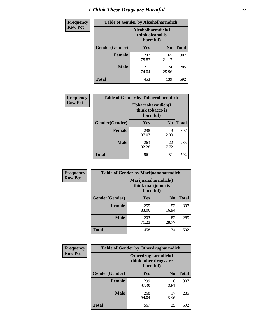# *I Think These Drugs are Harmful* **72**

| <b>Frequency</b> | <b>Table of Gender by Alcoholharmdich</b> |                                                   |                |              |
|------------------|-------------------------------------------|---------------------------------------------------|----------------|--------------|
| <b>Row Pct</b>   |                                           | Alcoholharmdich(I<br>think alcohol is<br>harmful) |                |              |
|                  | Gender(Gender)                            | Yes                                               | N <sub>0</sub> | <b>Total</b> |
|                  | <b>Female</b>                             | 242<br>78.83                                      | 65<br>21.17    | 307          |
|                  | <b>Male</b>                               | 211<br>74.04                                      | 74<br>25.96    | 285          |
|                  | <b>Total</b>                              | 453                                               | 139            | 592          |

| Frequency      | <b>Table of Gender by Tobaccoharmdich</b> |                              |                   |              |
|----------------|-------------------------------------------|------------------------------|-------------------|--------------|
| <b>Row Pct</b> |                                           | think tobacco is<br>harmful) | Tobaccoharmdich(I |              |
|                | Gender(Gender)                            | Yes                          | N <sub>0</sub>    | <b>Total</b> |
|                | <b>Female</b>                             | 298<br>97.07                 | 9<br>2.93         | 307          |
|                | <b>Male</b>                               | 263<br>92.28                 | 22<br>7.72        | 285          |
|                | <b>Total</b>                              | 561                          | 31                | 592          |

| Frequency      | <b>Table of Gender by Marijuanaharmdich</b> |                                                       |                |              |  |
|----------------|---------------------------------------------|-------------------------------------------------------|----------------|--------------|--|
| <b>Row Pct</b> |                                             | Marijuanaharmdich(I<br>think marijuana is<br>harmful) |                |              |  |
|                | Gender(Gender)                              | <b>Yes</b>                                            | N <sub>0</sub> | <b>Total</b> |  |
|                | <b>Female</b>                               | 255<br>83.06                                          | 52<br>16.94    | 307          |  |
|                | <b>Male</b>                                 | 203<br>71.23                                          | 82<br>28.77    | 285          |  |
|                | <b>Total</b>                                | 458                                                   | 134            | 592          |  |

| Frequency      | <b>Table of Gender by Otherdrugharmdich</b> |                                                          |                |              |  |
|----------------|---------------------------------------------|----------------------------------------------------------|----------------|--------------|--|
| <b>Row Pct</b> |                                             | Otherdrugharmdich(I<br>think other drugs are<br>harmful) |                |              |  |
|                | Gender(Gender)                              | <b>Yes</b>                                               | N <sub>0</sub> | <b>Total</b> |  |
|                | <b>Female</b>                               | 299<br>97.39                                             | 8<br>2.61      | 307          |  |
|                | <b>Male</b>                                 | 268<br>94.04                                             | 17<br>5.96     | 285          |  |
|                | <b>Total</b>                                | 567                                                      | 25             | 592          |  |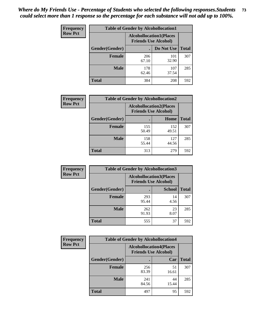| <b>Frequency</b> | <b>Table of Gender by Alcohollocation1</b> |                                                               |              |              |
|------------------|--------------------------------------------|---------------------------------------------------------------|--------------|--------------|
| <b>Row Pct</b>   |                                            | <b>Alcohollocation1(Places</b><br><b>Friends Use Alcohol)</b> |              |              |
|                  | Gender(Gender)                             |                                                               | Do Not Use   | <b>Total</b> |
|                  | <b>Female</b>                              | 206<br>67.10                                                  | 101<br>32.90 | 307          |
|                  | <b>Male</b>                                | 178<br>62.46                                                  | 107<br>37.54 | 285          |
|                  | <b>Total</b>                               | 384                                                           | 208          | 592          |

| <b>Frequency</b> | <b>Table of Gender by Alcohollocation2</b> |              |                                                               |              |
|------------------|--------------------------------------------|--------------|---------------------------------------------------------------|--------------|
| <b>Row Pct</b>   |                                            |              | <b>Alcohollocation2(Places</b><br><b>Friends Use Alcohol)</b> |              |
|                  | Gender(Gender)                             |              | Home                                                          | <b>Total</b> |
|                  | <b>Female</b>                              | 155<br>50.49 | 152<br>49.51                                                  | 307          |
|                  | <b>Male</b>                                | 158<br>55.44 | 127<br>44.56                                                  | 285          |
|                  | <b>Total</b>                               | 313          | 279                                                           | 592          |

| Frequency      | <b>Table of Gender by Alcohollocation3</b> |                                                               |               |              |
|----------------|--------------------------------------------|---------------------------------------------------------------|---------------|--------------|
| <b>Row Pct</b> |                                            | <b>Alcohollocation3(Places</b><br><b>Friends Use Alcohol)</b> |               |              |
|                | Gender(Gender)                             |                                                               | <b>School</b> | <b>Total</b> |
|                | <b>Female</b>                              | 293<br>95.44                                                  | 14<br>4.56    | 307          |
|                | <b>Male</b>                                | 262<br>91.93                                                  | 23<br>8.07    | 285          |
|                | <b>Total</b>                               | 555                                                           | 37            | 592          |

| Frequency      |                | <b>Table of Gender by Alcohollocation4</b>                    |             |              |  |  |
|----------------|----------------|---------------------------------------------------------------|-------------|--------------|--|--|
| <b>Row Pct</b> |                | <b>Alcohollocation4(Places</b><br><b>Friends Use Alcohol)</b> |             |              |  |  |
|                | Gender(Gender) |                                                               | Car         | <b>Total</b> |  |  |
|                | <b>Female</b>  | 256<br>83.39                                                  | 51<br>16.61 | 307          |  |  |
|                | <b>Male</b>    | 241<br>84.56                                                  | 44<br>15.44 | 285          |  |  |
|                | <b>Total</b>   | 497                                                           | 95          | 592          |  |  |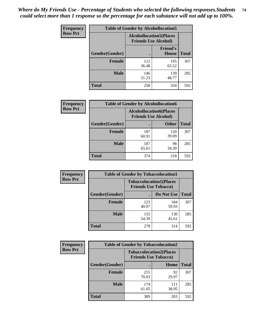| <b>Frequency</b> | <b>Table of Gender by Alcohollocation5</b> |                                                               |                                 |              |
|------------------|--------------------------------------------|---------------------------------------------------------------|---------------------------------|--------------|
| <b>Row Pct</b>   |                                            | <b>Alcohollocation5(Places</b><br><b>Friends Use Alcohol)</b> |                                 |              |
|                  | Gender(Gender)                             | $\bullet$                                                     | <b>Friend's</b><br><b>House</b> | <b>Total</b> |
|                  | <b>Female</b>                              | 112<br>36.48                                                  | 195<br>63.52                    | 307          |
|                  | <b>Male</b>                                | 146<br>51.23                                                  | 139<br>48.77                    | 285          |
|                  | <b>Total</b>                               | 258                                                           | 334                             | 592          |

| <b>Frequency</b> | <b>Table of Gender by Alcohollocation6</b> |                                                               |              |              |
|------------------|--------------------------------------------|---------------------------------------------------------------|--------------|--------------|
| <b>Row Pct</b>   |                                            | <b>Alcohollocation6(Places</b><br><b>Friends Use Alcohol)</b> |              |              |
|                  | Gender(Gender)                             |                                                               | <b>Other</b> | <b>Total</b> |
|                  | <b>Female</b>                              | 187<br>60.91                                                  | 120<br>39.09 | 307          |
|                  | <b>Male</b>                                | 187<br>65.61                                                  | 98<br>34.39  | 285          |
|                  | <b>Total</b>                               | 374                                                           | 218          | 592          |

| Frequency      | <b>Table of Gender by Tobaccolocation1</b> |                                                               |              |              |  |
|----------------|--------------------------------------------|---------------------------------------------------------------|--------------|--------------|--|
| <b>Row Pct</b> |                                            | <b>Tobaccolocation1(Places</b><br><b>Friends Use Tobacco)</b> |              |              |  |
|                | Gender(Gender)                             |                                                               | Do Not Use   | <b>Total</b> |  |
|                | <b>Female</b>                              | 123<br>40.07                                                  | 184<br>59.93 | 307          |  |
|                | <b>Male</b>                                | 155<br>54.39                                                  | 130<br>45.61 | 285          |  |
|                | <b>Total</b>                               | 278                                                           | 314          | 592          |  |

| <b>Frequency</b> | <b>Table of Gender by Tobaccolocation2</b> |                                                               |              |              |  |
|------------------|--------------------------------------------|---------------------------------------------------------------|--------------|--------------|--|
| <b>Row Pct</b>   |                                            | <b>Tobaccolocation2(Places</b><br><b>Friends Use Tobacco)</b> |              |              |  |
|                  | Gender(Gender)                             |                                                               | Home         | <b>Total</b> |  |
|                  | Female                                     | 215<br>70.03                                                  | 92<br>29.97  | 307          |  |
|                  | <b>Male</b>                                | 174<br>61.05                                                  | 111<br>38.95 | 285          |  |
|                  | <b>Total</b>                               | 389                                                           | 203          | 592          |  |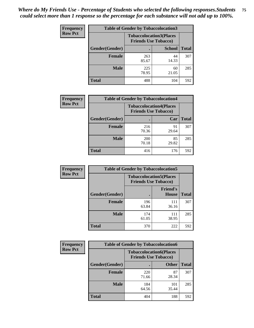| <b>Frequency</b> | <b>Table of Gender by Tobaccolocation3</b> |                                                               |               |              |
|------------------|--------------------------------------------|---------------------------------------------------------------|---------------|--------------|
| <b>Row Pct</b>   |                                            | <b>Tobaccolocation3(Places</b><br><b>Friends Use Tobacco)</b> |               |              |
|                  | Gender(Gender)                             |                                                               | <b>School</b> | <b>Total</b> |
|                  | <b>Female</b>                              | 263<br>85.67                                                  | 44<br>14.33   | 307          |
|                  | <b>Male</b>                                | 225<br>78.95                                                  | 60<br>21.05   | 285          |
|                  | Total                                      | 488                                                           | 104           | 592          |

| <b>Frequency</b> | <b>Table of Gender by Tobaccolocation4</b> |                             |                                |              |
|------------------|--------------------------------------------|-----------------------------|--------------------------------|--------------|
| <b>Row Pct</b>   |                                            | <b>Friends Use Tobacco)</b> | <b>Tobaccolocation4(Places</b> |              |
|                  | Gender(Gender)                             |                             | Car                            | <b>Total</b> |
|                  | <b>Female</b>                              | 216<br>70.36                | 91<br>29.64                    | 307          |
|                  | <b>Male</b>                                | 200<br>70.18                | 85<br>29.82                    | 285          |
|                  | <b>Total</b>                               | 416                         | 176                            | 592          |

| <b>Frequency</b> | <b>Table of Gender by Tobaccolocation5</b> |                                                               |                          |              |
|------------------|--------------------------------------------|---------------------------------------------------------------|--------------------------|--------------|
| <b>Row Pct</b>   |                                            | <b>Tobaccolocation5(Places</b><br><b>Friends Use Tobacco)</b> |                          |              |
|                  | Gender(Gender)                             |                                                               | <b>Friend's</b><br>House | <b>Total</b> |
|                  | <b>Female</b>                              | 196<br>63.84                                                  | 111<br>36.16             | 307          |
|                  | <b>Male</b>                                | 174<br>61.05                                                  | 111<br>38.95             | 285          |
|                  | <b>Total</b>                               | 370                                                           | 222                      | 592          |

| <b>Frequency</b> | <b>Table of Gender by Tobaccolocation6</b> |                                                               |              |              |
|------------------|--------------------------------------------|---------------------------------------------------------------|--------------|--------------|
| <b>Row Pct</b>   |                                            | <b>Tobaccolocation6(Places</b><br><b>Friends Use Tobacco)</b> |              |              |
|                  | Gender(Gender)                             |                                                               | <b>Other</b> | <b>Total</b> |
|                  | Female                                     | 220<br>71.66                                                  | 87<br>28.34  | 307          |
|                  | <b>Male</b>                                | 184<br>64.56                                                  | 101<br>35.44 | 285          |
|                  | <b>Total</b>                               | 404                                                           | 188          | 592          |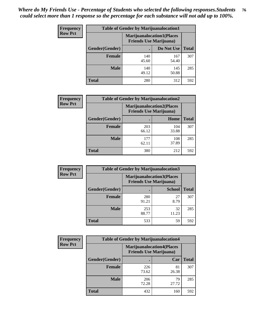| <b>Frequency</b> | <b>Table of Gender by Marijuanalocation1</b> |                                                                    |              |              |  |
|------------------|----------------------------------------------|--------------------------------------------------------------------|--------------|--------------|--|
| <b>Row Pct</b>   |                                              | <b>Marijuanalocation1(Places</b><br><b>Friends Use Marijuana</b> ) |              |              |  |
|                  | Gender(Gender)                               |                                                                    | Do Not Use   | <b>Total</b> |  |
|                  | <b>Female</b>                                | 140<br>45.60                                                       | 167<br>54.40 | 307          |  |
|                  | <b>Male</b>                                  | 140<br>49.12                                                       | 145<br>50.88 | 285          |  |
|                  | <b>Total</b>                                 | 280                                                                | 312          | 592          |  |

| <b>Frequency</b> | <b>Table of Gender by Marijuanalocation2</b> |                                                                    |              |              |  |
|------------------|----------------------------------------------|--------------------------------------------------------------------|--------------|--------------|--|
| <b>Row Pct</b>   |                                              | <b>Marijuanalocation2(Places</b><br><b>Friends Use Marijuana</b> ) |              |              |  |
|                  | Gender(Gender)                               |                                                                    | Home         | <b>Total</b> |  |
|                  | <b>Female</b>                                | 203<br>66.12                                                       | 104<br>33.88 | 307          |  |
|                  | <b>Male</b>                                  | 177<br>62.11                                                       | 108<br>37.89 | 285          |  |
|                  | Total                                        | 380                                                                | 212          | 592          |  |

| Frequency      | <b>Table of Gender by Marijuanalocation3</b> |              |                                                                    |              |  |
|----------------|----------------------------------------------|--------------|--------------------------------------------------------------------|--------------|--|
| <b>Row Pct</b> |                                              |              | <b>Marijuanalocation3(Places</b><br><b>Friends Use Marijuana</b> ) |              |  |
|                | Gender(Gender)                               |              | <b>School</b>                                                      | <b>Total</b> |  |
|                | Female                                       | 280<br>91.21 | 27<br>8.79                                                         | 307          |  |
|                | <b>Male</b>                                  | 253<br>88.77 | 32<br>11.23                                                        | 285          |  |
|                | <b>Total</b>                                 | 533          | 59                                                                 | 592          |  |

| Frequency      |                | <b>Table of Gender by Marijuanalocation4</b> |                                  |              |
|----------------|----------------|----------------------------------------------|----------------------------------|--------------|
| <b>Row Pct</b> |                | <b>Friends Use Marijuana</b> )               | <b>Marijuanalocation4(Places</b> |              |
|                | Gender(Gender) |                                              | Car                              | <b>Total</b> |
|                | <b>Female</b>  | 226<br>73.62                                 | 81<br>26.38                      | 307          |
|                | <b>Male</b>    | 206<br>72.28                                 | 79<br>27.72                      | 285          |
|                | <b>Total</b>   | 432                                          | 160                              | 592          |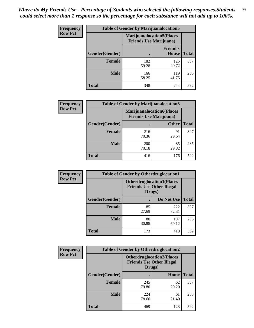| <b>Frequency</b> | <b>Table of Gender by Marijuanalocation5</b> |                                                                    |                          |              |
|------------------|----------------------------------------------|--------------------------------------------------------------------|--------------------------|--------------|
| <b>Row Pct</b>   |                                              | <b>Marijuanalocation5(Places</b><br><b>Friends Use Marijuana</b> ) |                          |              |
|                  | Gender(Gender)                               |                                                                    | <b>Friend's</b><br>House | <b>Total</b> |
|                  | <b>Female</b>                                | 182<br>59.28                                                       | 125<br>40.72             | 307          |
|                  | <b>Male</b>                                  | 166<br>58.25                                                       | 119<br>41.75             | 285          |
|                  | <b>Total</b>                                 | 348                                                                | 244                      | 592          |

| <b>Frequency</b> | <b>Table of Gender by Marijuanalocation6</b> |                                                                    |              |              |
|------------------|----------------------------------------------|--------------------------------------------------------------------|--------------|--------------|
| <b>Row Pct</b>   |                                              | <b>Marijuanalocation6(Places</b><br><b>Friends Use Marijuana</b> ) |              |              |
|                  | <b>Gender</b> (Gender)                       |                                                                    | <b>Other</b> | <b>Total</b> |
|                  | <b>Female</b>                                | 216<br>70.36                                                       | 91<br>29.64  | 307          |
|                  | <b>Male</b>                                  | 200<br>70.18                                                       | 85<br>29.82  | 285          |
|                  | Total                                        | 416                                                                | 176          | 592          |

| <b>Frequency</b> | <b>Table of Gender by Otherdruglocation1</b> |                                                                                |              |              |
|------------------|----------------------------------------------|--------------------------------------------------------------------------------|--------------|--------------|
| <b>Row Pct</b>   |                                              | <b>Otherdruglocation1(Places</b><br><b>Friends Use Other Illegal</b><br>Drugs) |              |              |
|                  | Gender(Gender)                               |                                                                                | Do Not Use   | <b>Total</b> |
|                  | <b>Female</b>                                | 85<br>27.69                                                                    | 222<br>72.31 | 307          |
|                  | <b>Male</b>                                  | 88<br>30.88                                                                    | 197<br>69.12 | 285          |
|                  | <b>Total</b>                                 | 173                                                                            | 419          | 592          |

| Frequency      | <b>Table of Gender by Otherdruglocation2</b> |                                            |                                  |              |
|----------------|----------------------------------------------|--------------------------------------------|----------------------------------|--------------|
| <b>Row Pct</b> |                                              | <b>Friends Use Other Illegal</b><br>Drugs) | <b>Otherdruglocation2(Places</b> |              |
|                | Gender(Gender)                               |                                            | Home                             | <b>Total</b> |
|                | <b>Female</b>                                | 245<br>79.80                               | 62<br>20.20                      | 307          |
|                | <b>Male</b>                                  | 224<br>78.60                               | 61<br>21.40                      | 285          |
|                | <b>Total</b>                                 | 469                                        | 123                              | 592          |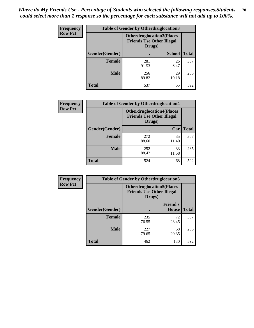| <b>Frequency</b> | <b>Table of Gender by Otherdruglocation3</b> |                                            |                                  |              |
|------------------|----------------------------------------------|--------------------------------------------|----------------------------------|--------------|
| <b>Row Pct</b>   |                                              | <b>Friends Use Other Illegal</b><br>Drugs) | <b>Otherdruglocation3(Places</b> |              |
|                  | Gender(Gender)                               |                                            | <b>School</b>                    | <b>Total</b> |
|                  | <b>Female</b>                                | 281<br>91.53                               | 26<br>8.47                       | 307          |
|                  | <b>Male</b>                                  | 256<br>89.82                               | 29<br>10.18                      | 285          |
|                  | <b>Total</b>                                 | 537                                        | 55                               | 592          |

| <b>Frequency</b> | <b>Table of Gender by Otherdruglocation4</b> |                                                                                |             |              |
|------------------|----------------------------------------------|--------------------------------------------------------------------------------|-------------|--------------|
| <b>Row Pct</b>   |                                              | <b>Otherdruglocation4(Places</b><br><b>Friends Use Other Illegal</b><br>Drugs) |             |              |
|                  | Gender(Gender)                               |                                                                                | Car         | <b>Total</b> |
|                  | <b>Female</b>                                | 272<br>88.60                                                                   | 35<br>11.40 | 307          |
|                  | <b>Male</b>                                  | 252<br>88.42                                                                   | 33<br>11.58 | 285          |
|                  | <b>Total</b>                                 | 524                                                                            | 68          | 592          |

| <b>Frequency</b> | <b>Table of Gender by Otherdruglocation5</b> |                                                                                |                                 |              |
|------------------|----------------------------------------------|--------------------------------------------------------------------------------|---------------------------------|--------------|
| <b>Row Pct</b>   |                                              | <b>Otherdruglocation5(Places</b><br><b>Friends Use Other Illegal</b><br>Drugs) |                                 |              |
|                  | Gender(Gender)                               |                                                                                | <b>Friend's</b><br><b>House</b> | <b>Total</b> |
|                  | <b>Female</b>                                | 235<br>76.55                                                                   | 72<br>23.45                     | 307          |
|                  | <b>Male</b>                                  | 227<br>79.65                                                                   | 58<br>20.35                     | 285          |
|                  | <b>Total</b>                                 | 462                                                                            | 130                             | 592          |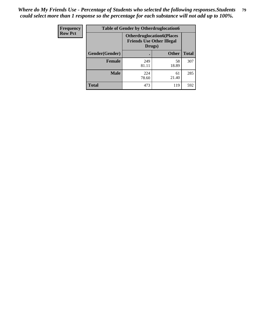| Frequency      | <b>Table of Gender by Otherdruglocation6</b> |                                            |                                  |              |
|----------------|----------------------------------------------|--------------------------------------------|----------------------------------|--------------|
| <b>Row Pct</b> |                                              | <b>Friends Use Other Illegal</b><br>Drugs) | <b>Otherdruglocation6(Places</b> |              |
|                | Gender(Gender)                               |                                            | <b>Other</b>                     | <b>Total</b> |
|                | <b>Female</b>                                | 249<br>81.11                               | 58<br>18.89                      | 307          |
|                | <b>Male</b>                                  | 224<br>78.60                               | 61<br>21.40                      | 285          |
|                | <b>Total</b>                                 | 473                                        | 119                              | 592          |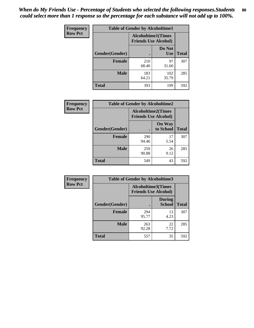| <b>Frequency</b> | <b>Table of Gender by Alcoholtime1</b> |                                                          |                      |              |
|------------------|----------------------------------------|----------------------------------------------------------|----------------------|--------------|
| <b>Row Pct</b>   |                                        | <b>Alcoholtime1(Times</b><br><b>Friends Use Alcohol)</b> |                      |              |
|                  | Gender(Gender)                         | c                                                        | Do Not<br><b>Use</b> | <b>Total</b> |
|                  | <b>Female</b>                          | 210<br>68.40                                             | 97<br>31.60          | 307          |
|                  | <b>Male</b>                            | 183<br>64.21                                             | 102<br>35.79         | 285          |
|                  | <b>Total</b>                           | 393                                                      | 199                  | 592          |

| <b>Frequency</b> | <b>Table of Gender by Alcoholtime2</b> |                                                          |                            |              |
|------------------|----------------------------------------|----------------------------------------------------------|----------------------------|--------------|
| <b>Row Pct</b>   |                                        | <b>Alcoholtime2(Times</b><br><b>Friends Use Alcohol)</b> |                            |              |
|                  | Gender(Gender)                         |                                                          | <b>On Way</b><br>to School | <b>Total</b> |
|                  | <b>Female</b>                          | 290<br>94.46                                             | 17<br>5.54                 | 307          |
|                  | <b>Male</b>                            | 259<br>90.88                                             | 26<br>9.12                 | 285          |
|                  | <b>Total</b>                           | 549                                                      | 43                         | 592          |

| Frequency      | <b>Table of Gender by Alcoholtime3</b> |                                                          |                                |              |  |
|----------------|----------------------------------------|----------------------------------------------------------|--------------------------------|--------------|--|
| <b>Row Pct</b> |                                        | <b>Alcoholtime3(Times</b><br><b>Friends Use Alcohol)</b> |                                |              |  |
|                | Gender(Gender)                         |                                                          | <b>During</b><br><b>School</b> | <b>Total</b> |  |
|                | <b>Female</b>                          | 294<br>95.77                                             | 13<br>4.23                     | 307          |  |
|                | <b>Male</b>                            | 263<br>92.28                                             | 22<br>7.72                     | 285          |  |
|                | <b>Total</b>                           | 557                                                      | 35                             | 592          |  |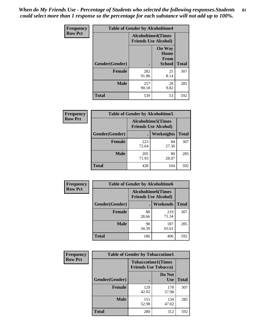*When do My Friends Use - Percentage of Students who selected the following responses.Students could select more than 1 response so the percentage for each substance will not add up to 100%.* **81**

| <b>Frequency</b> | <b>Table of Gender by Alcoholtime4</b> |                                                          |                                                       |              |
|------------------|----------------------------------------|----------------------------------------------------------|-------------------------------------------------------|--------------|
| <b>Row Pct</b>   |                                        | <b>Alcoholtime4(Times</b><br><b>Friends Use Alcohol)</b> |                                                       |              |
|                  | Gender(Gender)                         |                                                          | <b>On Way</b><br>Home<br><b>From</b><br><b>School</b> | <b>Total</b> |
|                  | <b>Female</b>                          | 282<br>91.86                                             | 25<br>8.14                                            | 307          |
|                  | <b>Male</b>                            | 257<br>90.18                                             | 28<br>9.82                                            | 285          |
|                  | <b>Total</b>                           | 539                                                      | 53                                                    | 592          |

| <b>Frequency</b> | <b>Table of Gender by Alcoholtime5</b> |                                                           |                   |              |
|------------------|----------------------------------------|-----------------------------------------------------------|-------------------|--------------|
| <b>Row Pct</b>   |                                        | <b>Alcoholtime5</b> (Times<br><b>Friends Use Alcohol)</b> |                   |              |
|                  | Gender(Gender)                         |                                                           | <b>Weeknights</b> | <b>Total</b> |
|                  | <b>Female</b>                          | 223<br>72.64                                              | 84<br>27.36       | 307          |
|                  | <b>Male</b>                            | 205<br>71.93                                              | 80<br>28.07       | 285          |
|                  | <b>Total</b>                           | 428                                                       | 164               | 592          |

| <b>Frequency</b> | <b>Table of Gender by Alcoholtime6</b> |                                                           |              |              |
|------------------|----------------------------------------|-----------------------------------------------------------|--------------|--------------|
| <b>Row Pct</b>   |                                        | <b>Alcoholtime6</b> (Times<br><b>Friends Use Alcohol)</b> |              |              |
|                  | Gender(Gender)                         |                                                           | Weekends     | <b>Total</b> |
|                  | Female                                 | 88<br>28.66                                               | 219<br>71.34 | 307          |
|                  | <b>Male</b>                            | 98<br>34.39                                               | 187<br>65.61 | 285          |
|                  | <b>Total</b>                           | 186                                                       | 406          | 592          |

| <b>Frequency</b> | <b>Table of Gender by Tobaccotime1</b> |                                                          |                      |              |
|------------------|----------------------------------------|----------------------------------------------------------|----------------------|--------------|
| <b>Row Pct</b>   |                                        | <b>Tobaccotime1(Times</b><br><b>Friends Use Tobacco)</b> |                      |              |
|                  | Gender(Gender)                         |                                                          | Do Not<br><b>Use</b> | <b>Total</b> |
|                  | <b>Female</b>                          | 129<br>42.02                                             | 178<br>57.98         | 307          |
|                  | <b>Male</b>                            | 151<br>52.98                                             | 134<br>47.02         | 285          |
|                  | <b>Total</b>                           | 280                                                      | 312                  | 592          |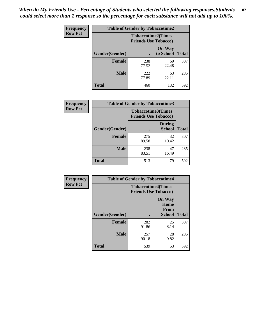*When do My Friends Use - Percentage of Students who selected the following responses.Students could select more than 1 response so the percentage for each substance will not add up to 100%.* **82**

| <b>Frequency</b> | <b>Table of Gender by Tobaccotime2</b> |                                                          |                            |              |
|------------------|----------------------------------------|----------------------------------------------------------|----------------------------|--------------|
| <b>Row Pct</b>   |                                        | <b>Tobaccotime2(Times</b><br><b>Friends Use Tobacco)</b> |                            |              |
|                  | Gender(Gender)                         |                                                          | <b>On Way</b><br>to School | <b>Total</b> |
|                  | Female                                 | 238<br>77.52                                             | 69<br>22.48                | 307          |
|                  | <b>Male</b>                            | 222<br>77.89                                             | 63<br>22.11                | 285          |
|                  | Total                                  | 460                                                      | 132                        | 592          |

| Frequency      | <b>Table of Gender by Tobaccotime3</b> |                                                          |                                |              |
|----------------|----------------------------------------|----------------------------------------------------------|--------------------------------|--------------|
| <b>Row Pct</b> |                                        | <b>Tobaccotime3(Times</b><br><b>Friends Use Tobacco)</b> |                                |              |
|                | Gender(Gender)                         |                                                          | <b>During</b><br><b>School</b> | <b>Total</b> |
|                | <b>Female</b>                          | 275<br>89.58                                             | 32<br>10.42                    | 307          |
|                | <b>Male</b>                            | 238<br>83.51                                             | 47<br>16.49                    | 285          |
|                | <b>Total</b>                           | 513                                                      | 79                             | 592          |

| <b>Frequency</b> | <b>Table of Gender by Tobaccotime4</b> |                                                          |                                                |              |
|------------------|----------------------------------------|----------------------------------------------------------|------------------------------------------------|--------------|
| <b>Row Pct</b>   |                                        | <b>Tobaccotime4(Times</b><br><b>Friends Use Tobacco)</b> |                                                |              |
|                  | Gender(Gender)                         |                                                          | <b>On Way</b><br>Home<br>From<br><b>School</b> | <b>Total</b> |
|                  | <b>Female</b>                          | 282<br>91.86                                             | 25<br>8.14                                     | 307          |
|                  | <b>Male</b>                            | 257<br>90.18                                             | 28<br>9.82                                     | 285          |
|                  | <b>Total</b>                           | 539                                                      | 53                                             | 592          |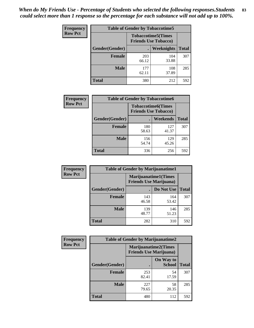| <b>Frequency</b> | <b>Table of Gender by Tobaccotime5</b> |              |                                                          |              |  |
|------------------|----------------------------------------|--------------|----------------------------------------------------------|--------------|--|
| <b>Row Pct</b>   |                                        |              | <b>Tobaccotime5(Times</b><br><b>Friends Use Tobacco)</b> |              |  |
|                  | Gender(Gender)                         |              | Weeknights                                               | <b>Total</b> |  |
|                  | <b>Female</b>                          | 203<br>66.12 | 104<br>33.88                                             | 307          |  |
|                  | <b>Male</b>                            | 177<br>62.11 | 108<br>37.89                                             | 285          |  |
|                  | <b>Total</b>                           | 380          | 212                                                      | 592          |  |

| Frequency      | <b>Table of Gender by Tobaccotime6</b> |                                                          |              |              |
|----------------|----------------------------------------|----------------------------------------------------------|--------------|--------------|
| <b>Row Pct</b> |                                        | <b>Tobaccotime6(Times</b><br><b>Friends Use Tobacco)</b> |              |              |
|                | Gender(Gender)                         |                                                          | Weekends     | <b>Total</b> |
|                | Female                                 | 180<br>58.63                                             | 127<br>41.37 | 307          |
|                | <b>Male</b>                            | 156<br>54.74                                             | 129<br>45.26 | 285          |
|                | <b>Total</b>                           | 336                                                      | 256          | 592          |

| Frequency      | <b>Table of Gender by Marijuanatime1</b> |                                |                             |              |
|----------------|------------------------------------------|--------------------------------|-----------------------------|--------------|
| <b>Row Pct</b> |                                          | <b>Friends Use Marijuana</b> ) | <b>Marijuanatime1(Times</b> |              |
|                | Gender(Gender)                           |                                | Do Not Use                  | <b>Total</b> |
|                | <b>Female</b>                            | 143<br>46.58                   | 164<br>53.42                | 307          |
|                | <b>Male</b>                              | 139<br>48.77                   | 146<br>51.23                | 285          |
|                | <b>Total</b>                             | 282                            | 310                         | 592          |

| <b>Frequency</b> | <b>Table of Gender by Marijuanatime2</b> |                                                               |                            |              |
|------------------|------------------------------------------|---------------------------------------------------------------|----------------------------|--------------|
| <b>Row Pct</b>   |                                          | <b>Marijuanatime2(Times</b><br><b>Friends Use Marijuana</b> ) |                            |              |
|                  | Gender(Gender)                           |                                                               | On Way to<br><b>School</b> | <b>Total</b> |
|                  | <b>Female</b>                            | 253<br>82.41                                                  | 54<br>17.59                | 307          |
|                  | <b>Male</b>                              | 227<br>79.65                                                  | 58<br>20.35                | 285          |
|                  | <b>Total</b>                             | 480                                                           | 112                        | 592          |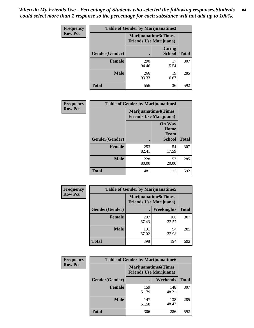| Frequency      | <b>Table of Gender by Marijuanatime3</b> |                                                        |                                |              |
|----------------|------------------------------------------|--------------------------------------------------------|--------------------------------|--------------|
| <b>Row Pct</b> |                                          | Marijuanatime3(Times<br><b>Friends Use Marijuana</b> ) |                                |              |
|                | Gender(Gender)                           |                                                        | <b>During</b><br><b>School</b> | <b>Total</b> |
|                | <b>Female</b>                            | 290<br>94.46                                           | 17<br>5.54                     | 307          |
|                | <b>Male</b>                              | 266<br>93.33                                           | 19<br>6.67                     | 285          |
|                | <b>Total</b>                             | 556                                                    | 36                             | 592          |

| Frequency      | <b>Table of Gender by Marijuanatime4</b> |                                                               |                                                |              |
|----------------|------------------------------------------|---------------------------------------------------------------|------------------------------------------------|--------------|
| <b>Row Pct</b> |                                          | <b>Marijuanatime4(Times</b><br><b>Friends Use Marijuana</b> ) |                                                |              |
|                | Gender(Gender)                           |                                                               | <b>On Way</b><br>Home<br>From<br><b>School</b> | <b>Total</b> |
|                | <b>Female</b>                            | 253<br>82.41                                                  | 54<br>17.59                                    | 307          |
|                | <b>Male</b>                              | 228<br>80.00                                                  | 57<br>20.00                                    | 285          |
|                | <b>Total</b>                             | 481                                                           | 111                                            | 592          |

| Frequency      | <b>Table of Gender by Marijuanatime5</b> |                                                                |                   |              |  |
|----------------|------------------------------------------|----------------------------------------------------------------|-------------------|--------------|--|
| <b>Row Pct</b> |                                          | <b>Marijuanatime5</b> (Times<br><b>Friends Use Marijuana</b> ) |                   |              |  |
|                | Gender(Gender)                           |                                                                | <b>Weeknights</b> | <b>Total</b> |  |
|                | <b>Female</b>                            | 207<br>67.43                                                   | 100<br>32.57      | 307          |  |
|                | <b>Male</b>                              | 191<br>67.02                                                   | 94<br>32.98       | 285          |  |
|                | <b>Total</b>                             | 398                                                            | 194               | 592          |  |

| Frequency      | <b>Table of Gender by Marijuanatime6</b> |                                                                |                 |              |  |
|----------------|------------------------------------------|----------------------------------------------------------------|-----------------|--------------|--|
| <b>Row Pct</b> |                                          | <b>Marijuanatime6</b> (Times<br><b>Friends Use Marijuana</b> ) |                 |              |  |
|                | Gender(Gender)                           |                                                                | <b>Weekends</b> | <b>Total</b> |  |
|                | <b>Female</b>                            | 159<br>51.79                                                   | 148<br>48.21    | 307          |  |
|                | <b>Male</b>                              | 147<br>51.58                                                   | 138<br>48.42    | 285          |  |
|                | <b>Total</b>                             | 306                                                            | 286             | 592          |  |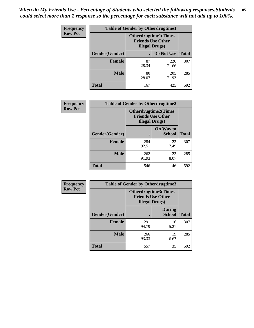| <b>Frequency</b> | <b>Table of Gender by Otherdrugtime1</b> |                                                                                   |                    |     |
|------------------|------------------------------------------|-----------------------------------------------------------------------------------|--------------------|-----|
| <b>Row Pct</b>   |                                          | <b>Otherdrugtime1</b> (Times<br><b>Friends Use Other</b><br><b>Illegal Drugs)</b> |                    |     |
|                  | Gender(Gender)                           |                                                                                   | Do Not Use   Total |     |
|                  | <b>Female</b>                            | 87<br>28.34                                                                       | 220<br>71.66       | 307 |
|                  | <b>Male</b>                              | 80<br>28.07                                                                       | 205<br>71.93       | 285 |
|                  | <b>Total</b>                             | 167                                                                               | 425                | 592 |

| Frequency      | <b>Table of Gender by Otherdrugtime2</b> |                                                                                   |                            |              |
|----------------|------------------------------------------|-----------------------------------------------------------------------------------|----------------------------|--------------|
| <b>Row Pct</b> |                                          | <b>Otherdrugtime2(Times</b><br><b>Friends Use Other</b><br><b>Illegal Drugs</b> ) |                            |              |
|                | Gender(Gender)                           |                                                                                   | On Way to<br><b>School</b> | <b>Total</b> |
|                | <b>Female</b>                            | 284<br>92.51                                                                      | 23<br>7.49                 | 307          |
|                | <b>Male</b>                              | 262<br>91.93                                                                      | 23<br>8.07                 | 285          |
|                | <b>Total</b>                             | 546                                                                               | 46                         | 592          |

| Frequency      | <b>Table of Gender by Otherdrugtime3</b> |                        |                                                         |              |
|----------------|------------------------------------------|------------------------|---------------------------------------------------------|--------------|
| <b>Row Pct</b> |                                          | <b>Illegal Drugs</b> ) | <b>Otherdrugtime3(Times</b><br><b>Friends Use Other</b> |              |
|                | Gender(Gender)                           |                        | <b>During</b><br><b>School</b>                          | <b>Total</b> |
|                | <b>Female</b>                            | 291<br>94.79           | 16<br>5.21                                              | 307          |
|                | <b>Male</b>                              | 266<br>93.33           | 19<br>6.67                                              | 285          |
|                | <b>Total</b>                             | 557                    | 35                                                      | 592          |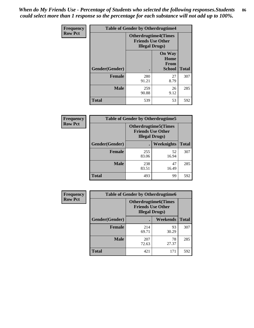*When do My Friends Use - Percentage of Students who selected the following responses.Students could select more than 1 response so the percentage for each substance will not add up to 100%.* **86**

| <b>Frequency</b> | <b>Table of Gender by Otherdrugtime4</b> |                                                    |                                                       |              |
|------------------|------------------------------------------|----------------------------------------------------|-------------------------------------------------------|--------------|
| <b>Row Pct</b>   |                                          | <b>Friends Use Other</b><br><b>Illegal Drugs</b> ) | <b>Otherdrugtime4(Times</b>                           |              |
|                  | Gender(Gender)                           |                                                    | <b>On Way</b><br>Home<br><b>From</b><br><b>School</b> | <b>Total</b> |
|                  | <b>Female</b>                            | 280<br>91.21                                       | 27<br>8.79                                            | 307          |
|                  | <b>Male</b>                              | 259<br>90.88                                       | 26<br>9.12                                            | 285          |
|                  | <b>Total</b>                             | 539                                                | 53                                                    | 592          |

| Frequency      | <b>Table of Gender by Otherdrugtime5</b> |                                                                                    |             |              |
|----------------|------------------------------------------|------------------------------------------------------------------------------------|-------------|--------------|
| <b>Row Pct</b> |                                          | <b>Otherdrugtime5</b> (Times<br><b>Friends Use Other</b><br><b>Illegal Drugs</b> ) |             |              |
|                | Gender(Gender)                           |                                                                                    | Weeknights  | <b>Total</b> |
|                | <b>Female</b>                            | 255<br>83.06                                                                       | 52<br>16.94 | 307          |
|                | <b>Male</b>                              | 238<br>83.51                                                                       | 47<br>16.49 | 285          |
|                | <b>Total</b>                             | 493                                                                                | 99          | 592          |

| <b>Frequency</b> | <b>Table of Gender by Otherdrugtime6</b> |                                                                                   |             |              |
|------------------|------------------------------------------|-----------------------------------------------------------------------------------|-------------|--------------|
| <b>Row Pct</b>   |                                          | <b>Otherdrugtime6(Times</b><br><b>Friends Use Other</b><br><b>Illegal Drugs</b> ) |             |              |
|                  | Gender(Gender)                           |                                                                                   | Weekends    | <b>Total</b> |
|                  | <b>Female</b>                            | 214<br>69.71                                                                      | 93<br>30.29 | 307          |
|                  | <b>Male</b>                              | 207<br>72.63                                                                      | 78<br>27.37 | 285          |
|                  | <b>Total</b>                             | 421                                                                               | 171         | 592          |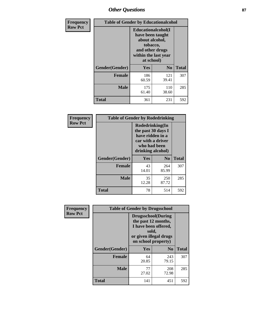# *Other Questions* **87**

| <b>Frequency</b> | <b>Table of Gender by Educationalcohol</b> |                                                                                                                                       |                |              |
|------------------|--------------------------------------------|---------------------------------------------------------------------------------------------------------------------------------------|----------------|--------------|
| <b>Row Pct</b>   |                                            | <b>Educationalcohol</b> (I<br>have been taught<br>about alcohol,<br>tobacco,<br>and other drugs<br>within the last year<br>at school) |                |              |
|                  | Gender(Gender)                             | <b>Yes</b>                                                                                                                            | N <sub>0</sub> | <b>Total</b> |
|                  | <b>Female</b>                              | 186<br>60.59                                                                                                                          | 121<br>39.41   | 307          |
|                  | <b>Male</b>                                | 175<br>61.40                                                                                                                          | 110<br>38.60   | 285          |
|                  | <b>Total</b>                               | 361                                                                                                                                   | 231            | 592          |

| Frequency      | <b>Table of Gender by Rodedrinking</b> |                                                                                                                     |              |              |  |
|----------------|----------------------------------------|---------------------------------------------------------------------------------------------------------------------|--------------|--------------|--|
| <b>Row Pct</b> |                                        | Rodedrinking(In<br>the past 30 days I<br>have ridden in a<br>car with a driver<br>who had been<br>drinking alcohol) |              |              |  |
|                | Gender(Gender)                         | Yes<br>N <sub>0</sub>                                                                                               |              | <b>Total</b> |  |
|                | <b>Female</b>                          | 43<br>14.01                                                                                                         | 264<br>85.99 | 307          |  |
|                | <b>Male</b>                            | 35<br>12.28                                                                                                         | 250<br>87.72 | 285          |  |
|                | <b>Total</b>                           | 78                                                                                                                  | 514          | 592          |  |

| Frequency      | <b>Table of Gender by Drugsschool</b> |                                                                                                                                     |                |              |  |
|----------------|---------------------------------------|-------------------------------------------------------------------------------------------------------------------------------------|----------------|--------------|--|
| <b>Row Pct</b> |                                       | <b>Drugsschool</b> (During<br>the past 12 months,<br>I have been offered,<br>sold,<br>or given illegal drugs<br>on school property) |                |              |  |
|                | Gender(Gender)                        | Yes                                                                                                                                 | N <sub>0</sub> | <b>Total</b> |  |
|                | <b>Female</b>                         | 64<br>20.85                                                                                                                         | 243<br>79.15   | 307          |  |
|                | <b>Male</b>                           | 77<br>27.02                                                                                                                         | 208<br>72.98   | 285          |  |
|                | <b>Total</b>                          | 141                                                                                                                                 | 451            | 592          |  |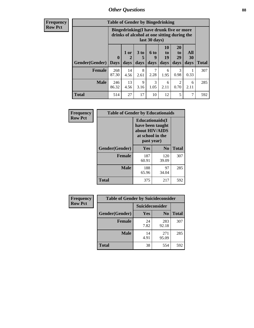### *Other Questions* **88**

**Frequency Row Pct**

| <b>Table of Gender by Bingedrinking</b> |                                                                                                         |              |                   |                          |                        |                               |                   |              |
|-----------------------------------------|---------------------------------------------------------------------------------------------------------|--------------|-------------------|--------------------------|------------------------|-------------------------------|-------------------|--------------|
|                                         | Bingedrinking(I have drunk five or more<br>drinks of alcohol at one sitting during the<br>last 30 days) |              |                   |                          |                        |                               |                   |              |
| <b>Gender</b> (Gender)                  | $\bf{0}$<br><b>Days</b>                                                                                 | 1 or<br>days | 3 to<br>5<br>days | <b>6 to</b><br>9<br>days | 10<br>to<br>19<br>days | <b>20</b><br>to<br>29<br>days | All<br>30<br>days | <b>Total</b> |
| <b>Female</b>                           | 268                                                                                                     | 14           | 8                 |                          |                        |                               |                   |              |
|                                         | 87.30                                                                                                   | 4.56         | 2.61              | 2.28                     | 6<br>1.95              | 3<br>0.98                     | 0.33              | 307          |
| <b>Male</b>                             | 246<br>86.32                                                                                            | 13<br>4.56   | 9<br>3.16         | 3<br>1.05                | 6<br>2.11              | 2<br>0.70                     | 6<br>2.11         | 285          |

| Frequency      | <b>Table of Gender by Educationaids</b> |                                                                                                 |              |              |  |
|----------------|-----------------------------------------|-------------------------------------------------------------------------------------------------|--------------|--------------|--|
| <b>Row Pct</b> |                                         | <b>Educationaids</b> (I<br>have been taught<br>about HIV/AIDS<br>at school in the<br>past year) |              |              |  |
|                | Gender(Gender)                          | Yes                                                                                             | $\bf N_0$    | <b>Total</b> |  |
|                | <b>Female</b>                           | 187<br>60.91                                                                                    | 120<br>39.09 | 307          |  |
|                | <b>Male</b>                             | 188<br>65.96                                                                                    | 97<br>34.04  | 285          |  |
|                | <b>Total</b>                            | 375                                                                                             | 217          | 592          |  |

| <b>Frequency</b> | <b>Table of Gender by Suicideconsider</b> |                 |                |              |  |
|------------------|-------------------------------------------|-----------------|----------------|--------------|--|
| <b>Row Pct</b>   |                                           | Suicideconsider |                |              |  |
|                  | Gender(Gender)                            | Yes             | N <sub>0</sub> | <b>Total</b> |  |
|                  | <b>Female</b>                             | 24<br>7.82      | 283<br>92.18   | 307          |  |
|                  | <b>Male</b>                               | 14<br>4.91      | 271<br>95.09   | 285          |  |
|                  | <b>Total</b>                              | 38              | 554            | 592          |  |